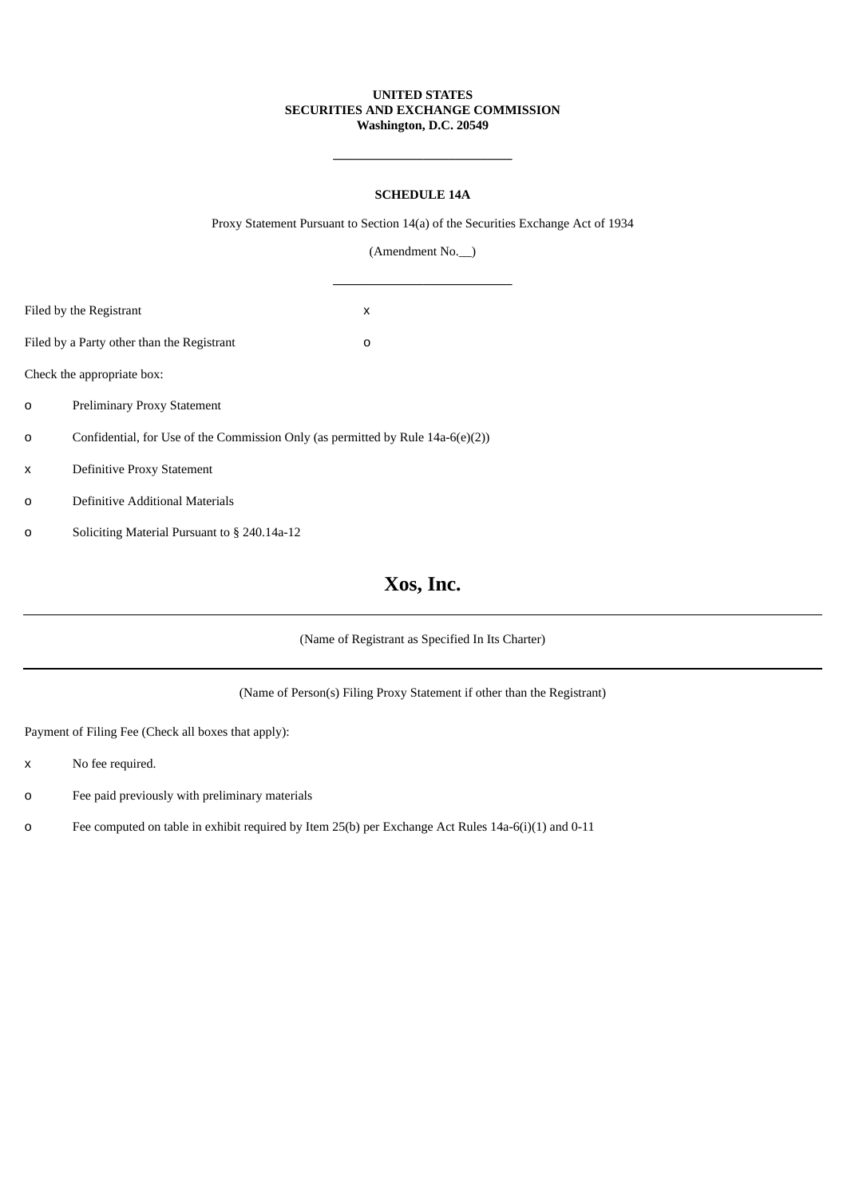### **UNITED STATES SECURITIES AND EXCHANGE COMMISSION Washington, D.C. 20549**

## **SCHEDULE 14A**

**\_\_\_\_\_\_\_\_\_\_\_\_\_\_\_\_\_\_\_\_\_\_\_\_\_\_\_\_**

Proxy Statement Pursuant to Section 14(a) of the Securities Exchange Act of 1934

(Amendment No.\_\_)

|                                                                                             | Filed by the Registrant                      | x |  |  |
|---------------------------------------------------------------------------------------------|----------------------------------------------|---|--|--|
|                                                                                             | Filed by a Party other than the Registrant   | 0 |  |  |
|                                                                                             | Check the appropriate box:                   |   |  |  |
| $\Omega$                                                                                    | <b>Preliminary Proxy Statement</b>           |   |  |  |
| Confidential, for Use of the Commission Only (as permitted by Rule 14a-6(e)(2))<br>$\Omega$ |                                              |   |  |  |
| x                                                                                           | Definitive Proxy Statement                   |   |  |  |
| 0                                                                                           | Definitive Additional Materials              |   |  |  |
| 0                                                                                           | Soliciting Material Pursuant to § 240.14a-12 |   |  |  |

# **Xos, Inc.**

(Name of Registrant as Specified In Its Charter)

(Name of Person(s) Filing Proxy Statement if other than the Registrant)

Payment of Filing Fee (Check all boxes that apply):

- x No fee required.
- o Fee paid previously with preliminary materials
- o Fee computed on table in exhibit required by Item 25(b) per Exchange Act Rules 14a-6(i)(1) and 0-11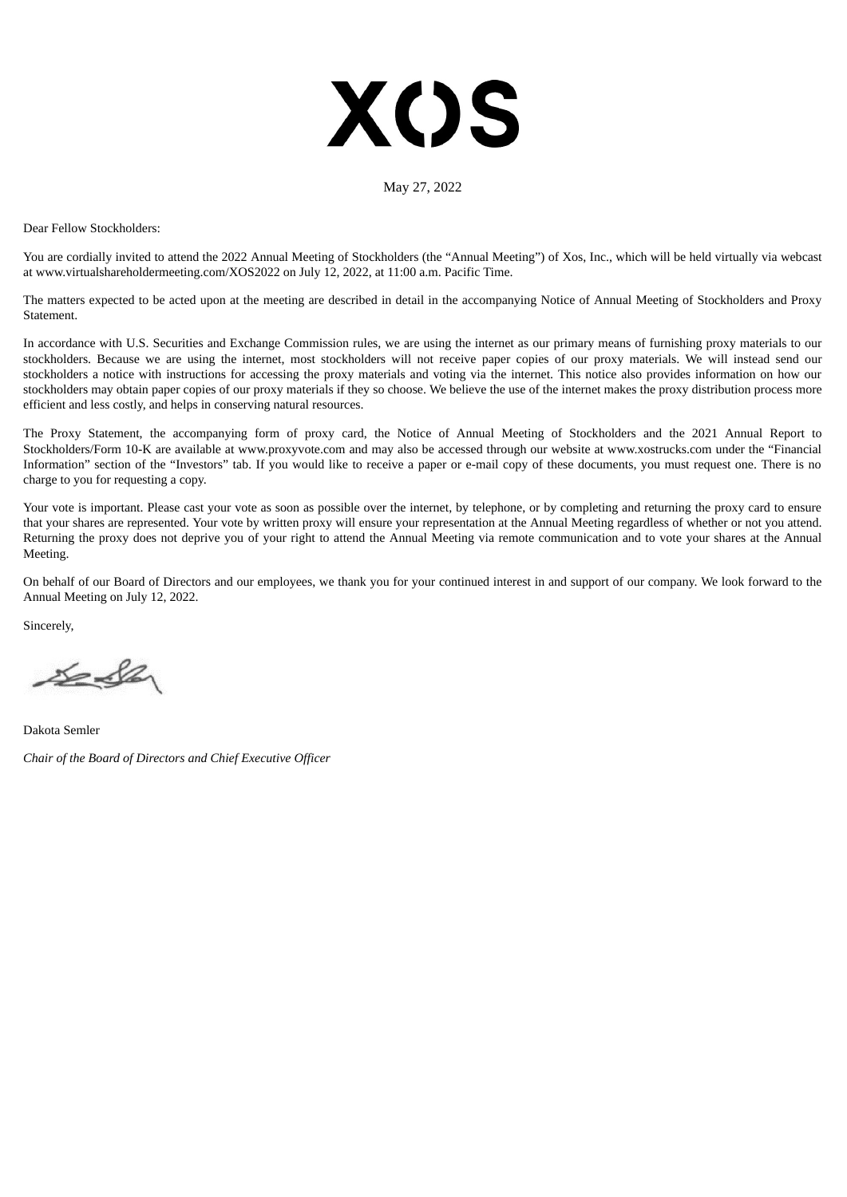# **XOS**

#### May 27, 2022

Dear Fellow Stockholders:

You are cordially invited to attend the 2022 Annual Meeting of Stockholders (the "Annual Meeting") of Xos, Inc., which will be held virtually via webcast at www.virtualshareholdermeeting.com/XOS2022 on July 12, 2022, at 11:00 a.m. Pacific Time.

The matters expected to be acted upon at the meeting are described in detail in the accompanying Notice of Annual Meeting of Stockholders and Proxy **Statement** 

In accordance with U.S. Securities and Exchange Commission rules, we are using the internet as our primary means of furnishing proxy materials to our stockholders. Because we are using the internet, most stockholders will not receive paper copies of our proxy materials. We will instead send our stockholders a notice with instructions for accessing the proxy materials and voting via the internet. This notice also provides information on how our stockholders may obtain paper copies of our proxy materials if they so choose. We believe the use of the internet makes the proxy distribution process more efficient and less costly, and helps in conserving natural resources.

The Proxy Statement, the accompanying form of proxy card, the Notice of Annual Meeting of Stockholders and the 2021 Annual Report to Stockholders/Form 10-K are available at www.proxyvote.com and may also be accessed through our website at www.xostrucks.com under the "Financial Information" section of the "Investors" tab. If you would like to receive a paper or e-mail copy of these documents, you must request one. There is no charge to you for requesting a copy.

Your vote is important. Please cast your vote as soon as possible over the internet, by telephone, or by completing and returning the proxy card to ensure that your shares are represented. Your vote by written proxy will ensure your representation at the Annual Meeting regardless of whether or not you attend. Returning the proxy does not deprive you of your right to attend the Annual Meeting via remote communication and to vote your shares at the Annual Meeting.

On behalf of our Board of Directors and our employees, we thank you for your continued interest in and support of our company. We look forward to the Annual Meeting on July 12, 2022.

Sincerely,

 $222$ 

Dakota Semler *Chair of the Board of Directors and Chief Executive Officer*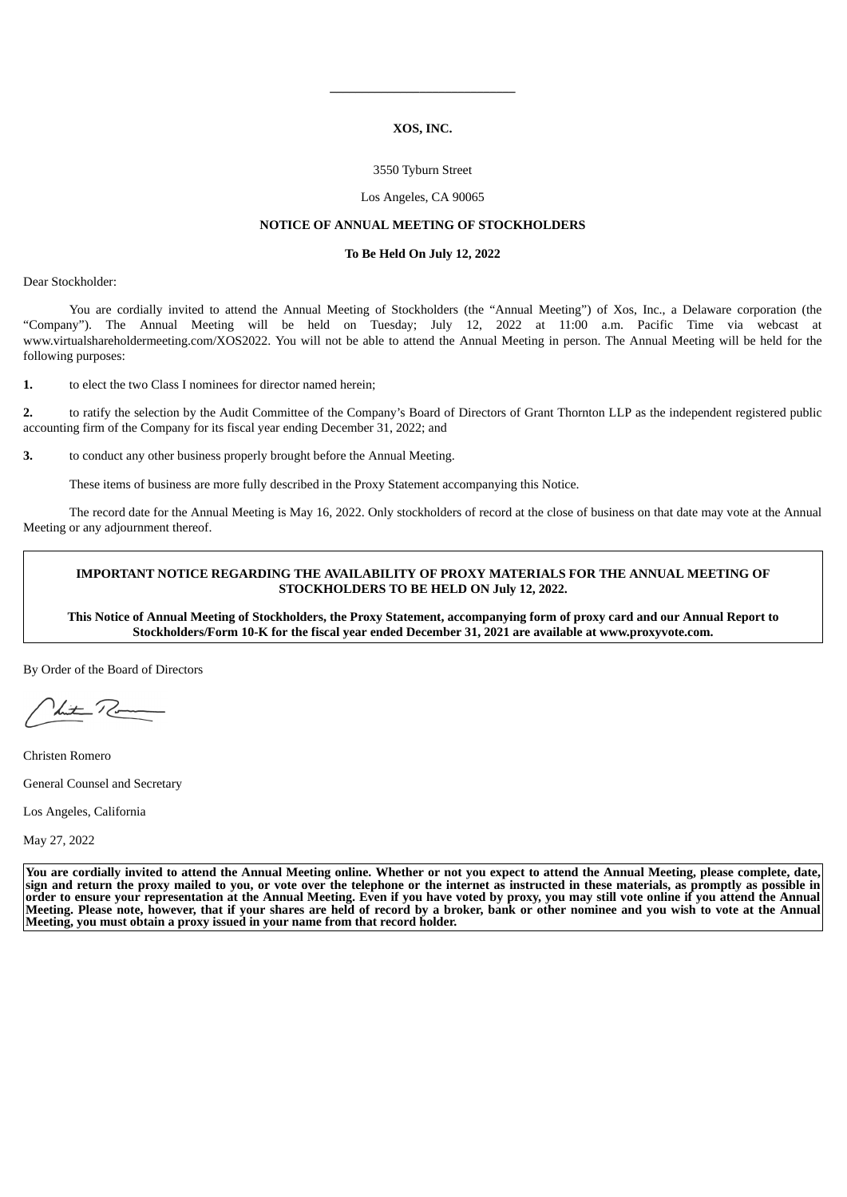#### **XOS, INC.**

**\_\_\_\_\_\_\_\_\_\_\_\_\_\_\_\_\_\_\_\_\_\_\_\_\_\_\_\_\_**

#### 3550 Tyburn Street

#### Los Angeles, CA 90065

#### **NOTICE OF ANNUAL MEETING OF STOCKHOLDERS**

#### **To Be Held On July 12, 2022**

Dear Stockholder:

You are cordially invited to attend the Annual Meeting of Stockholders (the "Annual Meeting") of Xos, Inc., a Delaware corporation (the "Company"). The Annual Meeting will be held on Tuesday; July 12, 2022 at 11:00 a.m. Pacific Time via webcast at www.virtualshareholdermeeting.com/XOS2022. You will not be able to attend the Annual Meeting in person. The Annual Meeting will be held for the following purposes:

**1.** to elect the two Class I nominees for director named herein;

**2.** to ratify the selection by the Audit Committee of the Company's Board of Directors of Grant Thornton LLP as the independent registered public accounting firm of the Company for its fiscal year ending December 31, 2022; and

**3.** to conduct any other business properly brought before the Annual Meeting.

These items of business are more fully described in the Proxy Statement accompanying this Notice.

The record date for the Annual Meeting is May 16, 2022. Only stockholders of record at the close of business on that date may vote at the Annual Meeting or any adjournment thereof.

#### **IMPORTANT NOTICE REGARDING THE AVAILABILITY OF PROXY MATERIALS FOR THE ANNUAL MEETING OF STOCKHOLDERS TO BE HELD ON July 12, 2022.**

This Notice of Annual Meeting of Stockholders, the Proxy Statement, accompanying form of proxy card and our Annual Report to **Stockholders/Form 10-K for the fiscal year ended December 31, 2021 are available at www.proxyvote.com.**

By Order of the Board of Directors

Lite Room

Christen Romero

General Counsel and Secretary

Los Angeles, California

May 27, 2022

You are cordially invited to attend the Annual Meeting online. Whether or not you expect to attend the Annual Meeting, please complete, date, sign and return the proxy mailed to you, or vote over the telephone or the internet as instructed in these materials, as promptly as possible in order to ensure your representation at the Annual Meeting. Even if you have voted by proxy, you may still vote online if you attend the Annual Meeting. Please note, however, that if your shares are held of record by a broker, bank or other nominee and you wish to vote at the Annual **Meeting, you must obtain a proxy issued in your name from that record holder.**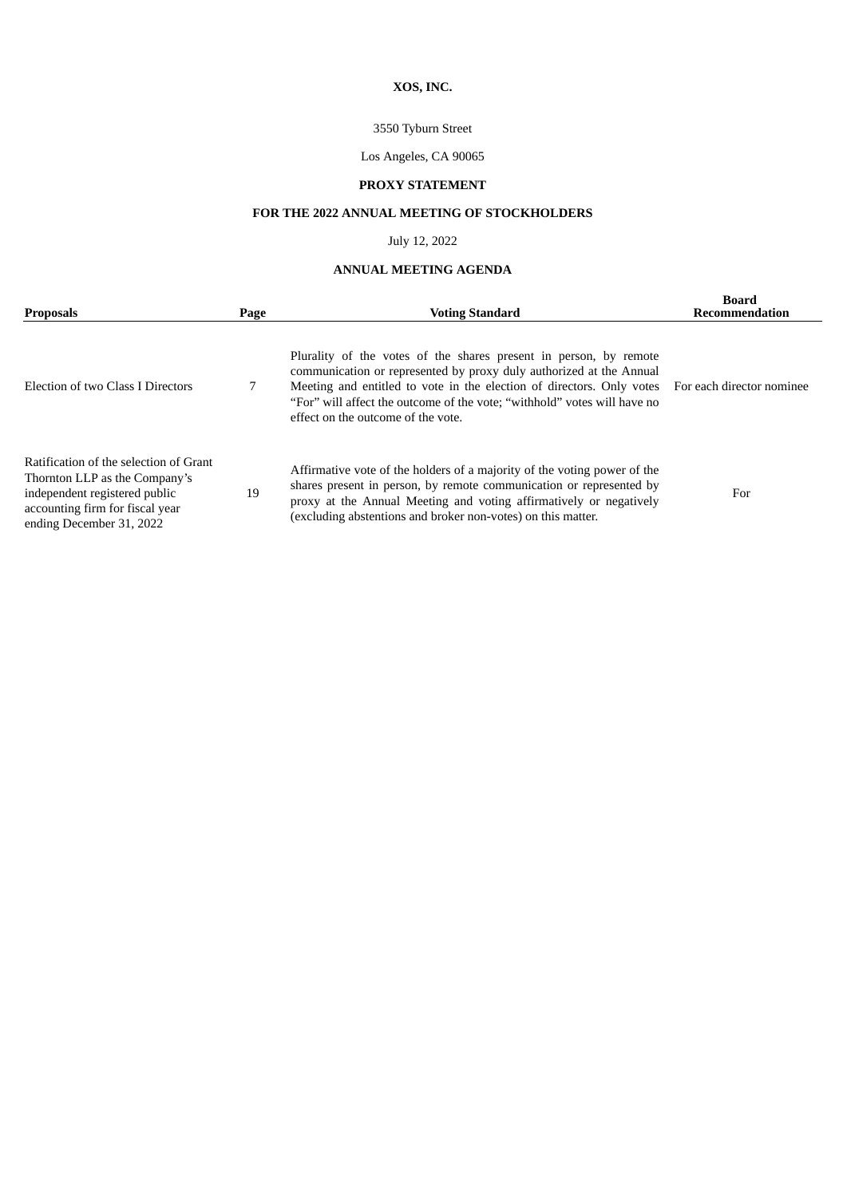# **XOS, INC.**

## 3550 Tyburn Street

## Los Angeles, CA 90065

# **PROXY STATEMENT**

## **FOR THE 2022 ANNUAL MEETING OF STOCKHOLDERS**

## July 12, 2022

## **ANNUAL MEETING AGENDA**

| <b>Proposals</b>                                                                                                                                                        | Page | <b>Voting Standard</b>                                                                                                                                                                                                                                                                                                                                        | Board<br>Recommendation |
|-------------------------------------------------------------------------------------------------------------------------------------------------------------------------|------|---------------------------------------------------------------------------------------------------------------------------------------------------------------------------------------------------------------------------------------------------------------------------------------------------------------------------------------------------------------|-------------------------|
| Election of two Class I Directors                                                                                                                                       |      | Plurality of the votes of the shares present in person, by remote<br>communication or represented by proxy duly authorized at the Annual<br>Meeting and entitled to vote in the election of directors. Only votes For each director nominee<br>"For" will affect the outcome of the vote; "withhold" votes will have no<br>effect on the outcome of the vote. |                         |
| Ratification of the selection of Grant<br>Thornton LLP as the Company's<br>independent registered public<br>accounting firm for fiscal year<br>ending December 31, 2022 | 19   | Affirmative vote of the holders of a majority of the voting power of the<br>shares present in person, by remote communication or represented by<br>proxy at the Annual Meeting and voting affirmatively or negatively<br>(excluding abstentions and broker non-votes) on this matter.                                                                         | For                     |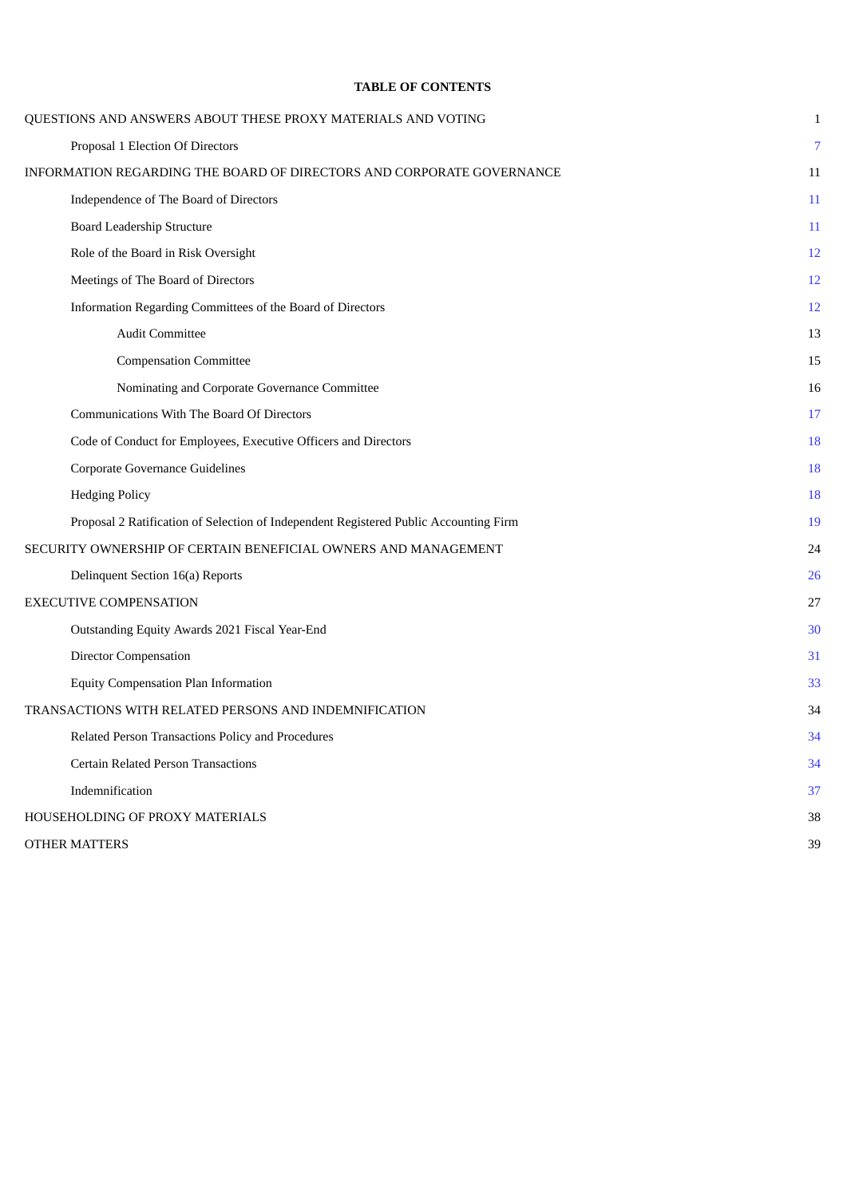## **TABLE OF CONTENTS**

<span id="page-4-0"></span>

| QUESTIONS AND ANSWERS ABOUT THESE PROXY MATERIALS AND VOTING                          | $\mathbf{1}$   |
|---------------------------------------------------------------------------------------|----------------|
| Proposal 1 Election Of Directors                                                      | $\overline{7}$ |
| INFORMATION REGARDING THE BOARD OF DIRECTORS AND CORPORATE GOVERNANCE                 | 11             |
| Independence of The Board of Directors                                                | 11             |
| <b>Board Leadership Structure</b>                                                     | 11             |
| Role of the Board in Risk Oversight                                                   | 12             |
| Meetings of The Board of Directors                                                    | 12             |
| Information Regarding Committees of the Board of Directors                            | 12             |
| <b>Audit Committee</b>                                                                | 13             |
| <b>Compensation Committee</b>                                                         | 15             |
| Nominating and Corporate Governance Committee                                         | 16             |
| Communications With The Board Of Directors                                            | 17             |
| Code of Conduct for Employees, Executive Officers and Directors                       | 18             |
| <b>Corporate Governance Guidelines</b>                                                | 18             |
| <b>Hedging Policy</b>                                                                 | 18             |
| Proposal 2 Ratification of Selection of Independent Registered Public Accounting Firm | 19             |
| SECURITY OWNERSHIP OF CERTAIN BENEFICIAL OWNERS AND MANAGEMENT                        | 24             |
| Delinquent Section 16(a) Reports                                                      | 26             |
| <b>EXECUTIVE COMPENSATION</b>                                                         | 27             |
| Outstanding Equity Awards 2021 Fiscal Year-End                                        | 30             |
| <b>Director Compensation</b>                                                          | 31             |
| <b>Equity Compensation Plan Information</b>                                           | 33             |
| TRANSACTIONS WITH RELATED PERSONS AND INDEMNIFICATION                                 | 34             |
| Related Person Transactions Policy and Procedures                                     | 34             |
| <b>Certain Related Person Transactions</b>                                            | 34             |
| Indemnification                                                                       | 37             |
| HOUSEHOLDING OF PROXY MATERIALS                                                       | 38             |
| <b>OTHER MATTERS</b>                                                                  | 39             |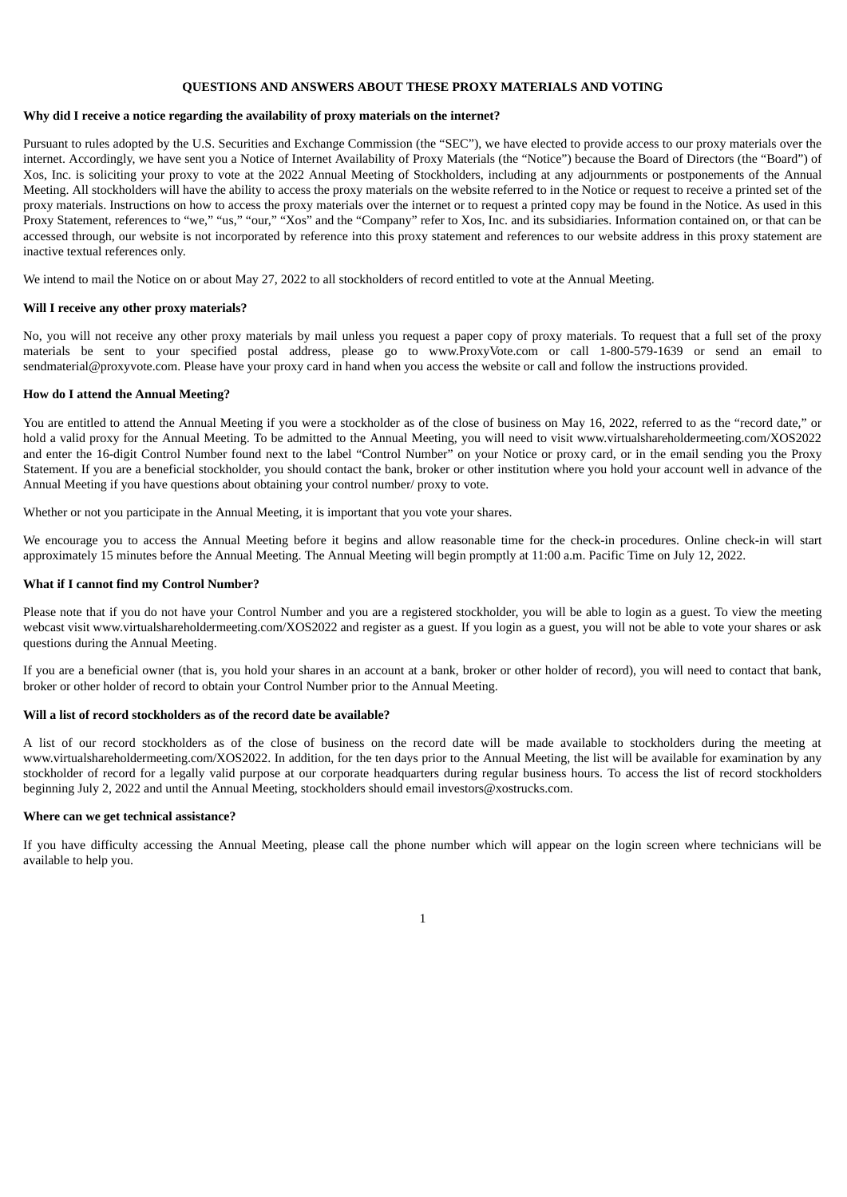#### **QUESTIONS AND ANSWERS ABOUT THESE PROXY MATERIALS AND VOTING**

#### **Why did I receive a notice regarding the availability of proxy materials on the internet?**

Pursuant to rules adopted by the U.S. Securities and Exchange Commission (the "SEC"), we have elected to provide access to our proxy materials over the internet. Accordingly, we have sent you a Notice of Internet Availability of Proxy Materials (the "Notice") because the Board of Directors (the "Board") of Xos, Inc. is soliciting your proxy to vote at the 2022 Annual Meeting of Stockholders, including at any adjournments or postponements of the Annual Meeting. All stockholders will have the ability to access the proxy materials on the website referred to in the Notice or request to receive a printed set of the proxy materials. Instructions on how to access the proxy materials over the internet or to request a printed copy may be found in the Notice. As used in this Proxy Statement, references to "we," "us," "our," "Xos" and the "Company" refer to Xos, Inc. and its subsidiaries. Information contained on, or that can be accessed through, our website is not incorporated by reference into this proxy statement and references to our website address in this proxy statement are inactive textual references only.

We intend to mail the Notice on or about May 27, 2022 to all stockholders of record entitled to vote at the Annual Meeting.

#### **Will I receive any other proxy materials?**

No, you will not receive any other proxy materials by mail unless you request a paper copy of proxy materials. To request that a full set of the proxy materials be sent to your specified postal address, please go to www.ProxyVote.com or call 1-800-579-1639 or send an email to sendmaterial@proxyvote.com. Please have your proxy card in hand when you access the website or call and follow the instructions provided.

#### **How do I attend the Annual Meeting?**

You are entitled to attend the Annual Meeting if you were a stockholder as of the close of business on May 16, 2022, referred to as the "record date," or hold a valid proxy for the Annual Meeting. To be admitted to the Annual Meeting, you will need to visit www.virtualshareholdermeeting.com/XOS2022 and enter the 16-digit Control Number found next to the label "Control Number" on your Notice or proxy card, or in the email sending you the Proxy Statement. If you are a beneficial stockholder, you should contact the bank, broker or other institution where you hold your account well in advance of the Annual Meeting if you have questions about obtaining your control number/ proxy to vote.

Whether or not you participate in the Annual Meeting, it is important that you vote your shares.

We encourage you to access the Annual Meeting before it begins and allow reasonable time for the check-in procedures. Online check-in will start approximately 15 minutes before the Annual Meeting. The Annual Meeting will begin promptly at 11:00 a.m. Pacific Time on July 12, 2022.

## **What if I cannot find my Control Number?**

Please note that if you do not have your Control Number and you are a registered stockholder, you will be able to login as a guest. To view the meeting webcast visit www.virtualshareholdermeeting.com/XOS2022 and register as a guest. If you login as a guest, you will not be able to vote your shares or ask questions during the Annual Meeting.

If you are a beneficial owner (that is, you hold your shares in an account at a bank, broker or other holder of record), you will need to contact that bank, broker or other holder of record to obtain your Control Number prior to the Annual Meeting.

#### **Will a list of record stockholders as of the record date be available?**

A list of our record stockholders as of the close of business on the record date will be made available to stockholders during the meeting at www.virtualshareholdermeeting.com/XOS2022. In addition, for the ten days prior to the Annual Meeting, the list will be available for examination by any stockholder of record for a legally valid purpose at our corporate headquarters during regular business hours. To access the list of record stockholders beginning July 2, 2022 and until the Annual Meeting, stockholders should email investors@xostrucks.com.

#### **Where can we get technical assistance?**

If you have difficulty accessing the Annual Meeting, please call the phone number which will appear on the login screen where technicians will be available to help you.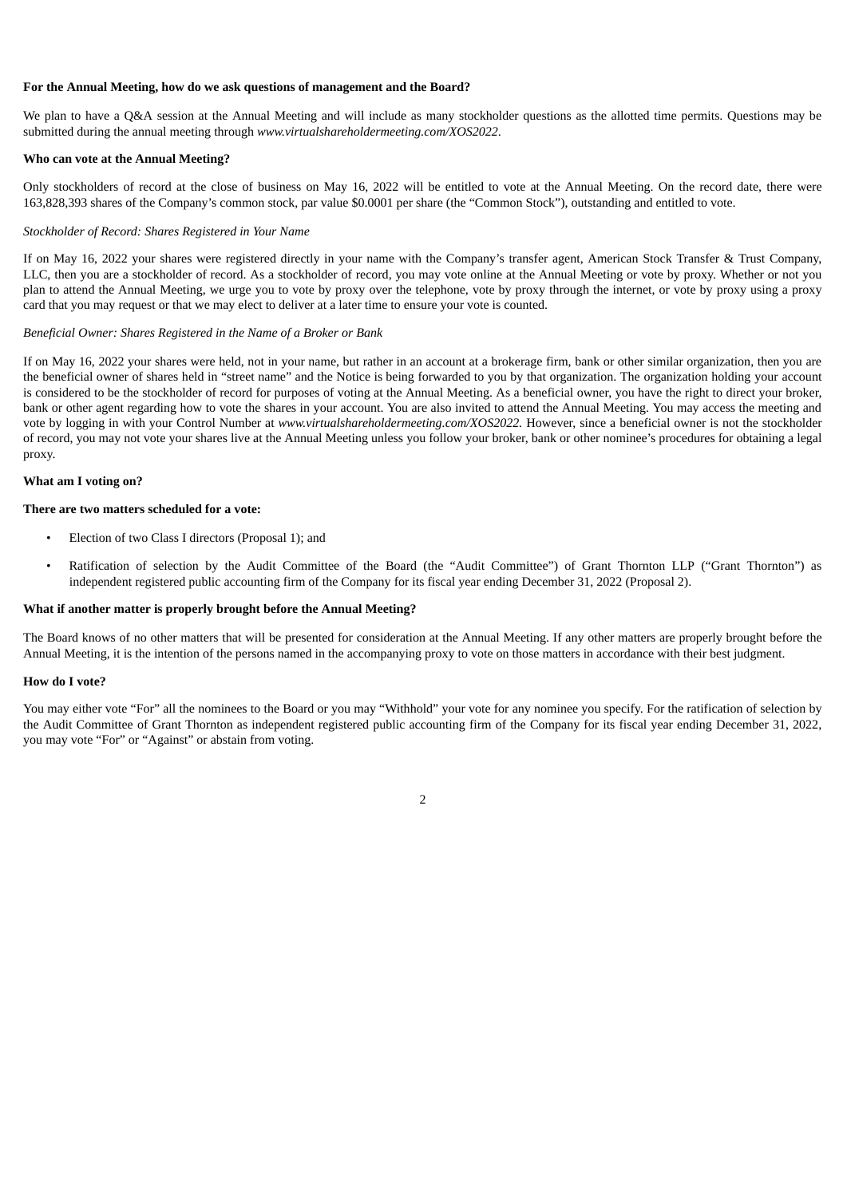#### **For the Annual Meeting, how do we ask questions of management and the Board?**

We plan to have a Q&A session at the Annual Meeting and will include as many stockholder questions as the allotted time permits. Questions may be submitted during the annual meeting through *www.virtualshareholdermeeting.com/XOS2022*.

#### **Who can vote at the Annual Meeting?**

Only stockholders of record at the close of business on May 16, 2022 will be entitled to vote at the Annual Meeting. On the record date, there were 163,828,393 shares of the Company's common stock, par value \$0.0001 per share (the "Common Stock"), outstanding and entitled to vote.

#### *Stockholder of Record: Shares Registered in Your Name*

If on May 16, 2022 your shares were registered directly in your name with the Company's transfer agent, American Stock Transfer & Trust Company, LLC, then you are a stockholder of record. As a stockholder of record, you may vote online at the Annual Meeting or vote by proxy. Whether or not you plan to attend the Annual Meeting, we urge you to vote by proxy over the telephone, vote by proxy through the internet, or vote by proxy using a proxy card that you may request or that we may elect to deliver at a later time to ensure your vote is counted.

#### *Beneficial Owner: Shares Registered in the Name of a Broker or Bank*

If on May 16, 2022 your shares were held, not in your name, but rather in an account at a brokerage firm, bank or other similar organization, then you are the beneficial owner of shares held in "street name" and the Notice is being forwarded to you by that organization. The organization holding your account is considered to be the stockholder of record for purposes of voting at the Annual Meeting. As a beneficial owner, you have the right to direct your broker, bank or other agent regarding how to vote the shares in your account. You are also invited to attend the Annual Meeting. You may access the meeting and vote by logging in with your Control Number at *www.virtualshareholdermeeting.com/XOS2022.* However, since a beneficial owner is not the stockholder of record, you may not vote your shares live at the Annual Meeting unless you follow your broker, bank or other nominee's procedures for obtaining a legal proxy.

#### **What am I voting on?**

#### **There are two matters scheduled for a vote:**

- Election of two Class I directors (Proposal 1); and
- Ratification of selection by the Audit Committee of the Board (the "Audit Committee") of Grant Thornton LLP ("Grant Thornton") as independent registered public accounting firm of the Company for its fiscal year ending December 31, 2022 (Proposal 2).

#### **What if another matter is properly brought before the Annual Meeting?**

The Board knows of no other matters that will be presented for consideration at the Annual Meeting. If any other matters are properly brought before the Annual Meeting, it is the intention of the persons named in the accompanying proxy to vote on those matters in accordance with their best judgment.

#### **How do I vote?**

You may either vote "For" all the nominees to the Board or you may "Withhold" your vote for any nominee you specify. For the ratification of selection by the Audit Committee of Grant Thornton as independent registered public accounting firm of the Company for its fiscal year ending December 31, 2022, you may vote "For" or "Against" or abstain from voting.

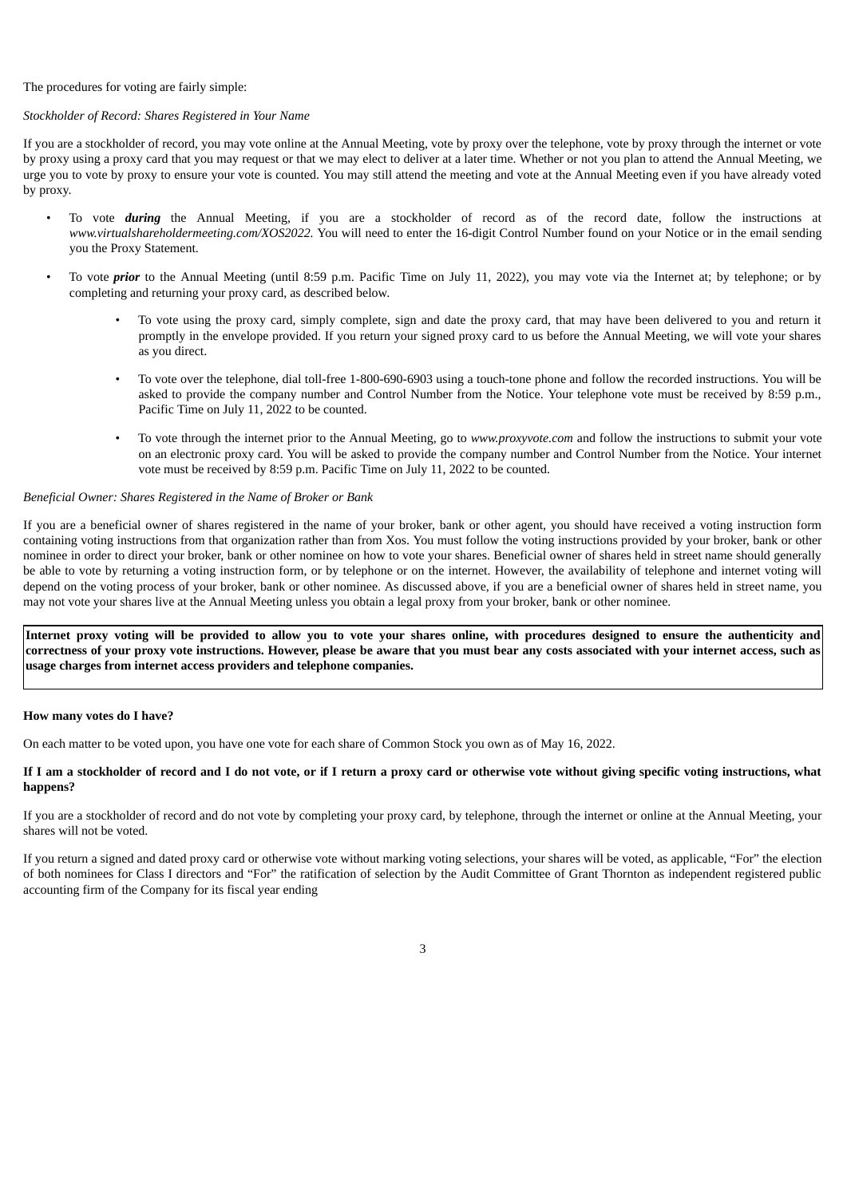#### The procedures for voting are fairly simple:

#### *Stockholder of Record: Shares Registered in Your Name*

If you are a stockholder of record, you may vote online at the Annual Meeting, vote by proxy over the telephone, vote by proxy through the internet or vote by proxy using a proxy card that you may request or that we may elect to deliver at a later time. Whether or not you plan to attend the Annual Meeting, we urge you to vote by proxy to ensure your vote is counted. You may still attend the meeting and vote at the Annual Meeting even if you have already voted by proxy.

- To vote *during* the Annual Meeting, if you are a stockholder of record as of the record date, follow the instructions at *www.virtualshareholdermeeting.com/XOS2022.* You will need to enter the 16-digit Control Number found on your Notice or in the email sending you the Proxy Statement.
- To vote *prior* to the Annual Meeting (until 8:59 p.m. Pacific Time on July 11, 2022), you may vote via the Internet at; by telephone; or by completing and returning your proxy card, as described below.
	- To vote using the proxy card, simply complete, sign and date the proxy card, that may have been delivered to you and return it promptly in the envelope provided. If you return your signed proxy card to us before the Annual Meeting, we will vote your shares as you direct.
	- To vote over the telephone, dial toll-free 1-800-690-6903 using a touch-tone phone and follow the recorded instructions. You will be asked to provide the company number and Control Number from the Notice. Your telephone vote must be received by 8:59 p.m., Pacific Time on July 11, 2022 to be counted.
	- To vote through the internet prior to the Annual Meeting, go to *www.proxyvote.com* and follow the instructions to submit your vote on an electronic proxy card. You will be asked to provide the company number and Control Number from the Notice. Your internet vote must be received by 8:59 p.m. Pacific Time on July 11, 2022 to be counted.

## *Beneficial Owner: Shares Registered in the Name of Broker or Bank*

If you are a beneficial owner of shares registered in the name of your broker, bank or other agent, you should have received a voting instruction form containing voting instructions from that organization rather than from Xos. You must follow the voting instructions provided by your broker, bank or other nominee in order to direct your broker, bank or other nominee on how to vote your shares. Beneficial owner of shares held in street name should generally be able to vote by returning a voting instruction form, or by telephone or on the internet. However, the availability of telephone and internet voting will depend on the voting process of your broker, bank or other nominee. As discussed above, if you are a beneficial owner of shares held in street name, you may not vote your shares live at the Annual Meeting unless you obtain a legal proxy from your broker, bank or other nominee.

Internet proxy voting will be provided to allow you to vote your shares online, with procedures designed to ensure the authenticity and correctness of your proxy yote instructions. However, please be aware that you must bear any costs associated with your internet access, such as **usage charges from internet access providers and telephone companies.**

#### **How many votes do I have?**

On each matter to be voted upon, you have one vote for each share of Common Stock you own as of May 16, 2022.

#### If I am a stockholder of record and I do not vote, or if I return a proxy card or otherwise vote without giving specific voting instructions, what **happens?**

If you are a stockholder of record and do not vote by completing your proxy card, by telephone, through the internet or online at the Annual Meeting, your shares will not be voted.

If you return a signed and dated proxy card or otherwise vote without marking voting selections, your shares will be voted, as applicable, "For" the election of both nominees for Class I directors and "For" the ratification of selection by the Audit Committee of Grant Thornton as independent registered public accounting firm of the Company for its fiscal year ending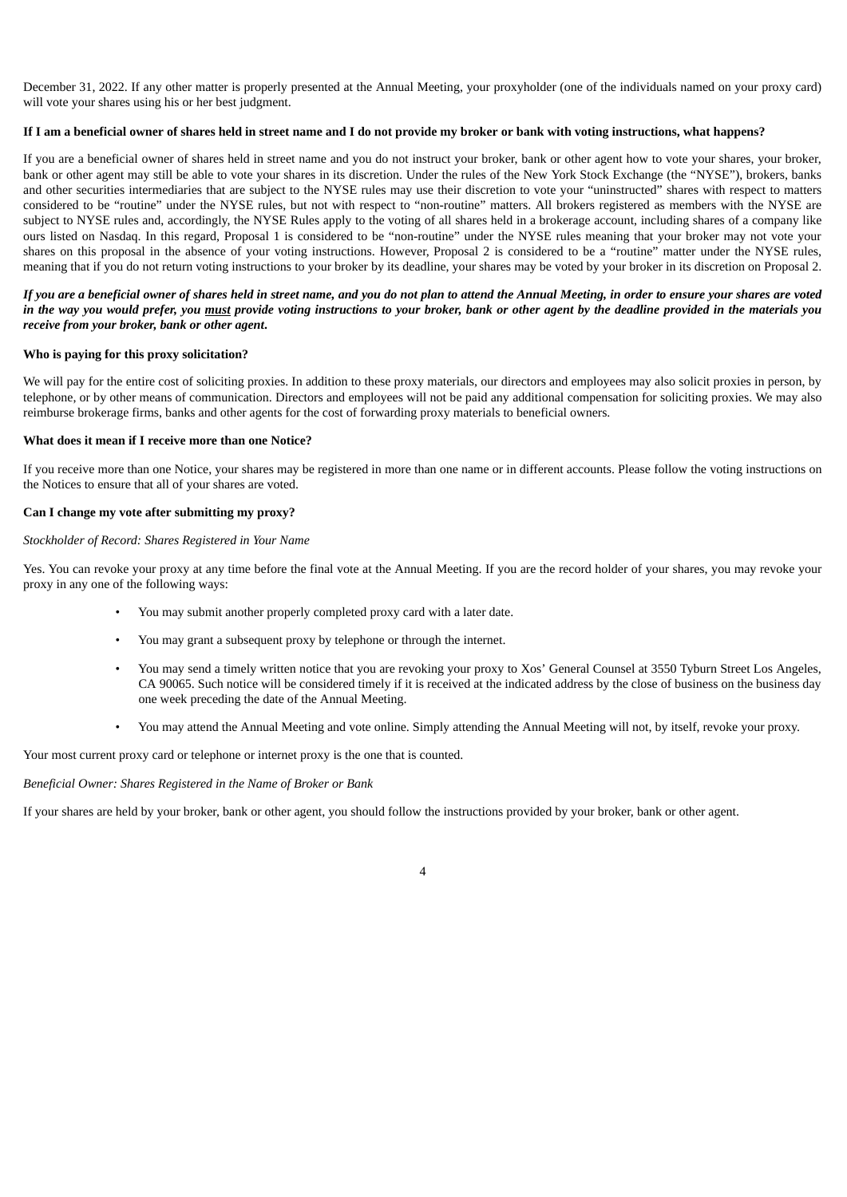December 31, 2022. If any other matter is properly presented at the Annual Meeting, your proxyholder (one of the individuals named on your proxy card) will vote your shares using his or her best judgment.

#### If I am a beneficial owner of shares held in street name and I do not provide my broker or bank with voting instructions, what happens?

If you are a beneficial owner of shares held in street name and you do not instruct your broker, bank or other agent how to vote your shares, your broker, bank or other agent may still be able to vote your shares in its discretion. Under the rules of the New York Stock Exchange (the "NYSE"), brokers, banks and other securities intermediaries that are subject to the NYSE rules may use their discretion to vote your "uninstructed" shares with respect to matters considered to be "routine" under the NYSE rules, but not with respect to "non-routine" matters. All brokers registered as members with the NYSE are subject to NYSE rules and, accordingly, the NYSE Rules apply to the voting of all shares held in a brokerage account, including shares of a company like ours listed on Nasdaq. In this regard, Proposal 1 is considered to be "non-routine" under the NYSE rules meaning that your broker may not vote your shares on this proposal in the absence of your voting instructions. However, Proposal 2 is considered to be a "routine" matter under the NYSE rules, meaning that if you do not return voting instructions to your broker by its deadline, your shares may be voted by your broker in its discretion on Proposal 2.

#### If you are a beneficial owner of shares held in street name, and you do not plan to attend the Annual Meeting, in order to ensure your shares are voted in the way you would prefer, you must provide voting instructions to your broker, bank or other agent by the deadline provided in the materials you *receive from your broker, bank or other agent***.**

#### **Who is paying for this proxy solicitation?**

We will pay for the entire cost of soliciting proxies. In addition to these proxy materials, our directors and employees may also solicit proxies in person, by telephone, or by other means of communication. Directors and employees will not be paid any additional compensation for soliciting proxies. We may also reimburse brokerage firms, banks and other agents for the cost of forwarding proxy materials to beneficial owners.

#### **What does it mean if I receive more than one Notice?**

If you receive more than one Notice, your shares may be registered in more than one name or in different accounts. Please follow the voting instructions on the Notices to ensure that all of your shares are voted.

#### **Can I change my vote after submitting my proxy?**

#### *Stockholder of Record: Shares Registered in Your Name*

Yes. You can revoke your proxy at any time before the final vote at the Annual Meeting. If you are the record holder of your shares, you may revoke your proxy in any one of the following ways:

- You may submit another properly completed proxy card with a later date.
- You may grant a subsequent proxy by telephone or through the internet.
- You may send a timely written notice that you are revoking your proxy to Xos' General Counsel at 3550 Tyburn Street Los Angeles, CA 90065. Such notice will be considered timely if it is received at the indicated address by the close of business on the business day one week preceding the date of the Annual Meeting.
- You may attend the Annual Meeting and vote online. Simply attending the Annual Meeting will not, by itself, revoke your proxy.

Your most current proxy card or telephone or internet proxy is the one that is counted.

*Beneficial Owner: Shares Registered in the Name of Broker or Bank*

If your shares are held by your broker, bank or other agent, you should follow the instructions provided by your broker, bank or other agent.

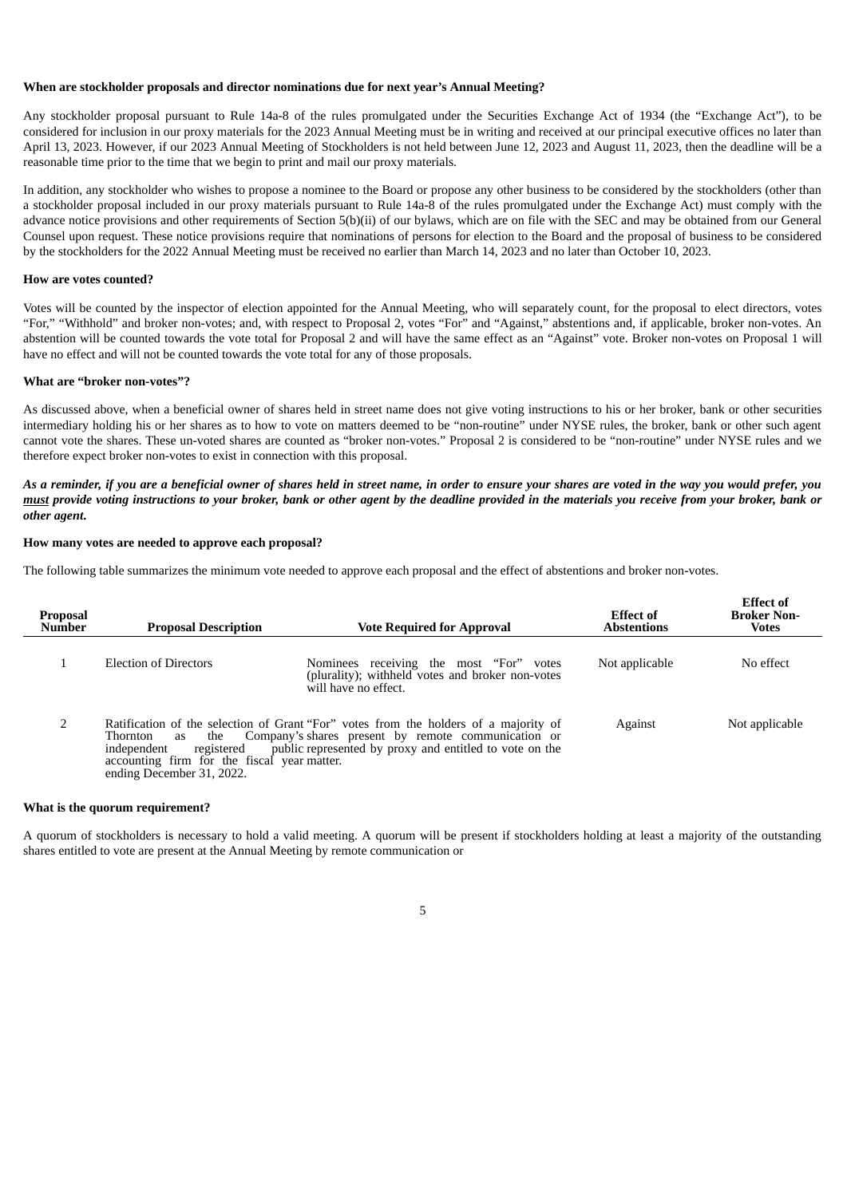#### **When are stockholder proposals and director nominations due for next year's Annual Meeting?**

Any stockholder proposal pursuant to Rule 14a-8 of the rules promulgated under the Securities Exchange Act of 1934 (the "Exchange Act"), to be considered for inclusion in our proxy materials for the 2023 Annual Meeting must be in writing and received at our principal executive offices no later than April 13, 2023. However, if our 2023 Annual Meeting of Stockholders is not held between June 12, 2023 and August 11, 2023, then the deadline will be a reasonable time prior to the time that we begin to print and mail our proxy materials.

In addition, any stockholder who wishes to propose a nominee to the Board or propose any other business to be considered by the stockholders (other than a stockholder proposal included in our proxy materials pursuant to Rule 14a-8 of the rules promulgated under the Exchange Act) must comply with the advance notice provisions and other requirements of Section 5(b)(ii) of our bylaws, which are on file with the SEC and may be obtained from our General Counsel upon request. These notice provisions require that nominations of persons for election to the Board and the proposal of business to be considered by the stockholders for the 2022 Annual Meeting must be received no earlier than March 14, 2023 and no later than October 10, 2023.

#### **How are votes counted?**

Votes will be counted by the inspector of election appointed for the Annual Meeting, who will separately count, for the proposal to elect directors, votes "For," "Withhold" and broker non-votes; and, with respect to Proposal 2, votes "For" and "Against," abstentions and, if applicable, broker non-votes. An abstention will be counted towards the vote total for Proposal 2 and will have the same effect as an "Against" vote. Broker non-votes on Proposal 1 will have no effect and will not be counted towards the vote total for any of those proposals.

#### **What are "broker non-votes"?**

As discussed above, when a beneficial owner of shares held in street name does not give voting instructions to his or her broker, bank or other securities intermediary holding his or her shares as to how to vote on matters deemed to be "non-routine" under NYSE rules, the broker, bank or other such agent cannot vote the shares. These un-voted shares are counted as "broker non-votes." Proposal 2 is considered to be "non-routine" under NYSE rules and we therefore expect broker non-votes to exist in connection with this proposal.

#### As a reminder, if you are a beneficial owner of shares held in street name, in order to ensure your shares are voted in the way you would prefer, you must provide voting instructions to your broker, bank or other agent by the deadline provided in the materials you receive from your broker, bank or *other agent***.**

#### **How many votes are needed to approve each proposal?**

The following table summarizes the minimum vote needed to approve each proposal and the effect of abstentions and broker non-votes.

| <b>Proposal</b><br><b>Number</b> | <b>Proposal Description</b>                                                                                                    | <b>Vote Required for Approval</b>                                                                                                                                                                      | Effect of<br><b>Abstentions</b> | <b>Effect of</b><br><b>Broker Non-</b><br><b>Votes</b> |
|----------------------------------|--------------------------------------------------------------------------------------------------------------------------------|--------------------------------------------------------------------------------------------------------------------------------------------------------------------------------------------------------|---------------------------------|--------------------------------------------------------|
|                                  | <b>Election of Directors</b>                                                                                                   | Nominees receiving the most "For" votes<br>(plurality); withheld votes and broker non-votes<br>will have no effect.                                                                                    | Not applicable                  | No effect                                              |
|                                  | the<br>Thornton<br>as<br>independent<br>registered<br>accounting firm for the fiscal year matter.<br>ending December 31, 2022. | Ratification of the selection of Grant "For" votes from the holders of a majority of<br>Company's shares present by remote communication or<br>public represented by proxy and entitled to vote on the | Against                         | Not applicable                                         |

#### **What is the quorum requirement?**

A quorum of stockholders is necessary to hold a valid meeting. A quorum will be present if stockholders holding at least a majority of the outstanding shares entitled to vote are present at the Annual Meeting by remote communication or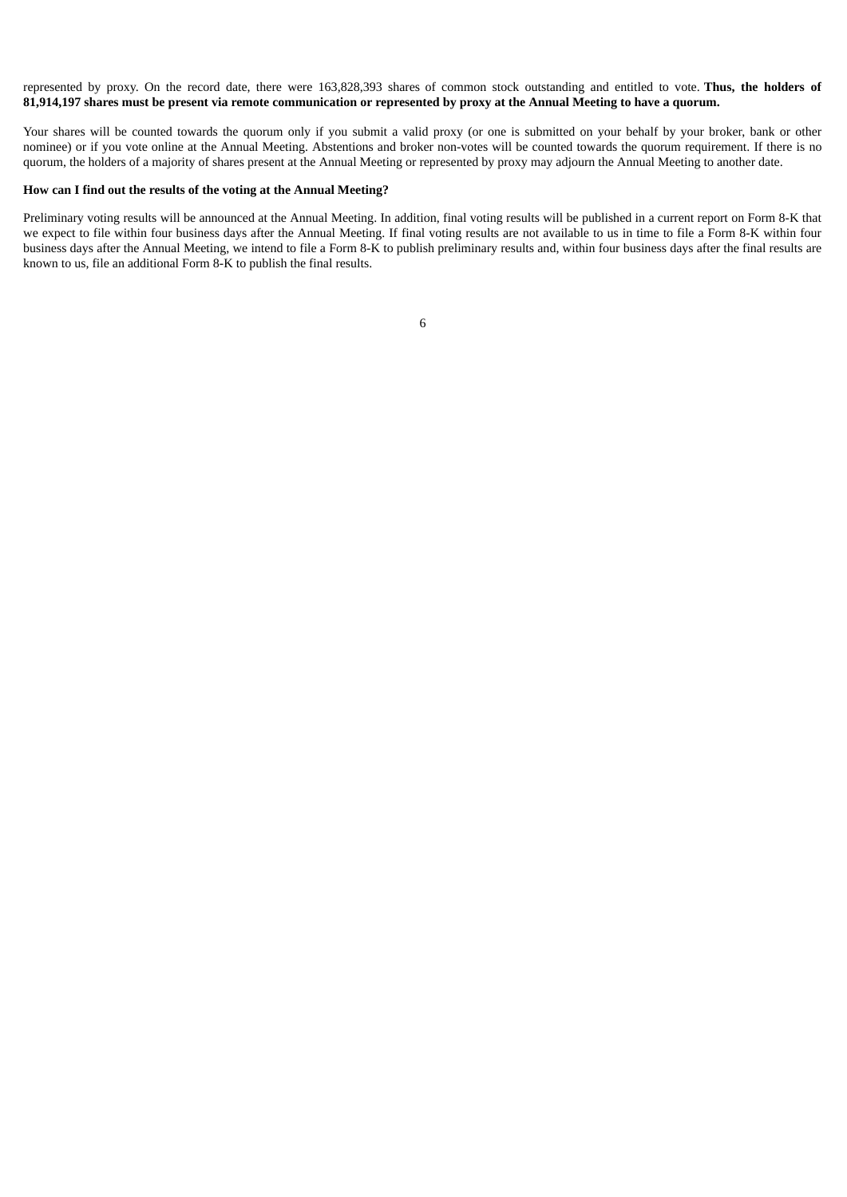represented by proxy. On the record date, there were 163,828,393 shares of common stock outstanding and entitled to vote. **Thus, the holders of** 81,914,197 shares must be present via remote communication or represented by proxy at the Annual Meeting to have a quorum.

Your shares will be counted towards the quorum only if you submit a valid proxy (or one is submitted on your behalf by your broker, bank or other nominee) or if you vote online at the Annual Meeting. Abstentions and broker non-votes will be counted towards the quorum requirement. If there is no quorum, the holders of a majority of shares present at the Annual Meeting or represented by proxy may adjourn the Annual Meeting to another date.

#### **How can I find out the results of the voting at the Annual Meeting?**

<span id="page-10-0"></span>Preliminary voting results will be announced at the Annual Meeting. In addition, final voting results will be published in a current report on Form 8-K that we expect to file within four business days after the Annual Meeting. If final voting results are not available to us in time to file a Form 8-K within four business days after the Annual Meeting, we intend to file a Form 8-K to publish preliminary results and, within four business days after the final results are known to us, file an additional Form 8-K to publish the final results.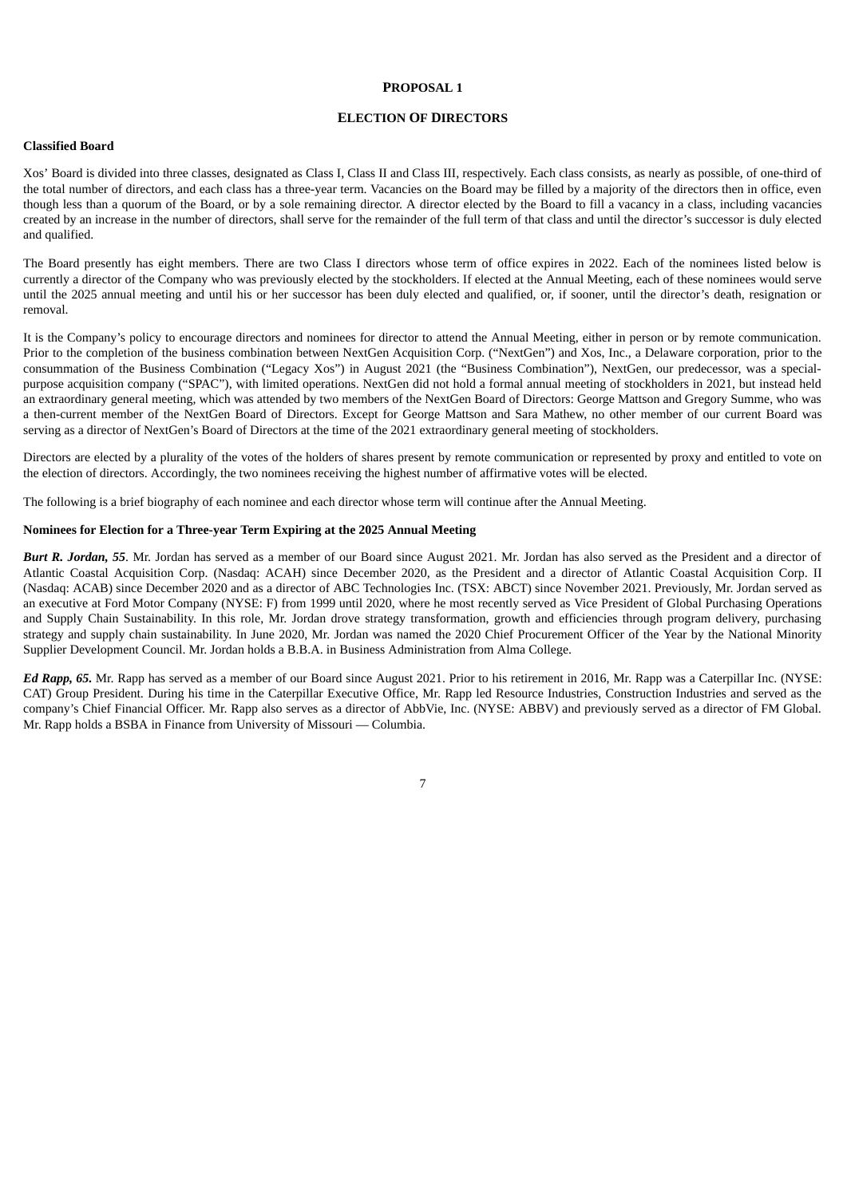#### **PROPOSAL 1**

## **ELECTION OF DIRECTORS**

#### **Classified Board**

Xos' Board is divided into three classes, designated as Class I, Class II and Class III, respectively. Each class consists, as nearly as possible, of one-third of the total number of directors, and each class has a three-year term. Vacancies on the Board may be filled by a majority of the directors then in office, even though less than a quorum of the Board, or by a sole remaining director. A director elected by the Board to fill a vacancy in a class, including vacancies created by an increase in the number of directors, shall serve for the remainder of the full term of that class and until the director's successor is duly elected and qualified.

The Board presently has eight members. There are two Class I directors whose term of office expires in 2022. Each of the nominees listed below is currently a director of the Company who was previously elected by the stockholders. If elected at the Annual Meeting, each of these nominees would serve until the 2025 annual meeting and until his or her successor has been duly elected and qualified, or, if sooner, until the director's death, resignation or removal.

It is the Company's policy to encourage directors and nominees for director to attend the Annual Meeting, either in person or by remote communication. Prior to the completion of the business combination between NextGen Acquisition Corp. ("NextGen") and Xos, Inc., a Delaware corporation, prior to the consummation of the Business Combination ("Legacy Xos") in August 2021 (the "Business Combination"), NextGen, our predecessor, was a specialpurpose acquisition company ("SPAC"), with limited operations. NextGen did not hold a formal annual meeting of stockholders in 2021, but instead held an extraordinary general meeting, which was attended by two members of the NextGen Board of Directors: George Mattson and Gregory Summe, who was a then-current member of the NextGen Board of Directors. Except for George Mattson and Sara Mathew, no other member of our current Board was serving as a director of NextGen's Board of Directors at the time of the 2021 extraordinary general meeting of stockholders.

Directors are elected by a plurality of the votes of the holders of shares present by remote communication or represented by proxy and entitled to vote on the election of directors. Accordingly, the two nominees receiving the highest number of affirmative votes will be elected.

The following is a brief biography of each nominee and each director whose term will continue after the Annual Meeting.

#### **Nominees for Election for a Three-year Term Expiring at the 2025 Annual Meeting**

*Burt R. Jordan, 55*. Mr. Jordan has served as a member of our Board since August 2021. Mr. Jordan has also served as the President and a director of Atlantic Coastal Acquisition Corp. (Nasdaq: ACAH) since December 2020, as the President and a director of Atlantic Coastal Acquisition Corp. II (Nasdaq: ACAB) since December 2020 and as a director of ABC Technologies Inc. (TSX: ABCT) since November 2021. Previously, Mr. Jordan served as an executive at Ford Motor Company (NYSE: F) from 1999 until 2020, where he most recently served as Vice President of Global Purchasing Operations and Supply Chain Sustainability. In this role, Mr. Jordan drove strategy transformation, growth and efficiencies through program delivery, purchasing strategy and supply chain sustainability. In June 2020, Mr. Jordan was named the 2020 Chief Procurement Officer of the Year by the National Minority Supplier Development Council. Mr. Jordan holds a B.B.A. in Business Administration from Alma College.

*Ed Rapp, 65.* Mr. Rapp has served as a member of our Board since August 2021. Prior to his retirement in 2016, Mr. Rapp was a Caterpillar Inc. (NYSE: CAT) Group President. During his time in the Caterpillar Executive Office, Mr. Rapp led Resource Industries, Construction Industries and served as the company's Chief Financial Officer. Mr. Rapp also serves as a director of AbbVie, Inc. (NYSE: ABBV) and previously served as a director of FM Global. Mr. Rapp holds a BSBA in Finance from University of Missouri — Columbia.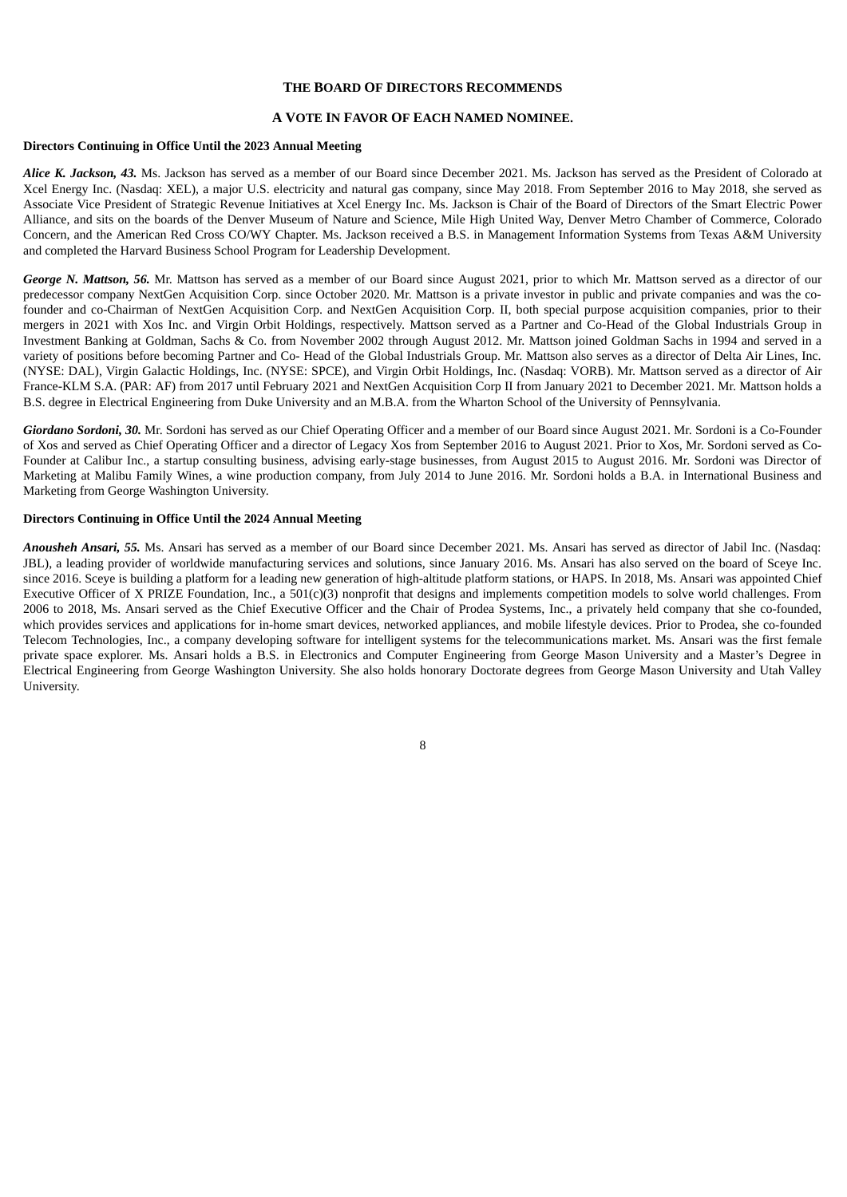## **THE BOARD OF DIRECTORS RECOMMENDS**

#### **A VOTE IN FAVOR OF EACH NAMED NOMINEE.**

#### **Directors Continuing in Office Until the 2023 Annual Meeting**

*Alice K. Jackson, 43.* Ms. Jackson has served as a member of our Board since December 2021. Ms. Jackson has served as the President of Colorado at Xcel Energy Inc. (Nasdaq: XEL), a major U.S. electricity and natural gas company, since May 2018. From September 2016 to May 2018, she served as Associate Vice President of Strategic Revenue Initiatives at Xcel Energy Inc. Ms. Jackson is Chair of the Board of Directors of the Smart Electric Power Alliance, and sits on the boards of the Denver Museum of Nature and Science, Mile High United Way, Denver Metro Chamber of Commerce, Colorado Concern, and the American Red Cross CO/WY Chapter. Ms. Jackson received a B.S. in Management Information Systems from Texas A&M University and completed the Harvard Business School Program for Leadership Development.

*George N. Mattson, 56.* Mr. Mattson has served as a member of our Board since August 2021, prior to which Mr. Mattson served as a director of our predecessor company NextGen Acquisition Corp. since October 2020. Mr. Mattson is a private investor in public and private companies and was the cofounder and co-Chairman of NextGen Acquisition Corp. and NextGen Acquisition Corp. II, both special purpose acquisition companies, prior to their mergers in 2021 with Xos Inc. and Virgin Orbit Holdings, respectively. Mattson served as a Partner and Co-Head of the Global Industrials Group in Investment Banking at Goldman, Sachs & Co. from November 2002 through August 2012. Mr. Mattson joined Goldman Sachs in 1994 and served in a variety of positions before becoming Partner and Co- Head of the Global Industrials Group. Mr. Mattson also serves as a director of Delta Air Lines, Inc. (NYSE: DAL), Virgin Galactic Holdings, Inc. (NYSE: SPCE), and Virgin Orbit Holdings, Inc. (Nasdaq: VORB). Mr. Mattson served as a director of Air France-KLM S.A. (PAR: AF) from 2017 until February 2021 and NextGen Acquisition Corp II from January 2021 to December 2021. Mr. Mattson holds a B.S. degree in Electrical Engineering from Duke University and an M.B.A. from the Wharton School of the University of Pennsylvania.

*Giordano Sordoni, 30.* Mr. Sordoni has served as our Chief Operating Officer and a member of our Board since August 2021. Mr. Sordoni is a Co-Founder of Xos and served as Chief Operating Officer and a director of Legacy Xos from September 2016 to August 2021. Prior to Xos, Mr. Sordoni served as Co-Founder at Calibur Inc., a startup consulting business, advising early-stage businesses, from August 2015 to August 2016. Mr. Sordoni was Director of Marketing at Malibu Family Wines, a wine production company, from July 2014 to June 2016. Mr. Sordoni holds a B.A. in International Business and Marketing from George Washington University.

## **Directors Continuing in Office Until the 2024 Annual Meeting**

*Anousheh Ansari, 55.* Ms. Ansari has served as a member of our Board since December 2021. Ms. Ansari has served as director of Jabil Inc. (Nasdaq: JBL), a leading provider of worldwide manufacturing services and solutions, since January 2016. Ms. Ansari has also served on the board of Sceye Inc. since 2016. Sceye is building a platform for a leading new generation of high-altitude platform stations, or HAPS. In 2018, Ms. Ansari was appointed Chief Executive Officer of X PRIZE Foundation, Inc., a 501(c)(3) nonprofit that designs and implements competition models to solve world challenges. From 2006 to 2018, Ms. Ansari served as the Chief Executive Officer and the Chair of Prodea Systems, Inc., a privately held company that she co-founded, which provides services and applications for in-home smart devices, networked appliances, and mobile lifestyle devices. Prior to Prodea, she co-founded Telecom Technologies, Inc., a company developing software for intelligent systems for the telecommunications market. Ms. Ansari was the first female private space explorer. Ms. Ansari holds a B.S. in Electronics and Computer Engineering from George Mason University and a Master's Degree in Electrical Engineering from George Washington University. She also holds honorary Doctorate degrees from George Mason University and Utah Valley University.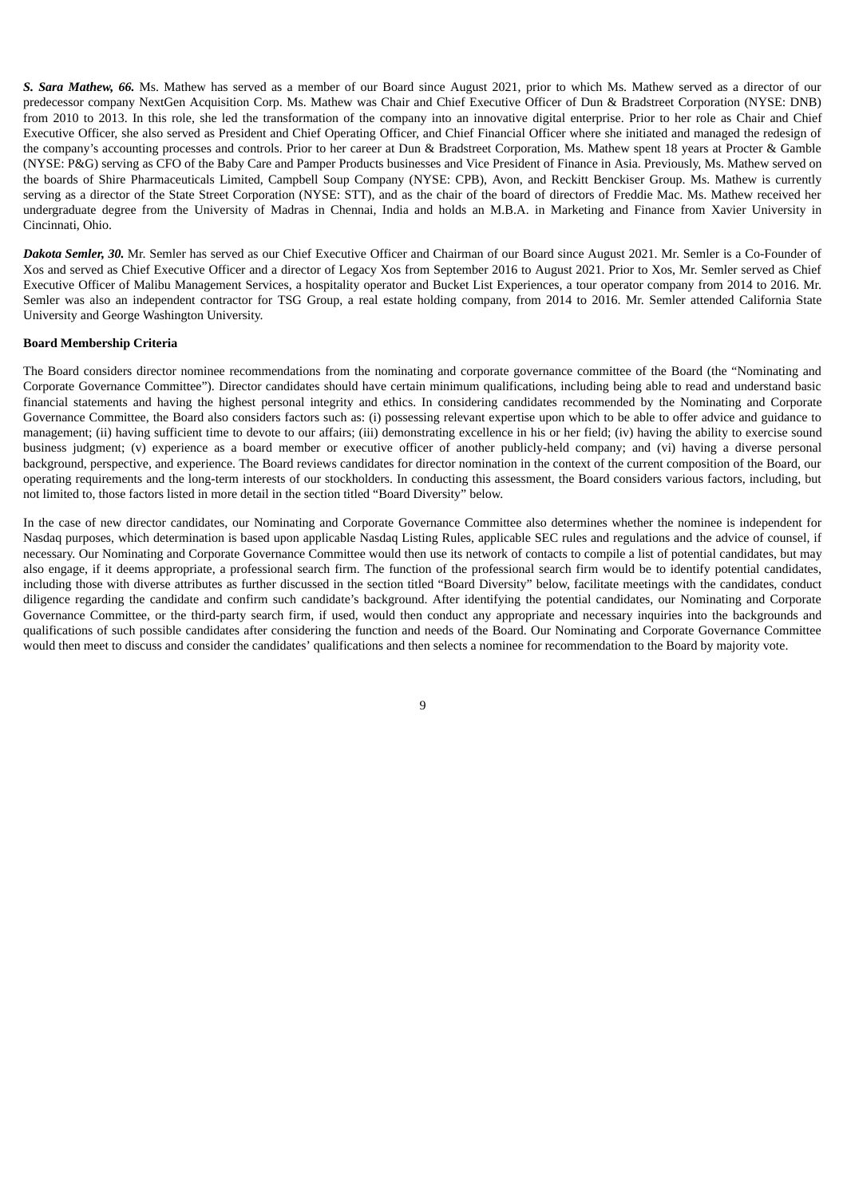*S. Sara Mathew, 66.* Ms. Mathew has served as a member of our Board since August 2021, prior to which Ms. Mathew served as a director of our predecessor company NextGen Acquisition Corp. Ms. Mathew was Chair and Chief Executive Officer of Dun & Bradstreet Corporation (NYSE: DNB) from 2010 to 2013. In this role, she led the transformation of the company into an innovative digital enterprise. Prior to her role as Chair and Chief Executive Officer, she also served as President and Chief Operating Officer, and Chief Financial Officer where she initiated and managed the redesign of the company's accounting processes and controls. Prior to her career at Dun & Bradstreet Corporation, Ms. Mathew spent 18 years at Procter & Gamble (NYSE: P&G) serving as CFO of the Baby Care and Pamper Products businesses and Vice President of Finance in Asia. Previously, Ms. Mathew served on the boards of Shire Pharmaceuticals Limited, Campbell Soup Company (NYSE: CPB), Avon, and Reckitt Benckiser Group. Ms. Mathew is currently serving as a director of the State Street Corporation (NYSE: STT), and as the chair of the board of directors of Freddie Mac. Ms. Mathew received her undergraduate degree from the University of Madras in Chennai, India and holds an M.B.A. in Marketing and Finance from Xavier University in Cincinnati, Ohio.

*Dakota Semler, 30.* Mr. Semler has served as our Chief Executive Officer and Chairman of our Board since August 2021. Mr. Semler is a Co-Founder of Xos and served as Chief Executive Officer and a director of Legacy Xos from September 2016 to August 2021. Prior to Xos, Mr. Semler served as Chief Executive Officer of Malibu Management Services, a hospitality operator and Bucket List Experiences, a tour operator company from 2014 to 2016. Mr. Semler was also an independent contractor for TSG Group, a real estate holding company, from 2014 to 2016. Mr. Semler attended California State University and George Washington University.

#### **Board Membership Criteria**

The Board considers director nominee recommendations from the nominating and corporate governance committee of the Board (the "Nominating and Corporate Governance Committee"). Director candidates should have certain minimum qualifications, including being able to read and understand basic financial statements and having the highest personal integrity and ethics. In considering candidates recommended by the Nominating and Corporate Governance Committee, the Board also considers factors such as: (i) possessing relevant expertise upon which to be able to offer advice and guidance to management; (ii) having sufficient time to devote to our affairs; (iii) demonstrating excellence in his or her field; (iv) having the ability to exercise sound business judgment; (v) experience as a board member or executive officer of another publicly-held company; and (vi) having a diverse personal background, perspective, and experience. The Board reviews candidates for director nomination in the context of the current composition of the Board, our operating requirements and the long-term interests of our stockholders. In conducting this assessment, the Board considers various factors, including, but not limited to, those factors listed in more detail in the section titled "Board Diversity" below.

In the case of new director candidates, our Nominating and Corporate Governance Committee also determines whether the nominee is independent for Nasdaq purposes, which determination is based upon applicable Nasdaq Listing Rules, applicable SEC rules and regulations and the advice of counsel, if necessary. Our Nominating and Corporate Governance Committee would then use its network of contacts to compile a list of potential candidates, but may also engage, if it deems appropriate, a professional search firm. The function of the professional search firm would be to identify potential candidates, including those with diverse attributes as further discussed in the section titled "Board Diversity" below, facilitate meetings with the candidates, conduct diligence regarding the candidate and confirm such candidate's background. After identifying the potential candidates, our Nominating and Corporate Governance Committee, or the third-party search firm, if used, would then conduct any appropriate and necessary inquiries into the backgrounds and qualifications of such possible candidates after considering the function and needs of the Board. Our Nominating and Corporate Governance Committee would then meet to discuss and consider the candidates' qualifications and then selects a nominee for recommendation to the Board by majority vote.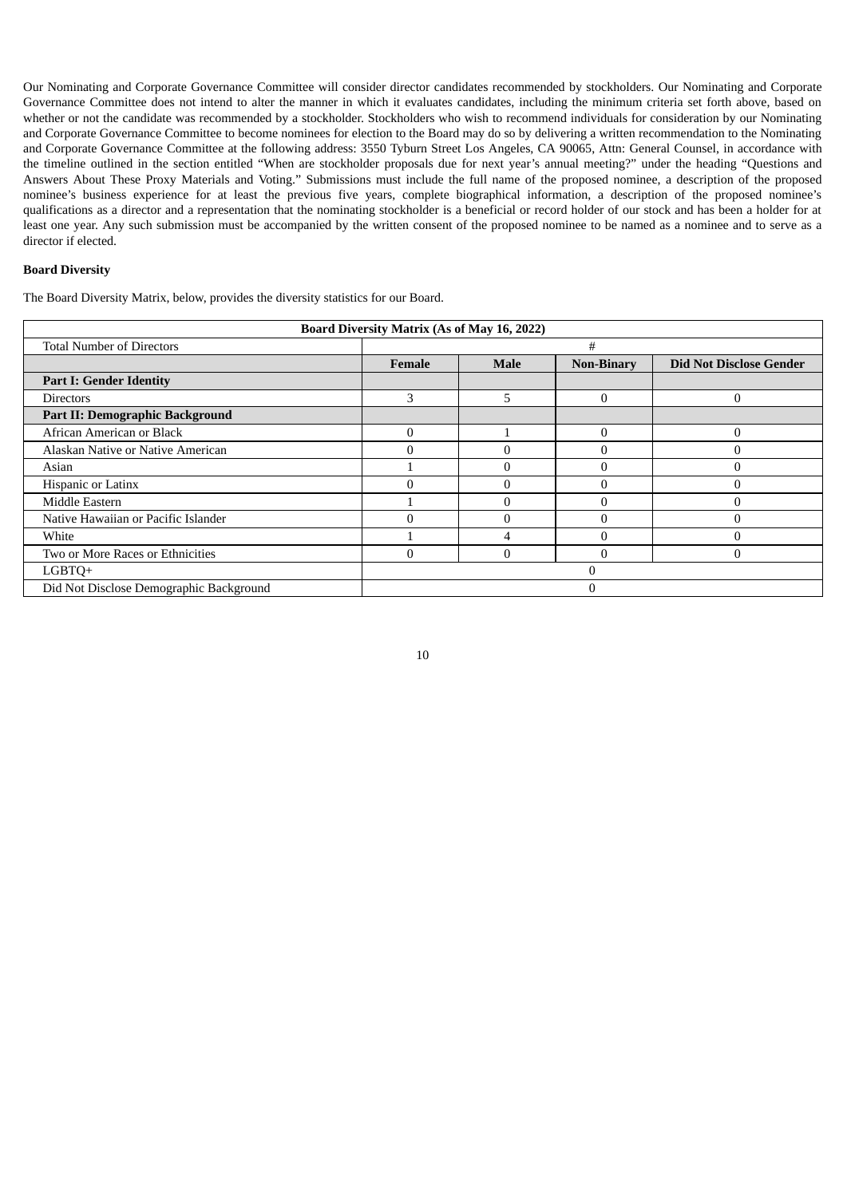Our Nominating and Corporate Governance Committee will consider director candidates recommended by stockholders. Our Nominating and Corporate Governance Committee does not intend to alter the manner in which it evaluates candidates, including the minimum criteria set forth above, based on whether or not the candidate was recommended by a stockholder. Stockholders who wish to recommend individuals for consideration by our Nominating and Corporate Governance Committee to become nominees for election to the Board may do so by delivering a written recommendation to the Nominating and Corporate Governance Committee at the following address: 3550 Tyburn Street Los Angeles, CA 90065, Attn: General Counsel, in accordance with the timeline outlined in the section entitled "When are stockholder proposals due for next year's annual meeting?" under the heading "Questions and Answers About These Proxy Materials and Voting." Submissions must include the full name of the proposed nominee, a description of the proposed nominee's business experience for at least the previous five years, complete biographical information, a description of the proposed nominee's qualifications as a director and a representation that the nominating stockholder is a beneficial or record holder of our stock and has been a holder for at least one year. Any such submission must be accompanied by the written consent of the proposed nominee to be named as a nominee and to serve as a director if elected.

### **Board Diversity**

The Board Diversity Matrix, below, provides the diversity statistics for our Board.

<span id="page-14-0"></span>

| <b>Board Diversity Matrix (As of May 16, 2022)</b> |                                                                                     |   |   |  |  |  |  |
|----------------------------------------------------|-------------------------------------------------------------------------------------|---|---|--|--|--|--|
| <b>Total Number of Directors</b>                   |                                                                                     |   | # |  |  |  |  |
|                                                    | <b>Non-Binary</b><br><b>Did Not Disclose Gender</b><br><b>Female</b><br><b>Male</b> |   |   |  |  |  |  |
| <b>Part I: Gender Identity</b>                     |                                                                                     |   |   |  |  |  |  |
| <b>Directors</b>                                   | 3                                                                                   | 5 | 0 |  |  |  |  |
| Part II: Demographic Background                    |                                                                                     |   |   |  |  |  |  |
| African American or Black                          | $\Omega$                                                                            |   | 0 |  |  |  |  |
| Alaskan Native or Native American                  |                                                                                     |   |   |  |  |  |  |
| Asian                                              |                                                                                     |   |   |  |  |  |  |
| Hispanic or Latinx                                 |                                                                                     |   |   |  |  |  |  |
| Middle Eastern                                     |                                                                                     |   | ſ |  |  |  |  |
| Native Hawaiian or Pacific Islander                | Λ                                                                                   |   | ſ |  |  |  |  |
| White                                              |                                                                                     |   |   |  |  |  |  |
| Two or More Races or Ethnicities                   | U                                                                                   |   |   |  |  |  |  |
| LGBTO+                                             |                                                                                     |   |   |  |  |  |  |
| Did Not Disclose Demographic Background            |                                                                                     |   |   |  |  |  |  |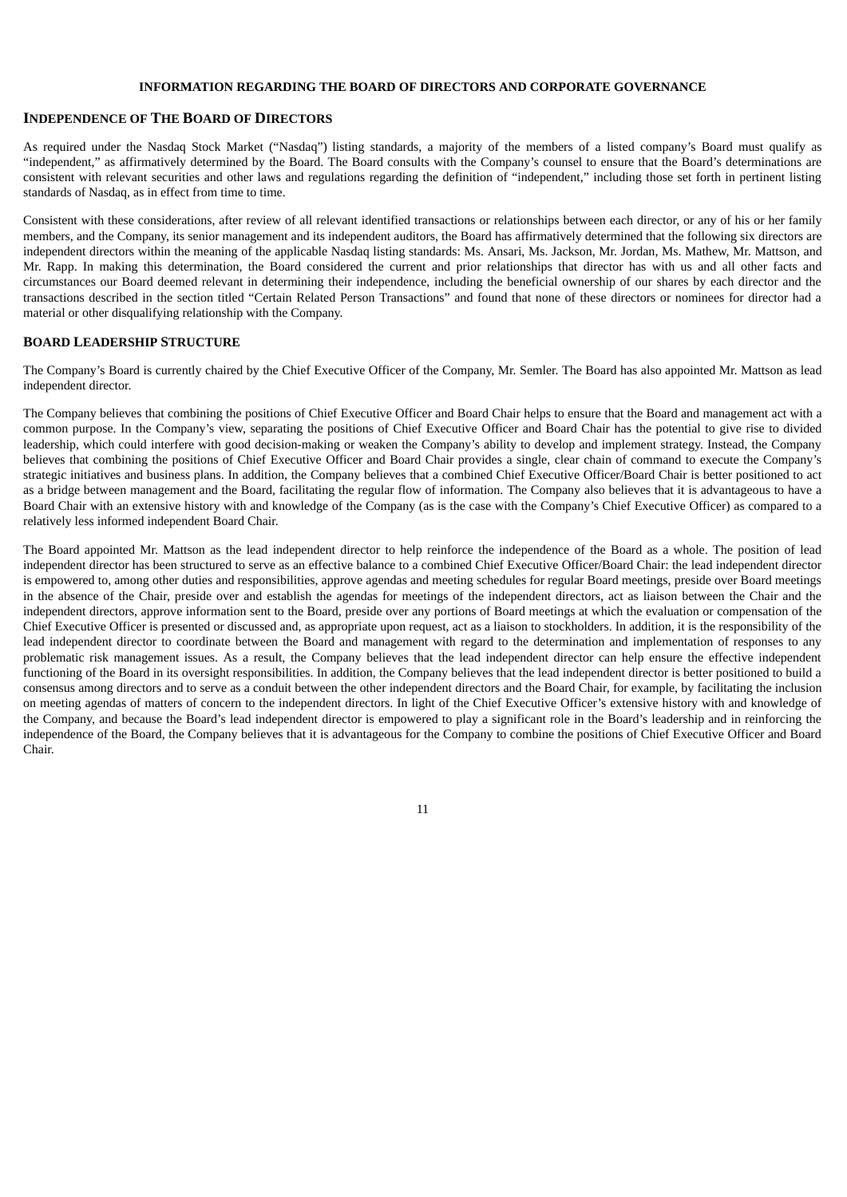## **INFORMATION REGARDING THE BOARD OF DIRECTORS AND CORPORATE GOVERNANCE**

#### <span id="page-15-0"></span>**INDEPENDENCE OF THE BOARD OF DIRECTORS**

As required under the Nasdaq Stock Market ("Nasdaq") listing standards, a majority of the members of a listed company's Board must qualify as "independent," as affirmatively determined by the Board. The Board consults with the Company's counsel to ensure that the Board's determinations are consistent with relevant securities and other laws and regulations regarding the definition of "independent," including those set forth in pertinent listing standards of Nasdaq, as in effect from time to time.

Consistent with these considerations, after review of all relevant identified transactions or relationships between each director, or any of his or her family members, and the Company, its senior management and its independent auditors, the Board has affirmatively determined that the following six directors are independent directors within the meaning of the applicable Nasdaq listing standards: Ms. Ansari, Ms. Jackson, Mr. Jordan, Ms. Mathew, Mr. Mattson, and Mr. Rapp. In making this determination, the Board considered the current and prior relationships that director has with us and all other facts and circumstances our Board deemed relevant in determining their independence, including the beneficial ownership of our shares by each director and the transactions described in the section titled "Certain Related Person Transactions" and found that none of these directors or nominees for director had a material or other disqualifying relationship with the Company.

#### <span id="page-15-1"></span>**BOARD LEADERSHIP STRUCTURE**

The Company's Board is currently chaired by the Chief Executive Officer of the Company, Mr. Semler. The Board has also appointed Mr. Mattson as lead independent director.

The Company believes that combining the positions of Chief Executive Officer and Board Chair helps to ensure that the Board and management act with a common purpose. In the Company's view, separating the positions of Chief Executive Officer and Board Chair has the potential to give rise to divided leadership, which could interfere with good decision-making or weaken the Company's ability to develop and implement strategy. Instead, the Company believes that combining the positions of Chief Executive Officer and Board Chair provides a single, clear chain of command to execute the Company's strategic initiatives and business plans. In addition, the Company believes that a combined Chief Executive Officer/Board Chair is better positioned to act as a bridge between management and the Board, facilitating the regular flow of information. The Company also believes that it is advantageous to have a Board Chair with an extensive history with and knowledge of the Company (as is the case with the Company's Chief Executive Officer) as compared to a relatively less informed independent Board Chair.

<span id="page-15-2"></span>The Board appointed Mr. Mattson as the lead independent director to help reinforce the independence of the Board as a whole. The position of lead independent director has been structured to serve as an effective balance to a combined Chief Executive Officer/Board Chair: the lead independent director is empowered to, among other duties and responsibilities, approve agendas and meeting schedules for regular Board meetings, preside over Board meetings in the absence of the Chair, preside over and establish the agendas for meetings of the independent directors, act as liaison between the Chair and the independent directors, approve information sent to the Board, preside over any portions of Board meetings at which the evaluation or compensation of the Chief Executive Officer is presented or discussed and, as appropriate upon request, act as a liaison to stockholders. In addition, it is the responsibility of the lead independent director to coordinate between the Board and management with regard to the determination and implementation of responses to any problematic risk management issues. As a result, the Company believes that the lead independent director can help ensure the effective independent functioning of the Board in its oversight responsibilities. In addition, the Company believes that the lead independent director is better positioned to build a consensus among directors and to serve as a conduit between the other independent directors and the Board Chair, for example, by facilitating the inclusion on meeting agendas of matters of concern to the independent directors. In light of the Chief Executive Officer's extensive history with and knowledge of the Company, and because the Board's lead independent director is empowered to play a significant role in the Board's leadership and in reinforcing the independence of the Board, the Company believes that it is advantageous for the Company to combine the positions of Chief Executive Officer and Board Chair.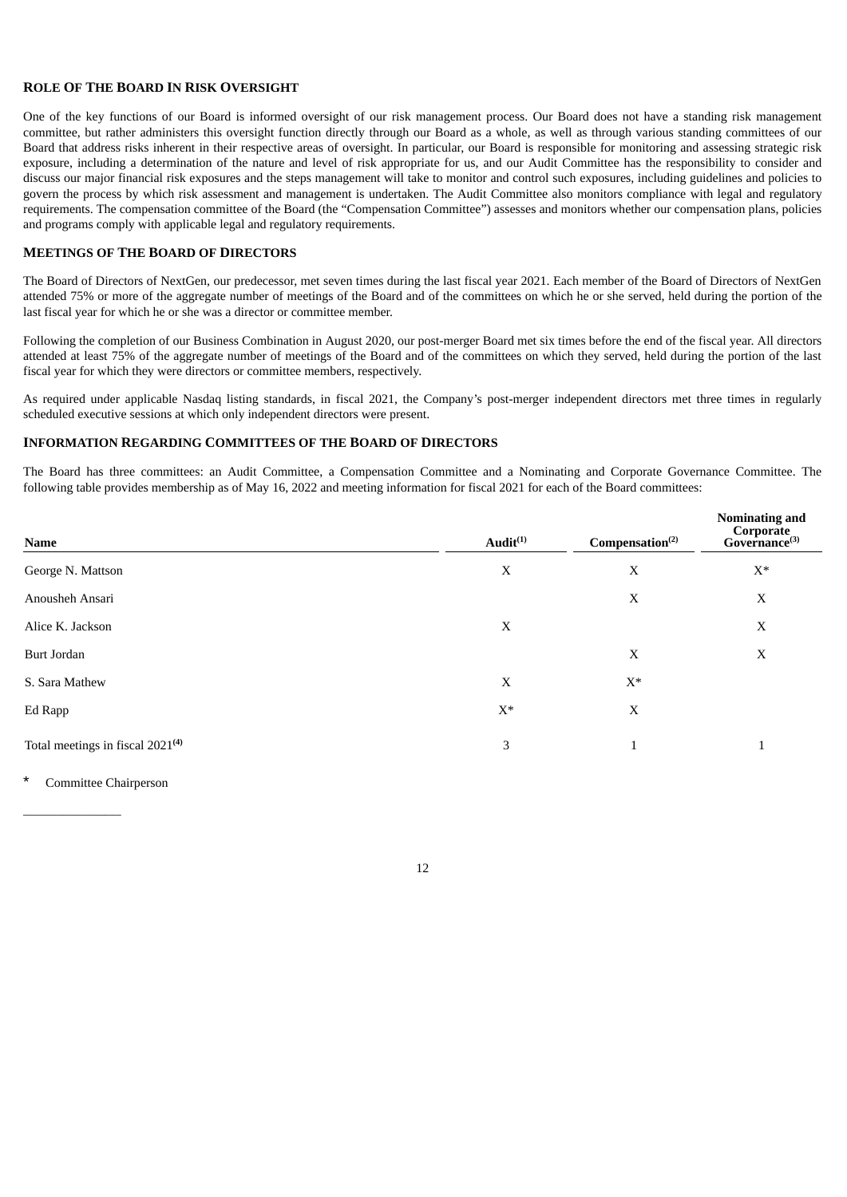## **ROLE OF THE BOARD IN RISK OVERSIGHT**

One of the key functions of our Board is informed oversight of our risk management process. Our Board does not have a standing risk management committee, but rather administers this oversight function directly through our Board as a whole, as well as through various standing committees of our Board that address risks inherent in their respective areas of oversight. In particular, our Board is responsible for monitoring and assessing strategic risk exposure, including a determination of the nature and level of risk appropriate for us, and our Audit Committee has the responsibility to consider and discuss our major financial risk exposures and the steps management will take to monitor and control such exposures, including guidelines and policies to govern the process by which risk assessment and management is undertaken. The Audit Committee also monitors compliance with legal and regulatory requirements. The compensation committee of the Board (the "Compensation Committee") assesses and monitors whether our compensation plans, policies and programs comply with applicable legal and regulatory requirements.

## <span id="page-16-0"></span>**MEETINGS OF THE BOARD OF DIRECTORS**

The Board of Directors of NextGen, our predecessor, met seven times during the last fiscal year 2021. Each member of the Board of Directors of NextGen attended 75% or more of the aggregate number of meetings of the Board and of the committees on which he or she served, held during the portion of the last fiscal year for which he or she was a director or committee member.

Following the completion of our Business Combination in August 2020, our post-merger Board met six times before the end of the fiscal year. All directors attended at least 75% of the aggregate number of meetings of the Board and of the committees on which they served, held during the portion of the last fiscal year for which they were directors or committee members, respectively.

As required under applicable Nasdaq listing standards, in fiscal 2021, the Company's post-merger independent directors met three times in regularly scheduled executive sessions at which only independent directors were present.

#### <span id="page-16-1"></span>**INFORMATION REGARDING COMMITTEES OF THE BOARD OF DIRECTORS**

The Board has three committees: an Audit Committee, a Compensation Committee and a Nominating and Corporate Governance Committee. The following table provides membership as of May 16, 2022 and meeting information for fiscal 2021 for each of the Board committees:

| Name                                         | $Audit^{(1)}$  | Compensation <sup>(2)</sup> | <b>Nominating and</b><br>Corporate<br>Governance <sup>(3)</sup> |
|----------------------------------------------|----------------|-----------------------------|-----------------------------------------------------------------|
| George N. Mattson                            | X              | X                           | $X^*$                                                           |
| Anousheh Ansari                              |                | X                           | X                                                               |
| Alice K. Jackson                             | X              |                             | X                                                               |
| Burt Jordan                                  |                | X                           | X                                                               |
| S. Sara Mathew                               | X              | $X^*$                       |                                                                 |
| Ed Rapp                                      | $\mathbf{X}^*$ | X                           |                                                                 |
| Total meetings in fiscal 2021 <sup>(4)</sup> | 3              | $\mathbf{1}$                | $\mathbf{1}$                                                    |

Committee Chairperson

 $\mathcal{L}$  and  $\mathcal{L}$  and  $\mathcal{L}$  are the set of the set of the set of the set of the set of the set of the set of the set of the set of the set of the set of the set of the set of the set of the set of the set of the se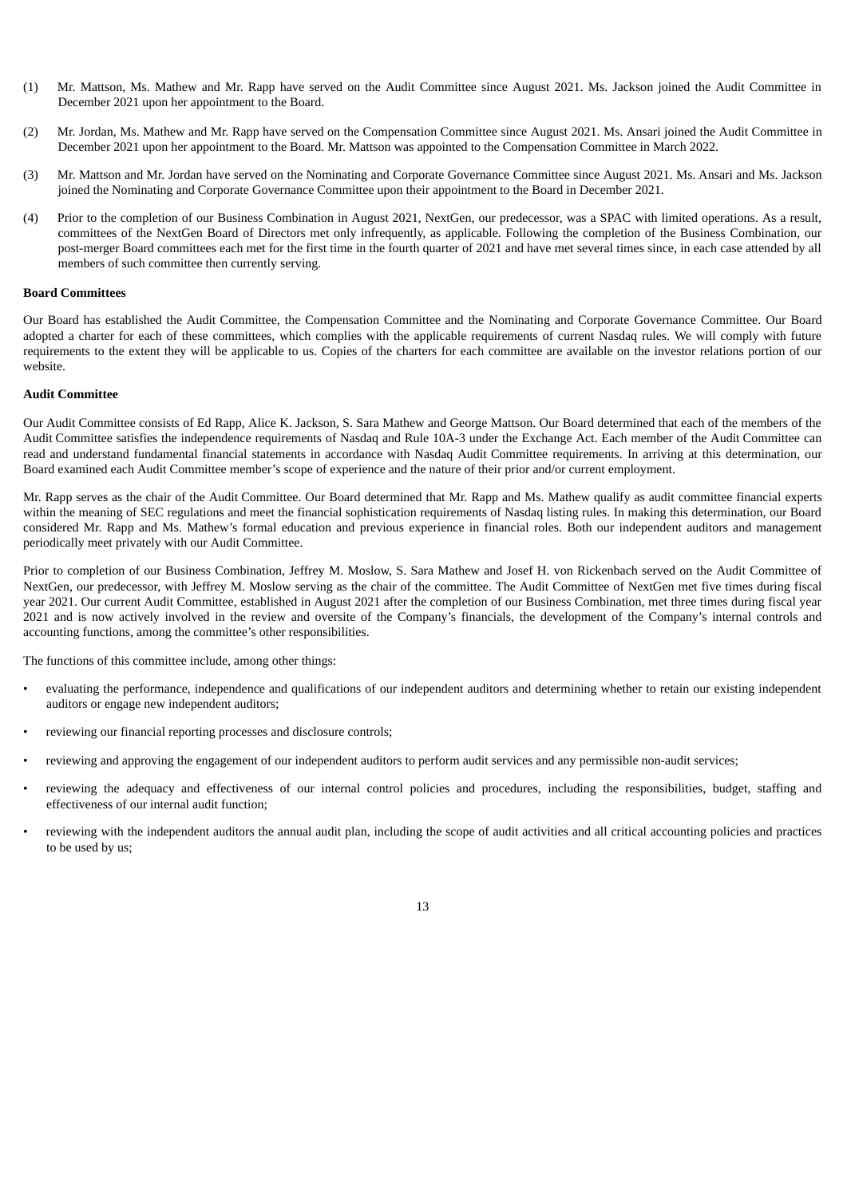- (1) Mr. Mattson, Ms. Mathew and Mr. Rapp have served on the Audit Committee since August 2021. Ms. Jackson joined the Audit Committee in December 2021 upon her appointment to the Board.
- (2) Mr. Jordan, Ms. Mathew and Mr. Rapp have served on the Compensation Committee since August 2021. Ms. Ansari joined the Audit Committee in December 2021 upon her appointment to the Board. Mr. Mattson was appointed to the Compensation Committee in March 2022.
- (3) Mr. Mattson and Mr. Jordan have served on the Nominating and Corporate Governance Committee since August 2021. Ms. Ansari and Ms. Jackson joined the Nominating and Corporate Governance Committee upon their appointment to the Board in December 2021.
- (4) Prior to the completion of our Business Combination in August 2021, NextGen, our predecessor, was a SPAC with limited operations. As a result, committees of the NextGen Board of Directors met only infrequently, as applicable. Following the completion of the Business Combination, our post-merger Board committees each met for the first time in the fourth quarter of 2021 and have met several times since, in each case attended by all members of such committee then currently serving.

#### **Board Committees**

Our Board has established the Audit Committee, the Compensation Committee and the Nominating and Corporate Governance Committee. Our Board adopted a charter for each of these committees, which complies with the applicable requirements of current Nasdaq rules. We will comply with future requirements to the extent they will be applicable to us. Copies of the charters for each committee are available on the investor relations portion of our website.

#### <span id="page-17-0"></span>**Audit Committee**

Our Audit Committee consists of Ed Rapp, Alice K. Jackson, S. Sara Mathew and George Mattson. Our Board determined that each of the members of the Audit Committee satisfies the independence requirements of Nasdaq and Rule 10A-3 under the Exchange Act. Each member of the Audit Committee can read and understand fundamental financial statements in accordance with Nasdaq Audit Committee requirements. In arriving at this determination, our Board examined each Audit Committee member's scope of experience and the nature of their prior and/or current employment.

Mr. Rapp serves as the chair of the Audit Committee. Our Board determined that Mr. Rapp and Ms. Mathew qualify as audit committee financial experts within the meaning of SEC regulations and meet the financial sophistication requirements of Nasdaq listing rules. In making this determination, our Board considered Mr. Rapp and Ms. Mathew's formal education and previous experience in financial roles. Both our independent auditors and management periodically meet privately with our Audit Committee.

Prior to completion of our Business Combination, Jeffrey M. Moslow, S. Sara Mathew and Josef H. von Rickenbach served on the Audit Committee of NextGen, our predecessor, with Jeffrey M. Moslow serving as the chair of the committee. The Audit Committee of NextGen met five times during fiscal year 2021. Our current Audit Committee, established in August 2021 after the completion of our Business Combination, met three times during fiscal year 2021 and is now actively involved in the review and oversite of the Company's financials, the development of the Company's internal controls and accounting functions, among the committee's other responsibilities.

The functions of this committee include, among other things:

- evaluating the performance, independence and qualifications of our independent auditors and determining whether to retain our existing independent auditors or engage new independent auditors;
- reviewing our financial reporting processes and disclosure controls;
- reviewing and approving the engagement of our independent auditors to perform audit services and any permissible non-audit services;
- reviewing the adequacy and effectiveness of our internal control policies and procedures, including the responsibilities, budget, staffing and effectiveness of our internal audit function;
- reviewing with the independent auditors the annual audit plan, including the scope of audit activities and all critical accounting policies and practices to be used by us;

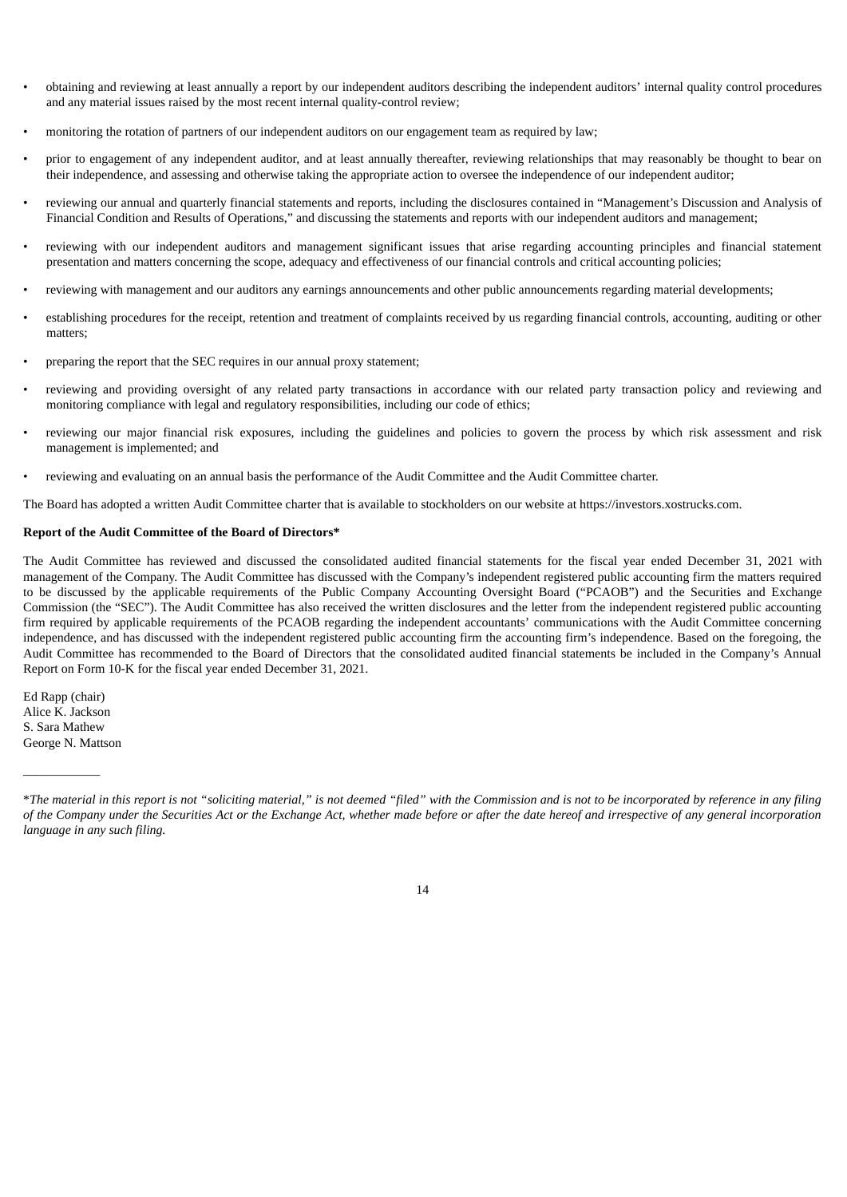- obtaining and reviewing at least annually a report by our independent auditors describing the independent auditors' internal quality control procedures and any material issues raised by the most recent internal quality-control review;
- monitoring the rotation of partners of our independent auditors on our engagement team as required by law;
- prior to engagement of any independent auditor, and at least annually thereafter, reviewing relationships that may reasonably be thought to bear on their independence, and assessing and otherwise taking the appropriate action to oversee the independence of our independent auditor;
- reviewing our annual and quarterly financial statements and reports, including the disclosures contained in "Management's Discussion and Analysis of Financial Condition and Results of Operations," and discussing the statements and reports with our independent auditors and management;
- reviewing with our independent auditors and management significant issues that arise regarding accounting principles and financial statement presentation and matters concerning the scope, adequacy and effectiveness of our financial controls and critical accounting policies;
- reviewing with management and our auditors any earnings announcements and other public announcements regarding material developments;
- establishing procedures for the receipt, retention and treatment of complaints received by us regarding financial controls, accounting, auditing or other matters;
- preparing the report that the SEC requires in our annual proxy statement;
- reviewing and providing oversight of any related party transactions in accordance with our related party transaction policy and reviewing and monitoring compliance with legal and regulatory responsibilities, including our code of ethics;
- reviewing our major financial risk exposures, including the guidelines and policies to govern the process by which risk assessment and risk management is implemented; and
- reviewing and evaluating on an annual basis the performance of the Audit Committee and the Audit Committee charter.

The Board has adopted a written Audit Committee charter that is available to stockholders on our website at https://investors.xostrucks.com.

#### **Report of the Audit Committee of the Board of Directors\***

The Audit Committee has reviewed and discussed the consolidated audited financial statements for the fiscal year ended December 31, 2021 with management of the Company. The Audit Committee has discussed with the Company's independent registered public accounting firm the matters required to be discussed by the applicable requirements of the Public Company Accounting Oversight Board ("PCAOB") and the Securities and Exchange Commission (the "SEC"). The Audit Committee has also received the written disclosures and the letter from the independent registered public accounting firm required by applicable requirements of the PCAOB regarding the independent accountants' communications with the Audit Committee concerning independence, and has discussed with the independent registered public accounting firm the accounting firm's independence. Based on the foregoing, the Audit Committee has recommended to the Board of Directors that the consolidated audited financial statements be included in the Company's Annual Report on Form 10-K for the fiscal year ended December 31, 2021.

Ed Rapp (chair) Alice K. Jackson S. Sara Mathew George N. Mattson

 $\overline{\phantom{a}}$  , where  $\overline{\phantom{a}}$ 

<span id="page-18-0"></span><sup>\*</sup>The material in this report is not "soliciting material," is not deemed "filed" with the Commission and is not to be incorporated by reference in any filing of the Company under the Securities Act or the Exchange Act, whether made before or after the date hereof and irrespective of any general incorporation *language in any such filing.*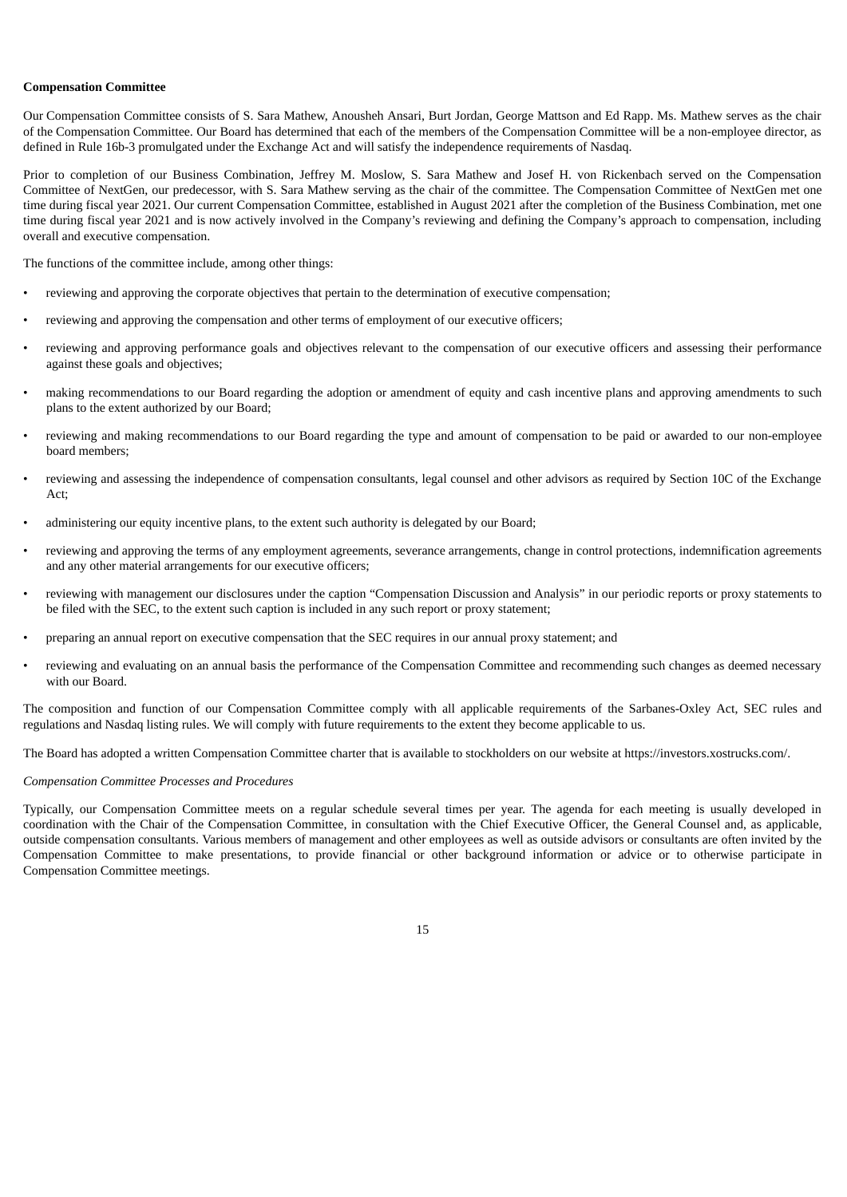#### **Compensation Committee**

Our Compensation Committee consists of S. Sara Mathew, Anousheh Ansari, Burt Jordan, George Mattson and Ed Rapp. Ms. Mathew serves as the chair of the Compensation Committee. Our Board has determined that each of the members of the Compensation Committee will be a non-employee director, as defined in Rule 16b-3 promulgated under the Exchange Act and will satisfy the independence requirements of Nasdaq.

Prior to completion of our Business Combination, Jeffrey M. Moslow, S. Sara Mathew and Josef H. von Rickenbach served on the Compensation Committee of NextGen, our predecessor, with S. Sara Mathew serving as the chair of the committee. The Compensation Committee of NextGen met one time during fiscal year 2021. Our current Compensation Committee, established in August 2021 after the completion of the Business Combination, met one time during fiscal year 2021 and is now actively involved in the Company's reviewing and defining the Company's approach to compensation, including overall and executive compensation.

The functions of the committee include, among other things:

- reviewing and approving the corporate objectives that pertain to the determination of executive compensation;
- reviewing and approving the compensation and other terms of employment of our executive officers;
- reviewing and approving performance goals and objectives relevant to the compensation of our executive officers and assessing their performance against these goals and objectives;
- making recommendations to our Board regarding the adoption or amendment of equity and cash incentive plans and approving amendments to such plans to the extent authorized by our Board;
- reviewing and making recommendations to our Board regarding the type and amount of compensation to be paid or awarded to our non-employee board members;
- reviewing and assessing the independence of compensation consultants, legal counsel and other advisors as required by Section 10C of the Exchange Act;
- administering our equity incentive plans, to the extent such authority is delegated by our Board;
- reviewing and approving the terms of any employment agreements, severance arrangements, change in control protections, indemnification agreements and any other material arrangements for our executive officers;
- reviewing with management our disclosures under the caption "Compensation Discussion and Analysis" in our periodic reports or proxy statements to be filed with the SEC, to the extent such caption is included in any such report or proxy statement;
- preparing an annual report on executive compensation that the SEC requires in our annual proxy statement; and
- reviewing and evaluating on an annual basis the performance of the Compensation Committee and recommending such changes as deemed necessary with our Board.

The composition and function of our Compensation Committee comply with all applicable requirements of the Sarbanes-Oxley Act, SEC rules and regulations and Nasdaq listing rules. We will comply with future requirements to the extent they become applicable to us.

The Board has adopted a written Compensation Committee charter that is available to stockholders on our website at https://investors.xostrucks.com/.

#### *Compensation Committee Processes and Procedures*

Typically, our Compensation Committee meets on a regular schedule several times per year. The agenda for each meeting is usually developed in coordination with the Chair of the Compensation Committee, in consultation with the Chief Executive Officer, the General Counsel and, as applicable, outside compensation consultants. Various members of management and other employees as well as outside advisors or consultants are often invited by the Compensation Committee to make presentations, to provide financial or other background information or advice or to otherwise participate in Compensation Committee meetings.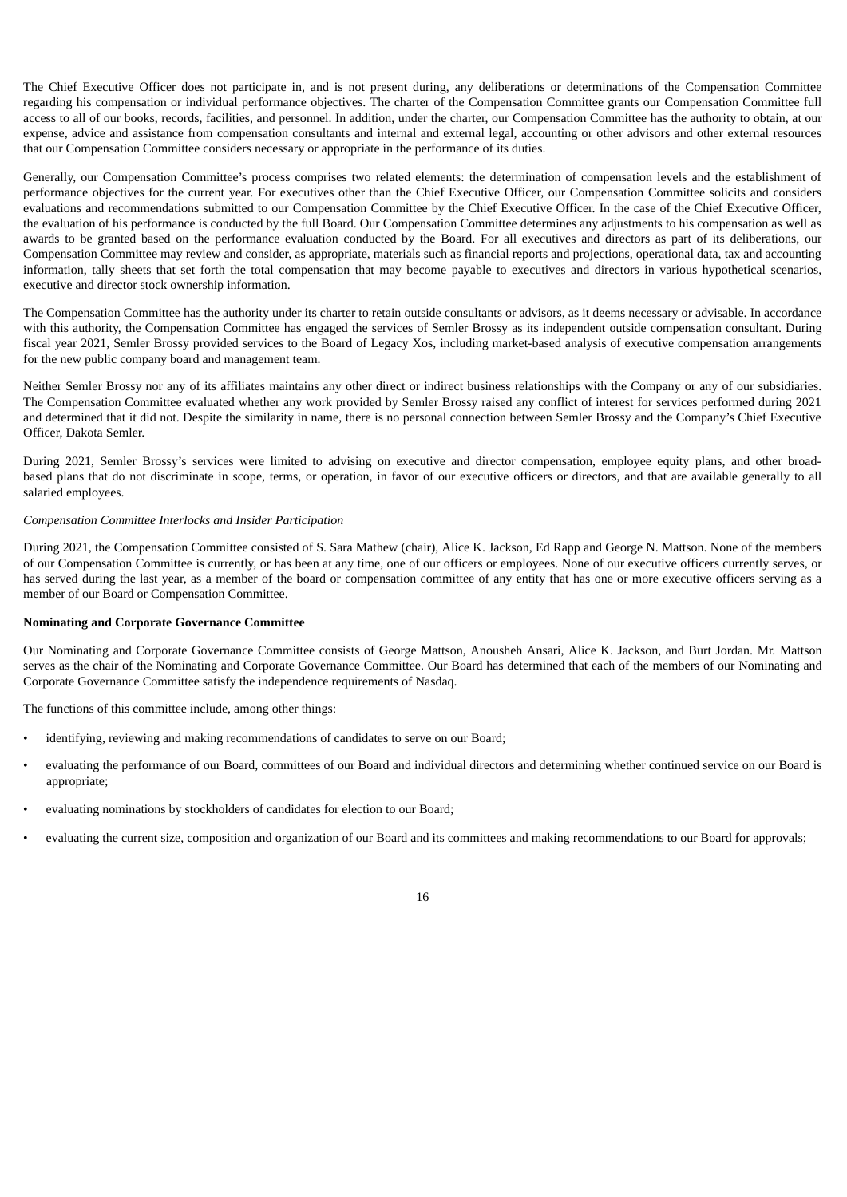The Chief Executive Officer does not participate in, and is not present during, any deliberations or determinations of the Compensation Committee regarding his compensation or individual performance objectives. The charter of the Compensation Committee grants our Compensation Committee full access to all of our books, records, facilities, and personnel. In addition, under the charter, our Compensation Committee has the authority to obtain, at our expense, advice and assistance from compensation consultants and internal and external legal, accounting or other advisors and other external resources that our Compensation Committee considers necessary or appropriate in the performance of its duties.

Generally, our Compensation Committee's process comprises two related elements: the determination of compensation levels and the establishment of performance objectives for the current year. For executives other than the Chief Executive Officer, our Compensation Committee solicits and considers evaluations and recommendations submitted to our Compensation Committee by the Chief Executive Officer. In the case of the Chief Executive Officer, the evaluation of his performance is conducted by the full Board. Our Compensation Committee determines any adjustments to his compensation as well as awards to be granted based on the performance evaluation conducted by the Board. For all executives and directors as part of its deliberations, our Compensation Committee may review and consider, as appropriate, materials such as financial reports and projections, operational data, tax and accounting information, tally sheets that set forth the total compensation that may become payable to executives and directors in various hypothetical scenarios, executive and director stock ownership information.

The Compensation Committee has the authority under its charter to retain outside consultants or advisors, as it deems necessary or advisable. In accordance with this authority, the Compensation Committee has engaged the services of Semler Brossy as its independent outside compensation consultant. During fiscal year 2021, Semler Brossy provided services to the Board of Legacy Xos, including market-based analysis of executive compensation arrangements for the new public company board and management team.

Neither Semler Brossy nor any of its affiliates maintains any other direct or indirect business relationships with the Company or any of our subsidiaries. The Compensation Committee evaluated whether any work provided by Semler Brossy raised any conflict of interest for services performed during 2021 and determined that it did not. Despite the similarity in name, there is no personal connection between Semler Brossy and the Company's Chief Executive Officer, Dakota Semler.

During 2021, Semler Brossy's services were limited to advising on executive and director compensation, employee equity plans, and other broadbased plans that do not discriminate in scope, terms, or operation, in favor of our executive officers or directors, and that are available generally to all salaried employees.

#### *Compensation Committee Interlocks and Insider Participation*

During 2021, the Compensation Committee consisted of S. Sara Mathew (chair), Alice K. Jackson, Ed Rapp and George N. Mattson. None of the members of our Compensation Committee is currently, or has been at any time, one of our officers or employees. None of our executive officers currently serves, or has served during the last year, as a member of the board or compensation committee of any entity that has one or more executive officers serving as a member of our Board or Compensation Committee.

#### <span id="page-20-0"></span>**Nominating and Corporate Governance Committee**

Our Nominating and Corporate Governance Committee consists of George Mattson, Anousheh Ansari, Alice K. Jackson, and Burt Jordan. Mr. Mattson serves as the chair of the Nominating and Corporate Governance Committee. Our Board has determined that each of the members of our Nominating and Corporate Governance Committee satisfy the independence requirements of Nasdaq.

The functions of this committee include, among other things:

- identifying, reviewing and making recommendations of candidates to serve on our Board;
- evaluating the performance of our Board, committees of our Board and individual directors and determining whether continued service on our Board is appropriate;
- evaluating nominations by stockholders of candidates for election to our Board;
- evaluating the current size, composition and organization of our Board and its committees and making recommendations to our Board for approvals;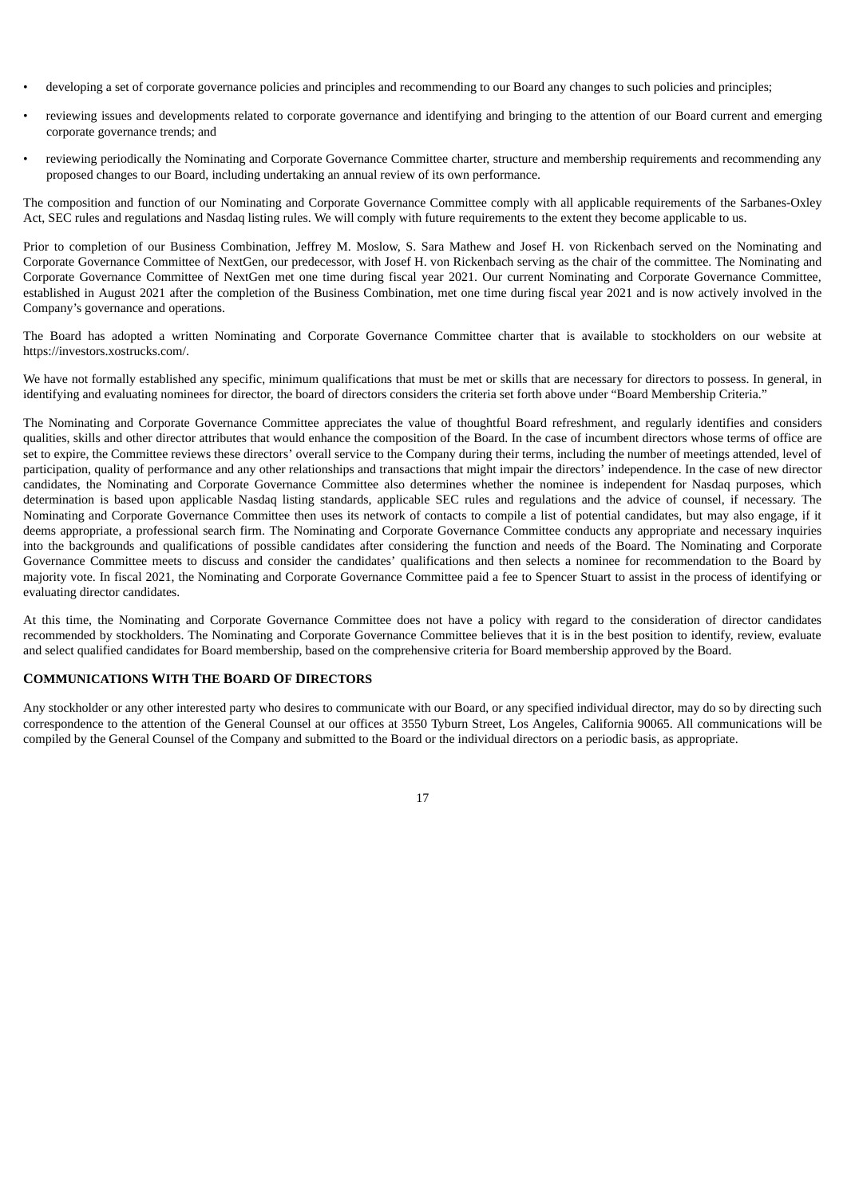- developing a set of corporate governance policies and principles and recommending to our Board any changes to such policies and principles;
- reviewing issues and developments related to corporate governance and identifying and bringing to the attention of our Board current and emerging corporate governance trends; and
- reviewing periodically the Nominating and Corporate Governance Committee charter, structure and membership requirements and recommending any proposed changes to our Board, including undertaking an annual review of its own performance.

The composition and function of our Nominating and Corporate Governance Committee comply with all applicable requirements of the Sarbanes-Oxley Act, SEC rules and regulations and Nasdaq listing rules. We will comply with future requirements to the extent they become applicable to us.

Prior to completion of our Business Combination, Jeffrey M. Moslow, S. Sara Mathew and Josef H. von Rickenbach served on the Nominating and Corporate Governance Committee of NextGen, our predecessor, with Josef H. von Rickenbach serving as the chair of the committee. The Nominating and Corporate Governance Committee of NextGen met one time during fiscal year 2021. Our current Nominating and Corporate Governance Committee, established in August 2021 after the completion of the Business Combination, met one time during fiscal year 2021 and is now actively involved in the Company's governance and operations.

The Board has adopted a written Nominating and Corporate Governance Committee charter that is available to stockholders on our website at https://investors.xostrucks.com/.

We have not formally established any specific, minimum qualifications that must be met or skills that are necessary for directors to possess. In general, in identifying and evaluating nominees for director, the board of directors considers the criteria set forth above under "Board Membership Criteria."

The Nominating and Corporate Governance Committee appreciates the value of thoughtful Board refreshment, and regularly identifies and considers qualities, skills and other director attributes that would enhance the composition of the Board. In the case of incumbent directors whose terms of office are set to expire, the Committee reviews these directors' overall service to the Company during their terms, including the number of meetings attended, level of participation, quality of performance and any other relationships and transactions that might impair the directors' independence. In the case of new director candidates, the Nominating and Corporate Governance Committee also determines whether the nominee is independent for Nasdaq purposes, which determination is based upon applicable Nasdaq listing standards, applicable SEC rules and regulations and the advice of counsel, if necessary. The Nominating and Corporate Governance Committee then uses its network of contacts to compile a list of potential candidates, but may also engage, if it deems appropriate, a professional search firm. The Nominating and Corporate Governance Committee conducts any appropriate and necessary inquiries into the backgrounds and qualifications of possible candidates after considering the function and needs of the Board. The Nominating and Corporate Governance Committee meets to discuss and consider the candidates' qualifications and then selects a nominee for recommendation to the Board by majority vote. In fiscal 2021, the Nominating and Corporate Governance Committee paid a fee to Spencer Stuart to assist in the process of identifying or evaluating director candidates.

At this time, the Nominating and Corporate Governance Committee does not have a policy with regard to the consideration of director candidates recommended by stockholders. The Nominating and Corporate Governance Committee believes that it is in the best position to identify, review, evaluate and select qualified candidates for Board membership, based on the comprehensive criteria for Board membership approved by the Board.

## <span id="page-21-0"></span>**COMMUNICATIONS WITH THE BOARD OF DIRECTORS**

<span id="page-21-1"></span>Any stockholder or any other interested party who desires to communicate with our Board, or any specified individual director, may do so by directing such correspondence to the attention of the General Counsel at our offices at 3550 Tyburn Street, Los Angeles, California 90065. All communications will be compiled by the General Counsel of the Company and submitted to the Board or the individual directors on a periodic basis, as appropriate.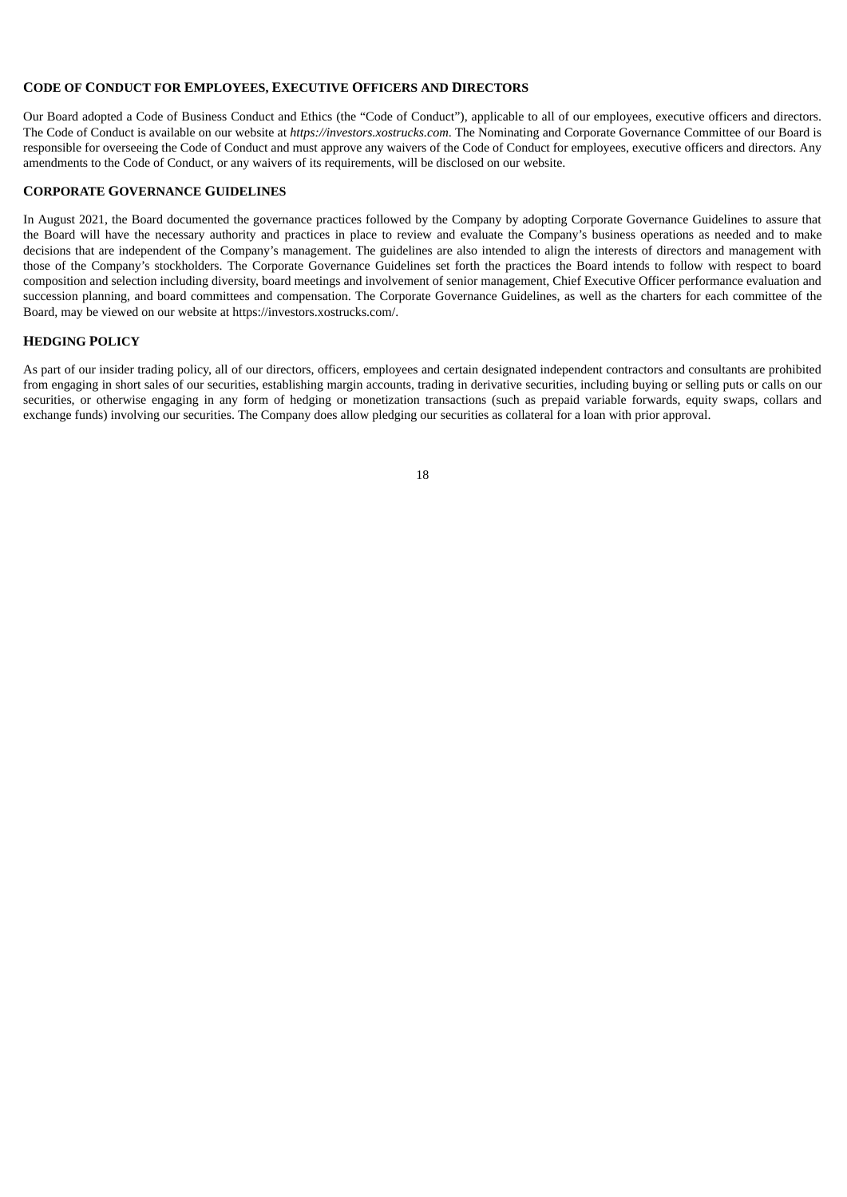## **CODE OF CONDUCT FOR EMPLOYEES, EXECUTIVE OFFICERS AND DIRECTORS**

Our Board adopted a Code of Business Conduct and Ethics (the "Code of Conduct"), applicable to all of our employees, executive officers and directors. The Code of Conduct is available on our website at *https://investors.xostrucks.com*. The Nominating and Corporate Governance Committee of our Board is responsible for overseeing the Code of Conduct and must approve any waivers of the Code of Conduct for employees, executive officers and directors. Any amendments to the Code of Conduct, or any waivers of its requirements, will be disclosed on our website.

#### <span id="page-22-0"></span>**CORPORATE GOVERNANCE GUIDELINES**

In August 2021, the Board documented the governance practices followed by the Company by adopting Corporate Governance Guidelines to assure that the Board will have the necessary authority and practices in place to review and evaluate the Company's business operations as needed and to make decisions that are independent of the Company's management. The guidelines are also intended to align the interests of directors and management with those of the Company's stockholders. The Corporate Governance Guidelines set forth the practices the Board intends to follow with respect to board composition and selection including diversity, board meetings and involvement of senior management, Chief Executive Officer performance evaluation and succession planning, and board committees and compensation. The Corporate Governance Guidelines, as well as the charters for each committee of the Board, may be viewed on our website at https://investors.xostrucks.com/.

## <span id="page-22-1"></span>**HEDGING POLICY**

<span id="page-22-2"></span>As part of our insider trading policy, all of our directors, officers, employees and certain designated independent contractors and consultants are prohibited from engaging in short sales of our securities, establishing margin accounts, trading in derivative securities, including buying or selling puts or calls on our securities, or otherwise engaging in any form of hedging or monetization transactions (such as prepaid variable forwards, equity swaps, collars and exchange funds) involving our securities. The Company does allow pledging our securities as collateral for a loan with prior approval.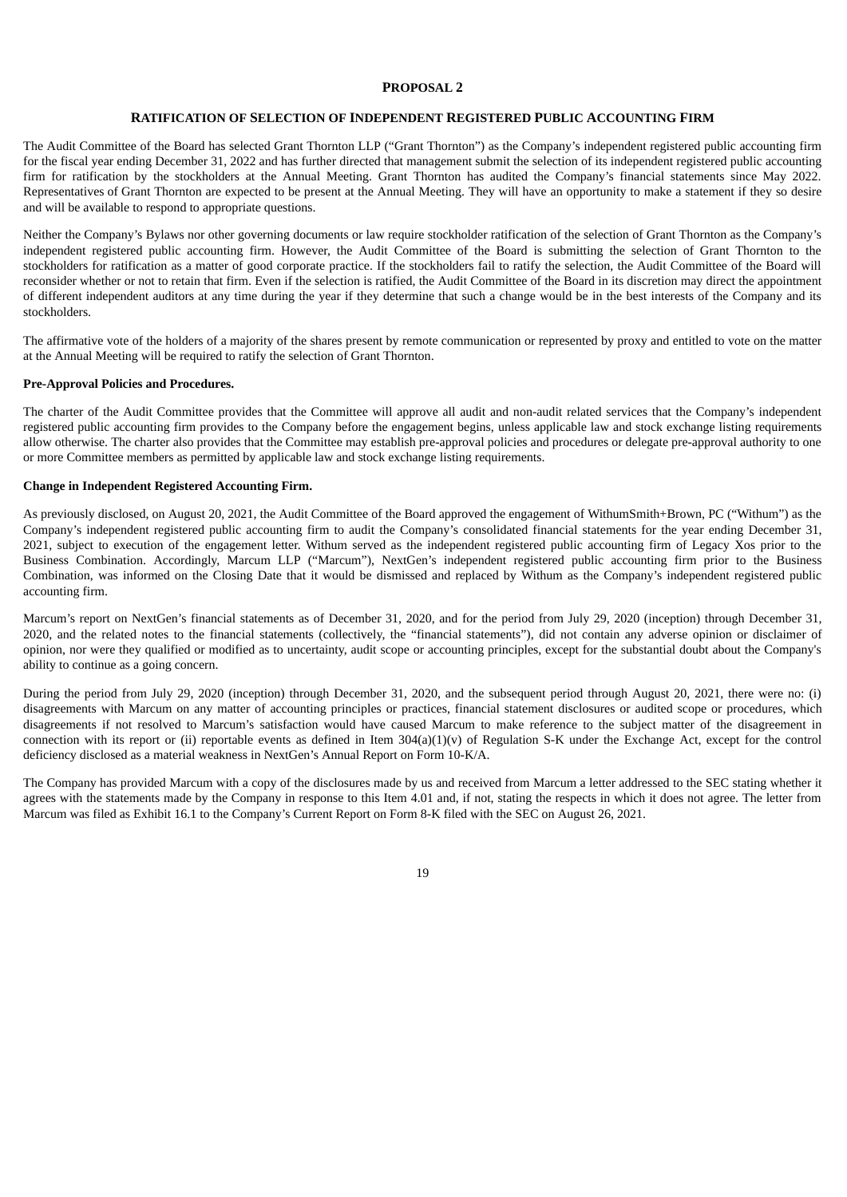#### **PROPOSAL 2**

#### **RATIFICATION OF SELECTION OF INDEPENDENT REGISTERED PUBLIC ACCOUNTING FIRM**

The Audit Committee of the Board has selected Grant Thornton LLP ("Grant Thornton") as the Company's independent registered public accounting firm for the fiscal year ending December 31, 2022 and has further directed that management submit the selection of its independent registered public accounting firm for ratification by the stockholders at the Annual Meeting. Grant Thornton has audited the Company's financial statements since May 2022. Representatives of Grant Thornton are expected to be present at the Annual Meeting. They will have an opportunity to make a statement if they so desire and will be available to respond to appropriate questions.

Neither the Company's Bylaws nor other governing documents or law require stockholder ratification of the selection of Grant Thornton as the Company's independent registered public accounting firm. However, the Audit Committee of the Board is submitting the selection of Grant Thornton to the stockholders for ratification as a matter of good corporate practice. If the stockholders fail to ratify the selection, the Audit Committee of the Board will reconsider whether or not to retain that firm. Even if the selection is ratified, the Audit Committee of the Board in its discretion may direct the appointment of different independent auditors at any time during the year if they determine that such a change would be in the best interests of the Company and its stockholders.

The affirmative vote of the holders of a majority of the shares present by remote communication or represented by proxy and entitled to vote on the matter at the Annual Meeting will be required to ratify the selection of Grant Thornton.

#### **Pre-Approval Policies and Procedures.**

The charter of the Audit Committee provides that the Committee will approve all audit and non-audit related services that the Company's independent registered public accounting firm provides to the Company before the engagement begins, unless applicable law and stock exchange listing requirements allow otherwise. The charter also provides that the Committee may establish pre-approval policies and procedures or delegate pre-approval authority to one or more Committee members as permitted by applicable law and stock exchange listing requirements.

#### **Change in Independent Registered Accounting Firm.**

As previously disclosed, on August 20, 2021, the Audit Committee of the Board approved the engagement of WithumSmith+Brown, PC ("Withum") as the Company's independent registered public accounting firm to audit the Company's consolidated financial statements for the year ending December 31, 2021, subject to execution of the engagement letter. Withum served as the independent registered public accounting firm of Legacy Xos prior to the Business Combination. Accordingly, Marcum LLP ("Marcum"), NextGen's independent registered public accounting firm prior to the Business Combination, was informed on the Closing Date that it would be dismissed and replaced by Withum as the Company's independent registered public accounting firm.

Marcum's report on NextGen's financial statements as of December 31, 2020, and for the period from July 29, 2020 (inception) through December 31, 2020, and the related notes to the financial statements (collectively, the "financial statements"), did not contain any adverse opinion or disclaimer of opinion, nor were they qualified or modified as to uncertainty, audit scope or accounting principles, except for the substantial doubt about the Company's ability to continue as a going concern.

During the period from July 29, 2020 (inception) through December 31, 2020, and the subsequent period through August 20, 2021, there were no: (i) disagreements with Marcum on any matter of accounting principles or practices, financial statement disclosures or audited scope or procedures, which disagreements if not resolved to Marcum's satisfaction would have caused Marcum to make reference to the subject matter of the disagreement in connection with its report or (ii) reportable events as defined in Item 304(a)(1)(v) of Regulation S-K under the Exchange Act, except for the control deficiency disclosed as a material weakness in NextGen's Annual Report on Form 10-K/A.

The Company has provided Marcum with a copy of the disclosures made by us and received from Marcum a letter addressed to the SEC stating whether it agrees with the statements made by the Company in response to this Item 4.01 and, if not, stating the respects in which it does not agree. The letter from Marcum was filed as Exhibit 16.1 to the Company's Current Report on Form 8-K filed with the SEC on August 26, 2021.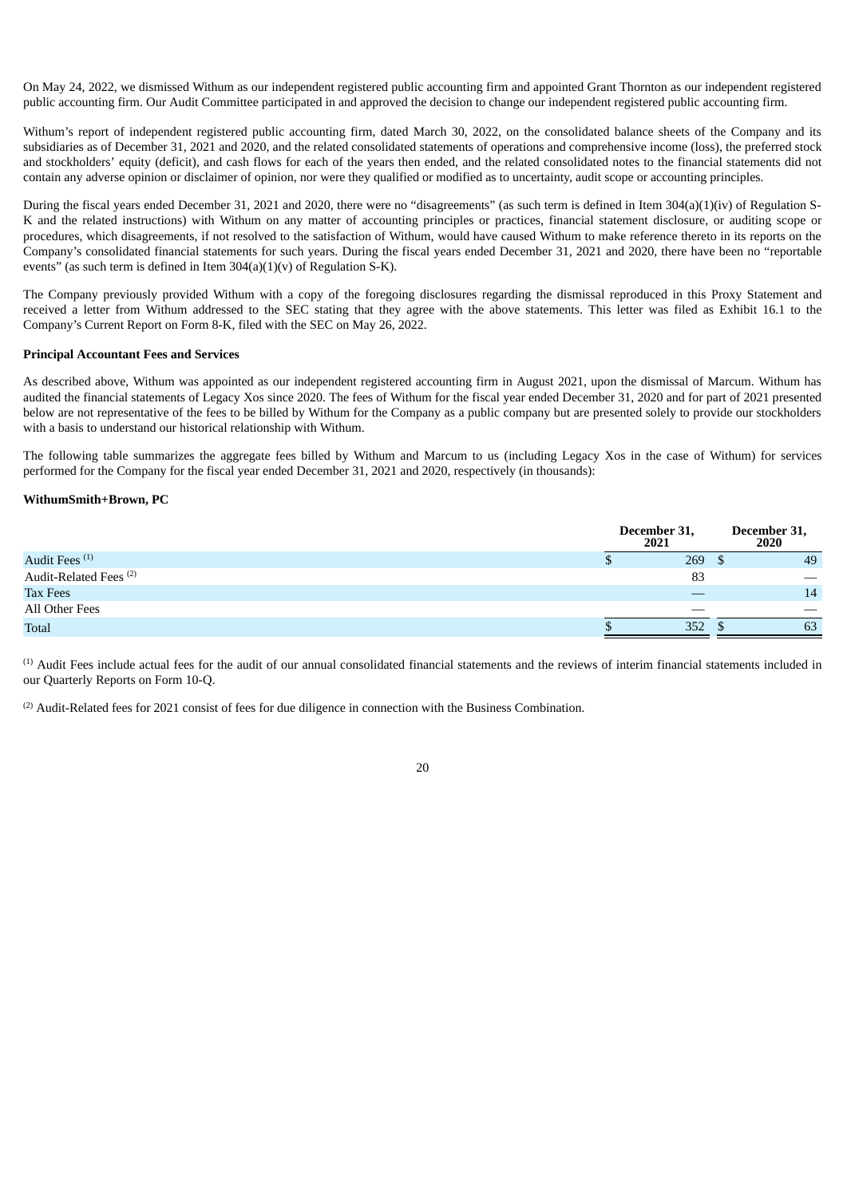On May 24, 2022, we dismissed Withum as our independent registered public accounting firm and appointed Grant Thornton as our independent registered public accounting firm. Our Audit Committee participated in and approved the decision to change our independent registered public accounting firm.

Withum's report of independent registered public accounting firm, dated March 30, 2022, on the consolidated balance sheets of the Company and its subsidiaries as of December 31, 2021 and 2020, and the related consolidated statements of operations and comprehensive income (loss), the preferred stock and stockholders' equity (deficit), and cash flows for each of the years then ended, and the related consolidated notes to the financial statements did not contain any adverse opinion or disclaimer of opinion, nor were they qualified or modified as to uncertainty, audit scope or accounting principles.

During the fiscal years ended December 31, 2021 and 2020, there were no "disagreements" (as such term is defined in Item 304(a)(1)(iv) of Regulation S-K and the related instructions) with Withum on any matter of accounting principles or practices, financial statement disclosure, or auditing scope or procedures, which disagreements, if not resolved to the satisfaction of Withum, would have caused Withum to make reference thereto in its reports on the Company's consolidated financial statements for such years. During the fiscal years ended December 31, 2021 and 2020, there have been no "reportable events" (as such term is defined in Item  $304(a)(1)(v)$  of Regulation S-K).

The Company previously provided Withum with a copy of the foregoing disclosures regarding the dismissal reproduced in this Proxy Statement and received a letter from Withum addressed to the SEC stating that they agree with the above statements. This letter was filed as Exhibit 16.1 to the Company's Current Report on Form 8-K, filed with the SEC on May 26, 2022.

#### **Principal Accountant Fees and Services**

As described above, Withum was appointed as our independent registered accounting firm in August 2021, upon the dismissal of Marcum. Withum has audited the financial statements of Legacy Xos since 2020. The fees of Withum for the fiscal year ended December 31, 2020 and for part of 2021 presented below are not representative of the fees to be billed by Withum for the Company as a public company but are presented solely to provide our stockholders with a basis to understand our historical relationship with Withum.

The following table summarizes the aggregate fees billed by Withum and Marcum to us (including Legacy Xos in the case of Withum) for services performed for the Company for the fiscal year ended December 31, 2021 and 2020, respectively (in thousands):

#### **WithumSmith+Brown, PC**

|                                   |   | December 31,<br>2021 | December 31,<br>2020 |
|-----------------------------------|---|----------------------|----------------------|
| Audit Fees <sup>(1)</sup>         | Ψ | 269                  | 49                   |
| Audit-Related Fees <sup>(2)</sup> |   | 83                   | __                   |
| <b>Tax Fees</b>                   |   |                      | 14                   |
| All Other Fees                    |   |                      |                      |
| <b>Total</b>                      |   | 352                  | 63                   |

 $<sup>(1)</sup>$  Audit Fees include actual fees for the audit of our annual consolidated financial statements and the reviews of interim financial statements included in</sup> our Quarterly Reports on Form 10-Q.

 $(2)$  Audit-Related fees for 2021 consist of fees for due diligence in connection with the Business Combination.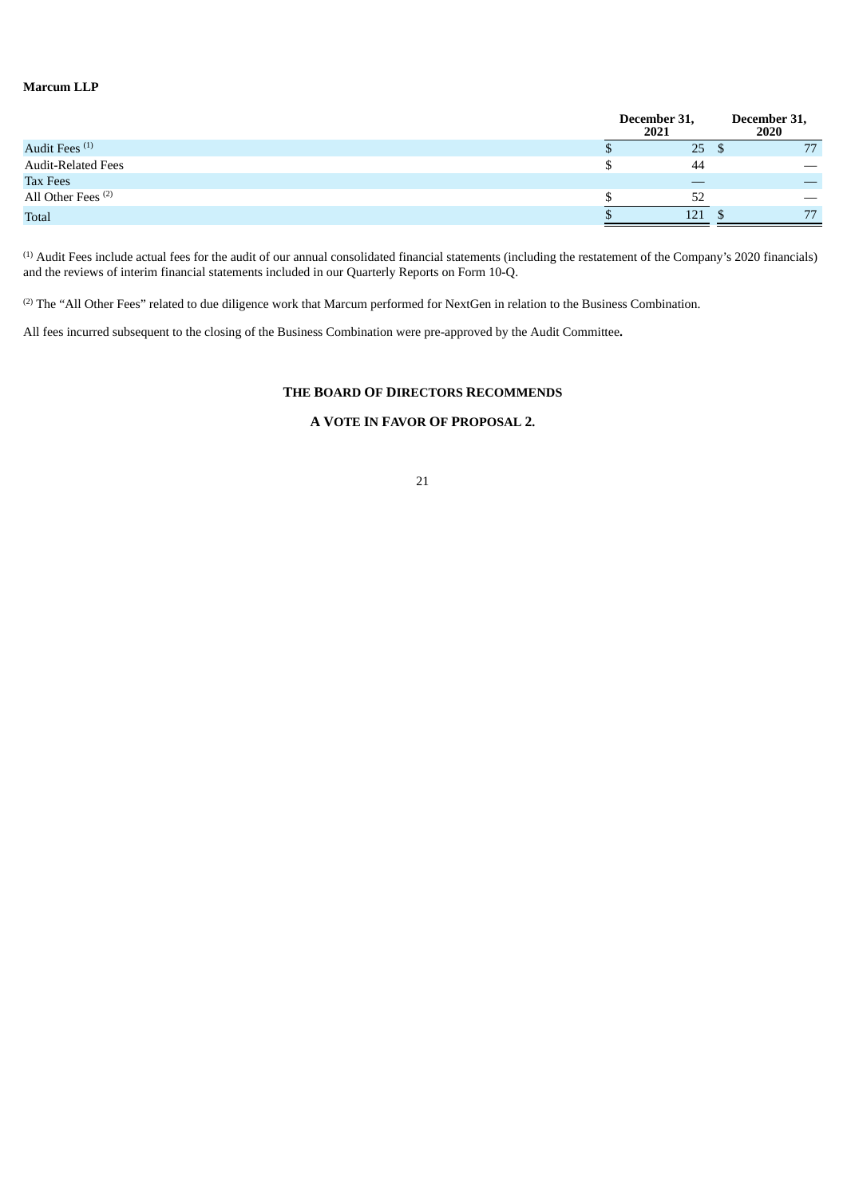## **Marcum LLP**

|                               | December 31,<br>2021 |     | December 31,<br>2020     |
|-------------------------------|----------------------|-----|--------------------------|
| Audit Fees <sup>(1)</sup>     |                      | 25  | 77                       |
| Audit-Related Fees            |                      | 44  |                          |
| Tax Fees                      |                      |     |                          |
| All Other Fees <sup>(2)</sup> |                      |     | $\overline{\phantom{m}}$ |
| <b>Total</b>                  |                      | 121 | 77                       |
|                               |                      |     |                          |

 $<sup>(1)</sup>$  Audit Fees include actual fees for the audit of our annual consolidated financial statements (including the restatement of the Company's 2020 financials)</sup> and the reviews of interim financial statements included in our Quarterly Reports on Form 10-Q.

 $^{(2)}$  The "All Other Fees" related to due diligence work that Marcum performed for NextGen in relation to the Business Combination.

All fees incurred subsequent to the closing of the Business Combination were pre-approved by the Audit Committee**.**

## **THE BOARD OF DIRECTORS RECOMMENDS**

## **A VOTE IN FAVOR OF PROPOSAL 2.**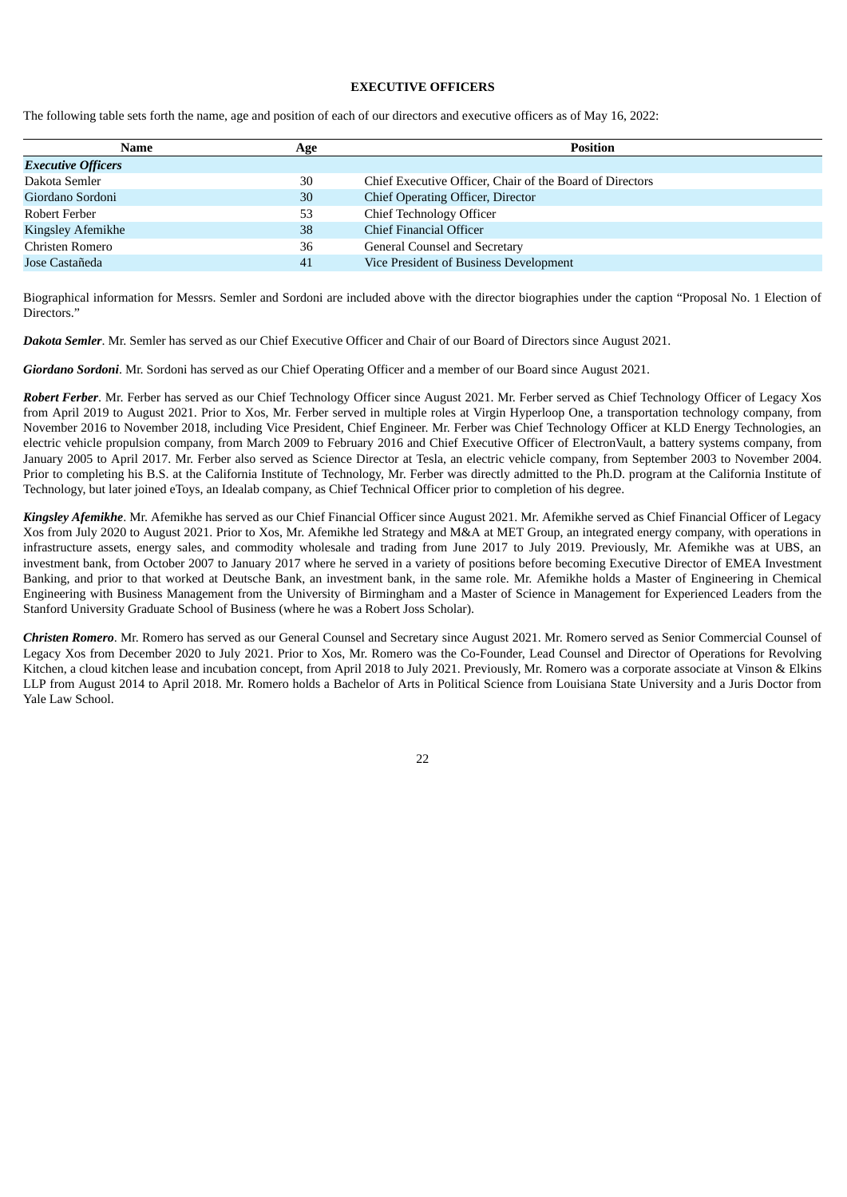#### **EXECUTIVE OFFICERS**

The following table sets forth the name, age and position of each of our directors and executive officers as of May 16, 2022:

| Name                      | Age | <b>Position</b>                                          |  |
|---------------------------|-----|----------------------------------------------------------|--|
| <b>Executive Officers</b> |     |                                                          |  |
| Dakota Semler             | 30  | Chief Executive Officer, Chair of the Board of Directors |  |
| Giordano Sordoni          | 30  | Chief Operating Officer, Director                        |  |
| Robert Ferber             | 53  | <b>Chief Technology Officer</b>                          |  |
| Kingsley Afemikhe         | 38  | Chief Financial Officer                                  |  |
| Christen Romero           | 36  | General Counsel and Secretary                            |  |
| Jose Castañeda            | 41  | Vice President of Business Development                   |  |
|                           |     |                                                          |  |

Biographical information for Messrs. Semler and Sordoni are included above with the director biographies under the caption "Proposal No. 1 Election of Directors."

*Dakota Semler*. Mr. Semler has served as our Chief Executive Officer and Chair of our Board of Directors since August 2021.

*Giordano Sordoni*. Mr. Sordoni has served as our Chief Operating Officer and a member of our Board since August 2021.

*Robert Ferber*. Mr. Ferber has served as our Chief Technology Officer since August 2021. Mr. Ferber served as Chief Technology Officer of Legacy Xos from April 2019 to August 2021. Prior to Xos, Mr. Ferber served in multiple roles at Virgin Hyperloop One, a transportation technology company, from November 2016 to November 2018, including Vice President, Chief Engineer. Mr. Ferber was Chief Technology Officer at KLD Energy Technologies, an electric vehicle propulsion company, from March 2009 to February 2016 and Chief Executive Officer of ElectronVault, a battery systems company, from January 2005 to April 2017. Mr. Ferber also served as Science Director at Tesla, an electric vehicle company, from September 2003 to November 2004. Prior to completing his B.S. at the California Institute of Technology, Mr. Ferber was directly admitted to the Ph.D. program at the California Institute of Technology, but later joined eToys, an Idealab company, as Chief Technical Officer prior to completion of his degree.

*Kingsley Afemikhe*. Mr. Afemikhe has served as our Chief Financial Officer since August 2021. Mr. Afemikhe served as Chief Financial Officer of Legacy Xos from July 2020 to August 2021. Prior to Xos, Mr. Afemikhe led Strategy and M&A at MET Group, an integrated energy company, with operations in infrastructure assets, energy sales, and commodity wholesale and trading from June 2017 to July 2019. Previously, Mr. Afemikhe was at UBS, an investment bank, from October 2007 to January 2017 where he served in a variety of positions before becoming Executive Director of EMEA Investment Banking, and prior to that worked at Deutsche Bank, an investment bank, in the same role. Mr. Afemikhe holds a Master of Engineering in Chemical Engineering with Business Management from the University of Birmingham and a Master of Science in Management for Experienced Leaders from the Stanford University Graduate School of Business (where he was a Robert Joss Scholar).

*Christen Romero*. Mr. Romero has served as our General Counsel and Secretary since August 2021. Mr. Romero served as Senior Commercial Counsel of Legacy Xos from December 2020 to July 2021. Prior to Xos, Mr. Romero was the Co-Founder, Lead Counsel and Director of Operations for Revolving Kitchen, a cloud kitchen lease and incubation concept, from April 2018 to July 2021. Previously, Mr. Romero was a corporate associate at Vinson & Elkins LLP from August 2014 to April 2018. Mr. Romero holds a Bachelor of Arts in Political Science from Louisiana State University and a Juris Doctor from Yale Law School.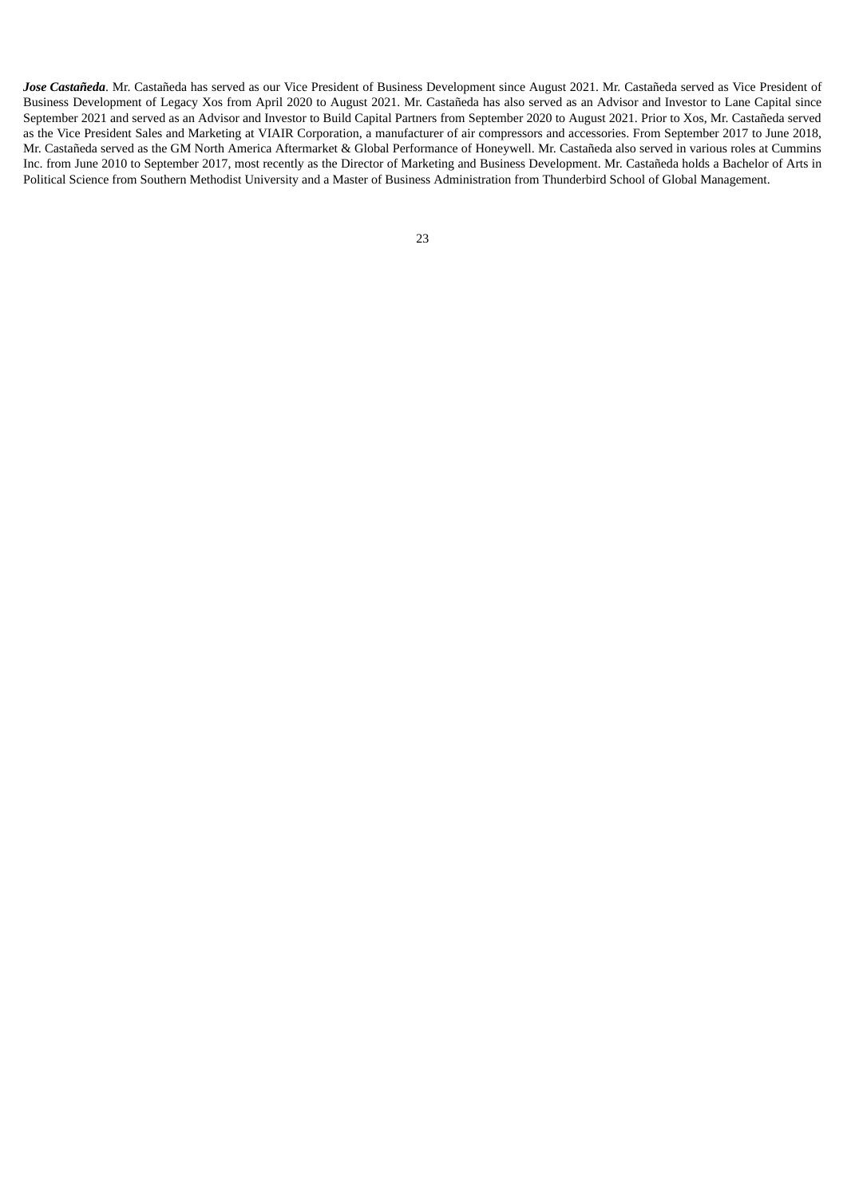<span id="page-27-0"></span>*Jose Castañeda*. Mr. Castañeda has served as our Vice President of Business Development since August 2021. Mr. Castañeda served as Vice President of Business Development of Legacy Xos from April 2020 to August 2021. Mr. Castañeda has also served as an Advisor and Investor to Lane Capital since September 2021 and served as an Advisor and Investor to Build Capital Partners from September 2020 to August 2021. Prior to Xos, Mr. Castañeda served as the Vice President Sales and Marketing at VIAIR Corporation, a manufacturer of air compressors and accessories. From September 2017 to June 2018, Mr. Castañeda served as the GM North America Aftermarket & Global Performance of Honeywell. Mr. Castañeda also served in various roles at Cummins Inc. from June 2010 to September 2017, most recently as the Director of Marketing and Business Development. Mr. Castañeda holds a Bachelor of Arts in Political Science from Southern Methodist University and a Master of Business Administration from Thunderbird School of Global Management.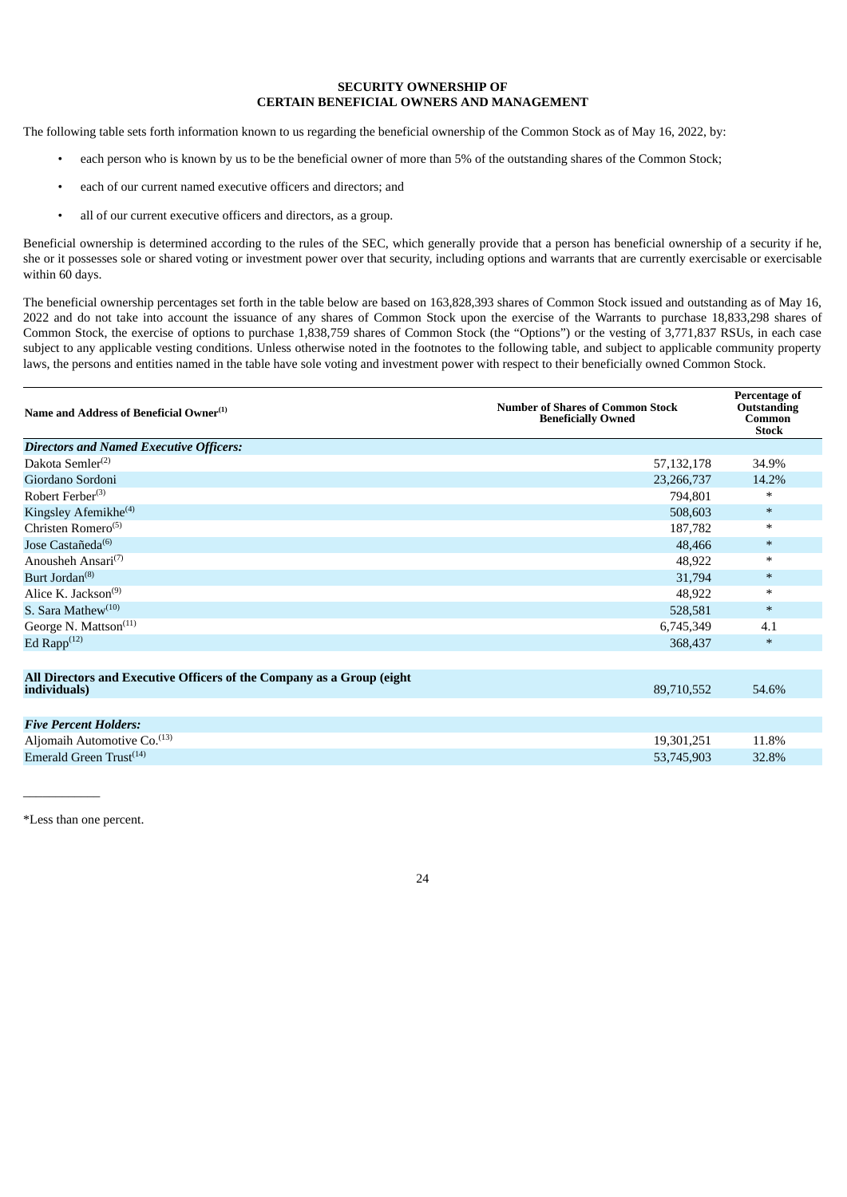#### **SECURITY OWNERSHIP OF CERTAIN BENEFICIAL OWNERS AND MANAGEMENT**

The following table sets forth information known to us regarding the beneficial ownership of the Common Stock as of May 16, 2022, by:

- each person who is known by us to be the beneficial owner of more than 5% of the outstanding shares of the Common Stock;
- each of our current named executive officers and directors; and
- all of our current executive officers and directors, as a group.

Beneficial ownership is determined according to the rules of the SEC, which generally provide that a person has beneficial ownership of a security if he, she or it possesses sole or shared voting or investment power over that security, including options and warrants that are currently exercisable or exercisable within 60 days.

The beneficial ownership percentages set forth in the table below are based on 163,828,393 shares of Common Stock issued and outstanding as of May 16, 2022 and do not take into account the issuance of any shares of Common Stock upon the exercise of the Warrants to purchase 18,833,298 shares of Common Stock, the exercise of options to purchase 1,838,759 shares of Common Stock (the "Options") or the vesting of 3,771,837 RSUs, in each case subject to any applicable vesting conditions. Unless otherwise noted in the footnotes to the following table, and subject to applicable community property laws, the persons and entities named in the table have sole voting and investment power with respect to their beneficially owned Common Stock.

| Name and Address of Beneficial Owner <sup>(1)</sup>                                   | <b>Number of Shares of Common Stock</b><br><b>Beneficially Owned</b> | Percentage of<br>Outstanding<br>Common<br><b>Stock</b> |
|---------------------------------------------------------------------------------------|----------------------------------------------------------------------|--------------------------------------------------------|
| <b>Directors and Named Executive Officers:</b>                                        |                                                                      |                                                        |
| Dakota Semler <sup>(2)</sup>                                                          | 57, 132, 178                                                         | 34.9%                                                  |
| Giordano Sordoni                                                                      | 23,266,737                                                           | 14.2%                                                  |
| Robert Ferber <sup>(3)</sup>                                                          | 794,801                                                              | ∗                                                      |
| Kingsley Afemikhe <sup>(4)</sup>                                                      | 508,603                                                              | $\ast$                                                 |
| Christen Romero <sup>(5)</sup>                                                        | 187,782                                                              | $\ast$                                                 |
| Jose Castañeda <sup>(6)</sup>                                                         | 48,466                                                               | $\ast$                                                 |
| Anousheh Ansari <sup>(7)</sup>                                                        | 48,922                                                               | $\ast$                                                 |
| Burt Jordan <sup>(8)</sup>                                                            | 31,794                                                               | $\ast$                                                 |
| Alice K. Jackson $(9)$                                                                | 48,922                                                               | $\ast$                                                 |
| S. Sara Mathew <sup>(10)</sup>                                                        | 528,581                                                              | $\ast$                                                 |
| George N. Mattson <sup>(11)</sup>                                                     | 6,745,349                                                            | 4.1                                                    |
| Ed Rapp $(12)$                                                                        | 368,437                                                              | $\ast$                                                 |
|                                                                                       |                                                                      |                                                        |
| All Directors and Executive Officers of the Company as a Group (eight<br>individuals) | 89,710,552                                                           | 54.6%                                                  |
|                                                                                       |                                                                      |                                                        |
| <b>Five Percent Holders:</b>                                                          |                                                                      |                                                        |
| Aljomaih Automotive Co. <sup>(13)</sup>                                               | 19,301,251                                                           | 11.8%                                                  |
| Emerald Green Trust <sup>(14)</sup>                                                   | 53,745,903                                                           | 32.8%                                                  |

\*Less than one percent.

\_\_\_\_\_\_\_\_\_\_\_\_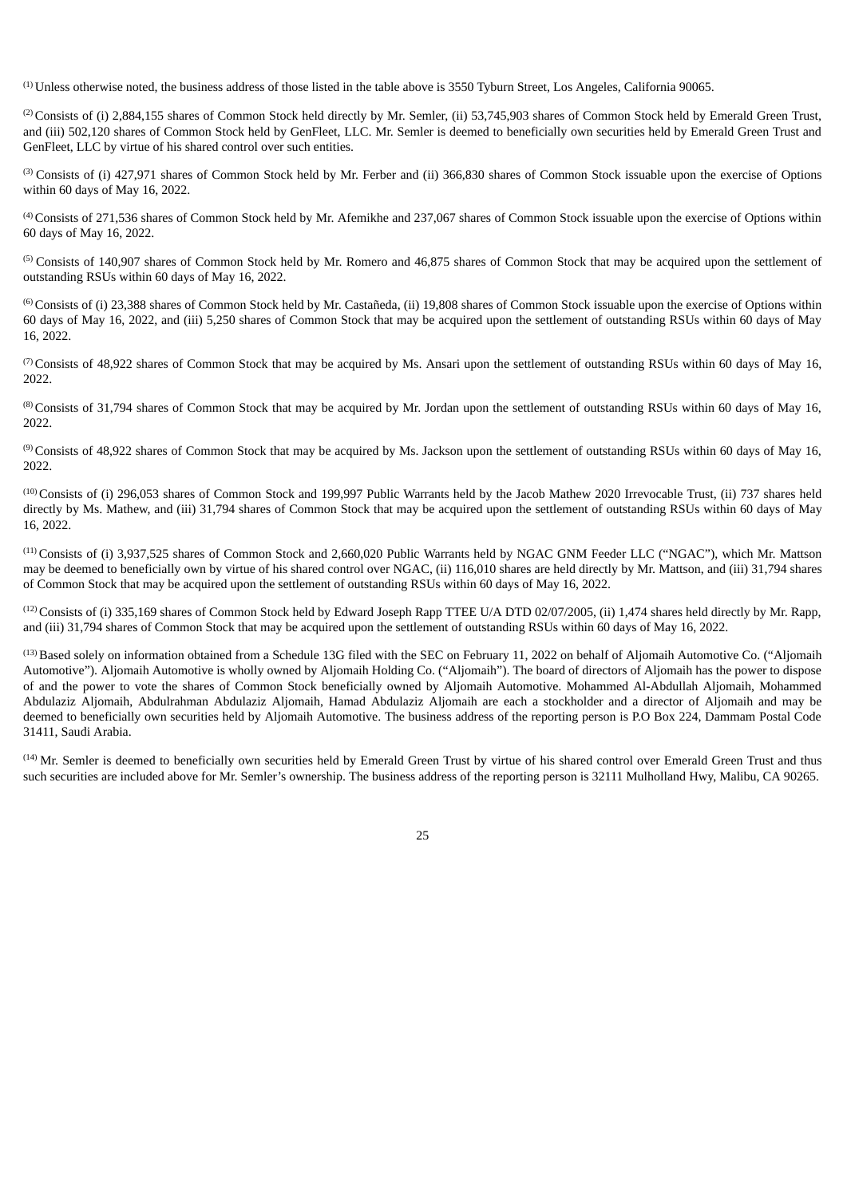$<sup>(1)</sup>$  Unless otherwise noted, the business address of those listed in the table above is 3550 Tyburn Street, Los Angeles, California 90065.</sup>

<sup>(2)</sup> Consists of (i) 2,884,155 shares of Common Stock held directly by Mr. Semler, (ii) 53,745,903 shares of Common Stock held by Emerald Green Trust, and (iii) 502,120 shares of Common Stock held by GenFleet, LLC. Mr. Semler is deemed to beneficially own securities held by Emerald Green Trust and GenFleet, LLC by virtue of his shared control over such entities.

<sup>(3)</sup> Consists of (i) 427,971 shares of Common Stock held by Mr. Ferber and (ii) 366,830 shares of Common Stock issuable upon the exercise of Options within 60 days of May 16, 2022.

<sup>(4)</sup> Consists of 271,536 shares of Common Stock held by Mr. Afemikhe and 237,067 shares of Common Stock issuable upon the exercise of Options within 60 days of May 16, 2022.

 $<sup>(5)</sup>$  Consists of 140,907 shares of Common Stock held by Mr. Romero and 46,875 shares of Common Stock that may be acquired upon the settlement of</sup> outstanding RSUs within 60 days of May 16, 2022.

 $^{(6)}$  Consists of (i) 23,388 shares of Common Stock held by Mr. Castañeda, (ii) 19,808 shares of Common Stock issuable upon the exercise of Options within 60 days of May 16, 2022, and (iii) 5,250 shares of Common Stock that may be acquired upon the settlement of outstanding RSUs within 60 days of May 16, 2022.

( $7$ ) Consists of 48,922 shares of Common Stock that may be acquired by Ms. Ansari upon the settlement of outstanding RSUs within 60 days of May 16, 2022.

 $^{(8)}$  Consists of 31,794 shares of Common Stock that may be acquired by Mr. Jordan upon the settlement of outstanding RSUs within 60 days of May 16, 2022.

 $^{(9)}$  Consists of 48,922 shares of Common Stock that may be acquired by Ms. Jackson upon the settlement of outstanding RSUs within 60 days of May 16, 2022.

<sup>(10)</sup> Consists of (i) 296,053 shares of Common Stock and 199,997 Public Warrants held by the Jacob Mathew 2020 Irrevocable Trust, (ii) 737 shares held directly by Ms. Mathew, and (iii) 31,794 shares of Common Stock that may be acquired upon the settlement of outstanding RSUs within 60 days of May 16, 2022.

<sup>(11)</sup> Consists of (i) 3,937,525 shares of Common Stock and 2,660,020 Public Warrants held by NGAC GNM Feeder LLC ("NGAC"), which Mr. Mattson may be deemed to beneficially own by virtue of his shared control over NGAC, (ii) 116,010 shares are held directly by Mr. Mattson, and (iii) 31,794 shares of Common Stock that may be acquired upon the settlement of outstanding RSUs within 60 days of May 16, 2022.

 $(12)$  Consists of (i) 335,169 shares of Common Stock held by Edward Joseph Rapp TTEE U/A DTD 02/07/2005, (ii) 1,474 shares held directly by Mr. Rapp, and (iii) 31,794 shares of Common Stock that may be acquired upon the settlement of outstanding RSUs within 60 days of May 16, 2022.

<sup>(13)</sup> Based solely on information obtained from a Schedule 13G filed with the SEC on February 11, 2022 on behalf of Aljomaih Automotive Co. ("Aljomaih Automotive"). Aljomaih Automotive is wholly owned by Aljomaih Holding Co. ("Aljomaih"). The board of directors of Aljomaih has the power to dispose of and the power to vote the shares of Common Stock beneficially owned by Aljomaih Automotive. Mohammed Al-Abdullah Aljomaih, Mohammed Abdulaziz Aljomaih, Abdulrahman Abdulaziz Aljomaih, Hamad Abdulaziz Aljomaih are each a stockholder and a director of Aljomaih and may be deemed to beneficially own securities held by Aljomaih Automotive. The business address of the reporting person is P.O Box 224, Dammam Postal Code 31411, Saudi Arabia.

<span id="page-29-0"></span> $(14)$  Mr. Semler is deemed to beneficially own securities held by Emerald Green Trust by virtue of his shared control over Emerald Green Trust and thus such securities are included above for Mr. Semler's ownership. The business address of the reporting person is 32111 Mulholland Hwy, Malibu, CA 90265.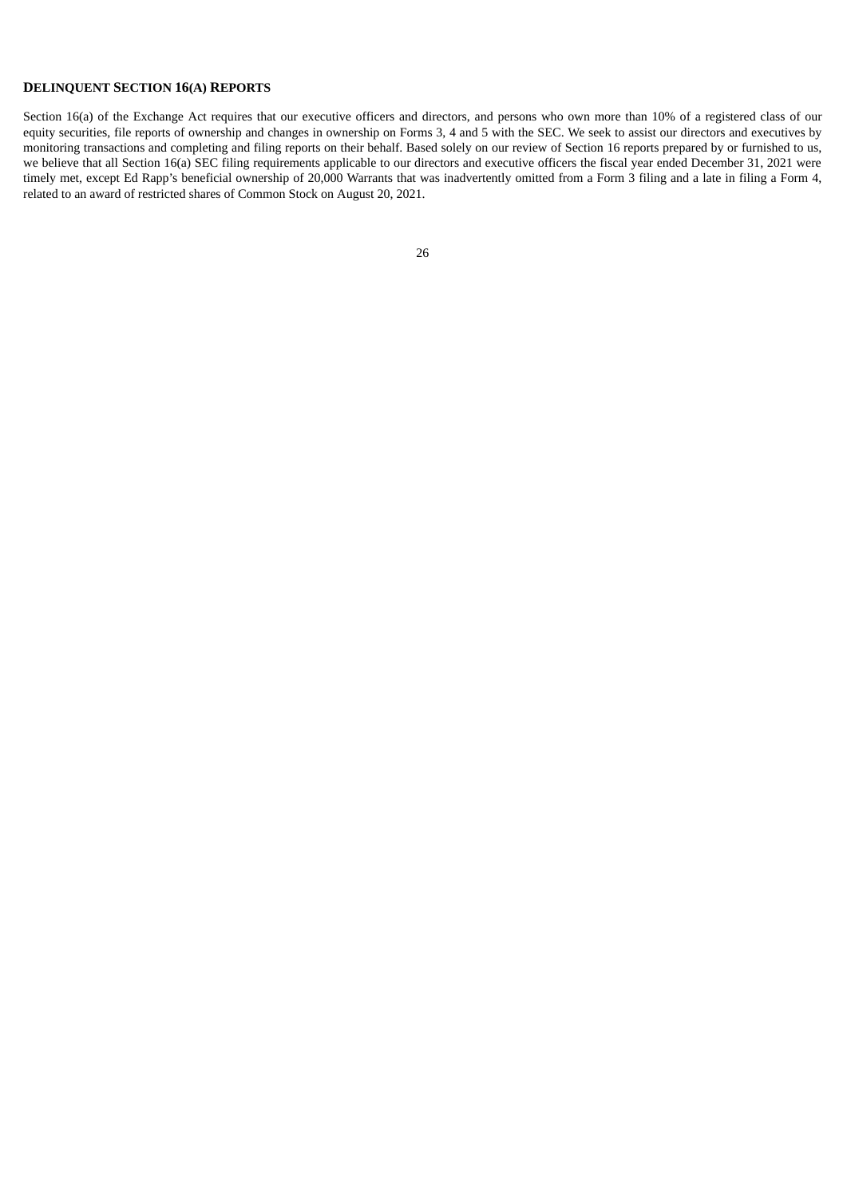### **DELINQUENT SECTION 16(A) REPORTS**

<span id="page-30-0"></span>Section 16(a) of the Exchange Act requires that our executive officers and directors, and persons who own more than 10% of a registered class of our equity securities, file reports of ownership and changes in ownership on Forms 3, 4 and 5 with the SEC. We seek to assist our directors and executives by monitoring transactions and completing and filing reports on their behalf. Based solely on our review of Section 16 reports prepared by or furnished to us, we believe that all Section 16(a) SEC filing requirements applicable to our directors and executive officers the fiscal year ended December 31, 2021 were timely met, except Ed Rapp's beneficial ownership of 20,000 Warrants that was inadvertently omitted from a Form 3 filing and a late in filing a Form 4, related to an award of restricted shares of Common Stock on August 20, 2021.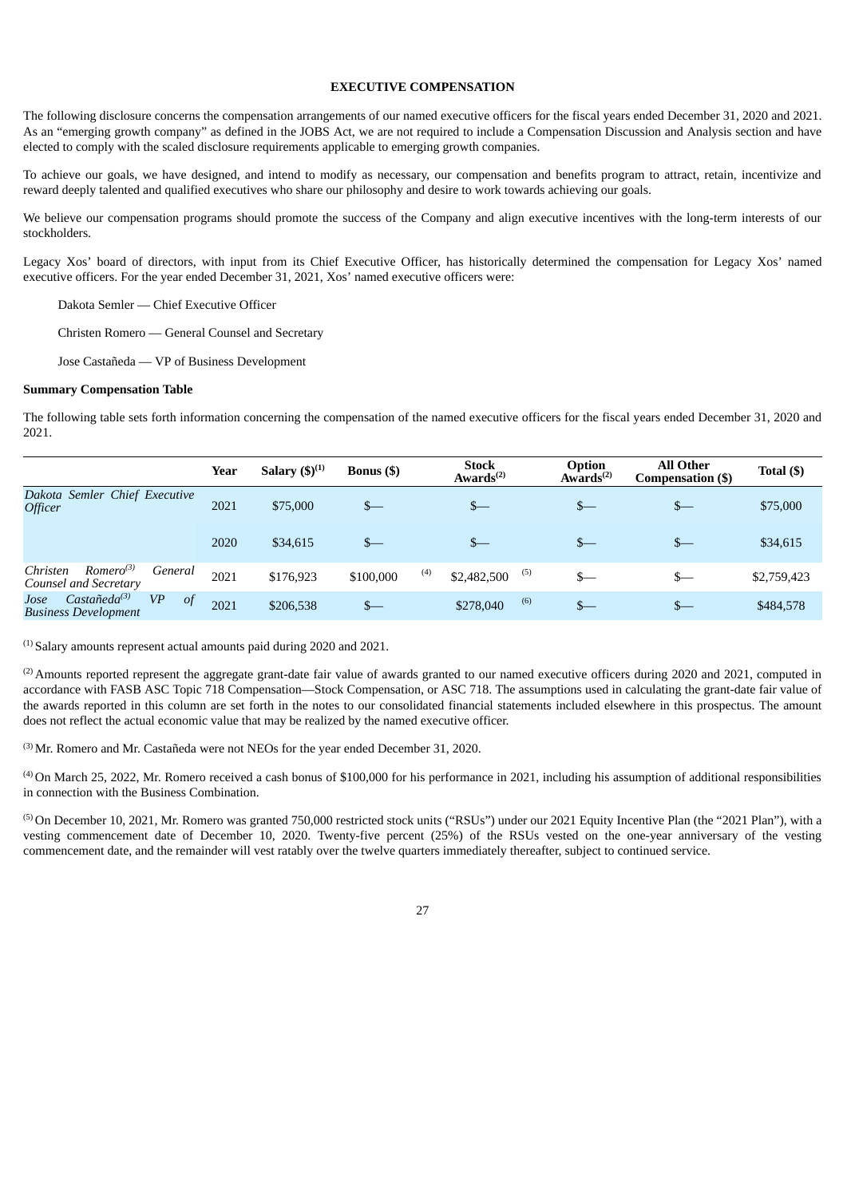#### **EXECUTIVE COMPENSATION**

The following disclosure concerns the compensation arrangements of our named executive officers for the fiscal years ended December 31, 2020 and 2021. As an "emerging growth company" as defined in the JOBS Act, we are not required to include a Compensation Discussion and Analysis section and have elected to comply with the scaled disclosure requirements applicable to emerging growth companies.

To achieve our goals, we have designed, and intend to modify as necessary, our compensation and benefits program to attract, retain, incentivize and reward deeply talented and qualified executives who share our philosophy and desire to work towards achieving our goals.

We believe our compensation programs should promote the success of the Company and align executive incentives with the long-term interests of our stockholders.

Legacy Xos' board of directors, with input from its Chief Executive Officer, has historically determined the compensation for Legacy Xos' named executive officers. For the year ended December 31, 2021, Xos' named executive officers were:

Dakota Semler — Chief Executive Officer

Christen Romero — General Counsel and Secretary

Jose Castañeda — VP of Business Development

#### **Summary Compensation Table**

The following table sets forth information concerning the compensation of the named executive officers for the fiscal years ended December 31, 2020 and 2021.

|                                                                                                   | Year | Salary $(5)^{(1)}$ | <b>Bonus</b> (\$) | <b>Stock</b><br>Awards <sup>(2)</sup> | Option<br>Awards <sup><math>(2)</math></sup> | <b>All Other</b><br>Compensation (\$) | Total $($ ) |
|---------------------------------------------------------------------------------------------------|------|--------------------|-------------------|---------------------------------------|----------------------------------------------|---------------------------------------|-------------|
| Dakota Semler Chief Executive<br><b>Officer</b>                                                   | 2021 | \$75,000           | $S-$              | $_{-}$                                | $_{-}$                                       | $s-$                                  | \$75,000    |
|                                                                                                   | 2020 | \$34,615           |                   | $_{-}$                                | $_{-}$                                       | $s-$                                  | \$34,615    |
| $Romero^{(3)}$<br>Christen<br>General<br>Counsel and Secretary                                    | 2021 | \$176,923          | \$100,000         | (4)<br>(5)<br>\$2,482,500             | $_{-}$                                       | \$—                                   | \$2,759,423 |
| $\text{Casta\tilde{n}eda}^{(3)}$<br><b>VP</b><br>Jose<br>$\circ$ f<br><b>Business Development</b> | 2021 | \$206,538          | $_{-}$            | (6)<br>\$278,040                      | $s-$                                         | $s-$                                  | \$484,578   |

 $<sup>(1)</sup>$  Salary amounts represent actual amounts paid during 2020 and 2021.</sup>

 $^{(2)}$  Amounts reported represent the aggregate grant-date fair value of awards granted to our named executive officers during 2020 and 2021, computed in accordance with FASB ASC Topic 718 Compensation—Stock Compensation, or ASC 718. The assumptions used in calculating the grant-date fair value of the awards reported in this column are set forth in the notes to our consolidated financial statements included elsewhere in this prospectus. The amount does not reflect the actual economic value that may be realized by the named executive officer.

Mr. Romero and Mr. Castañeda were not NEOs for the year ended December 31, 2020. (3)

 $^{(4)}$  On March 25, 2022, Mr. Romero received a cash bonus of \$100,000 for his performance in 2021, including his assumption of additional responsibilities in connection with the Business Combination.

<sup>(5)</sup> On December 10, 2021, Mr. Romero was granted 750,000 restricted stock units ("RSUs") under our 2021 Equity Incentive Plan (the "2021 Plan"), with a vesting commencement date of December 10, 2020. Twenty-five percent (25%) of the RSUs vested on the one-year anniversary of the vesting commencement date, and the remainder will vest ratably over the twelve quarters immediately thereafter, subject to continued service.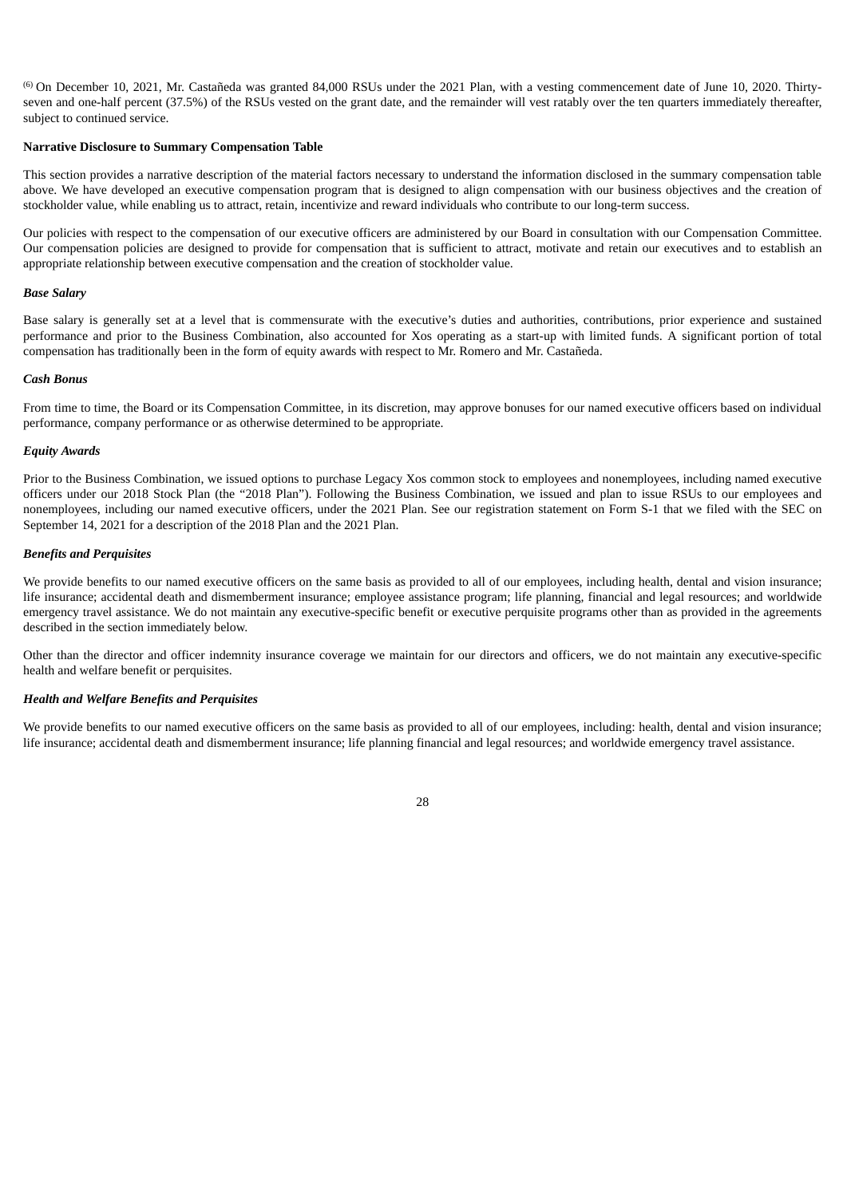<sup>(6)</sup> On December 10, 2021, Mr. Castañeda was granted 84,000 RSUs under the 2021 Plan, with a vesting commencement date of June 10, 2020. Thirtyseven and one-half percent (37.5%) of the RSUs vested on the grant date, and the remainder will vest ratably over the ten quarters immediately thereafter, subject to continued service.

#### **Narrative Disclosure to Summary Compensation Table**

This section provides a narrative description of the material factors necessary to understand the information disclosed in the summary compensation table above. We have developed an executive compensation program that is designed to align compensation with our business objectives and the creation of stockholder value, while enabling us to attract, retain, incentivize and reward individuals who contribute to our long-term success.

Our policies with respect to the compensation of our executive officers are administered by our Board in consultation with our Compensation Committee. Our compensation policies are designed to provide for compensation that is sufficient to attract, motivate and retain our executives and to establish an appropriate relationship between executive compensation and the creation of stockholder value.

#### *Base Salary*

Base salary is generally set at a level that is commensurate with the executive's duties and authorities, contributions, prior experience and sustained performance and prior to the Business Combination, also accounted for Xos operating as a start-up with limited funds. A significant portion of total compensation has traditionally been in the form of equity awards with respect to Mr. Romero and Mr. Castañeda.

#### *Cash Bonus*

From time to time, the Board or its Compensation Committee, in its discretion, may approve bonuses for our named executive officers based on individual performance, company performance or as otherwise determined to be appropriate.

#### *Equity Awards*

Prior to the Business Combination, we issued options to purchase Legacy Xos common stock to employees and nonemployees, including named executive officers under our 2018 Stock Plan (the "2018 Plan"). Following the Business Combination, we issued and plan to issue RSUs to our employees and nonemployees, including our named executive officers, under the 2021 Plan. See our registration statement on Form S-1 that we filed with the SEC on September 14, 2021 for a description of the 2018 Plan and the 2021 Plan.

## *Benefits and Perquisites*

We provide benefits to our named executive officers on the same basis as provided to all of our employees, including health, dental and vision insurance; life insurance; accidental death and dismemberment insurance; employee assistance program; life planning, financial and legal resources; and worldwide emergency travel assistance. We do not maintain any executive-specific benefit or executive perquisite programs other than as provided in the agreements described in the section immediately below.

Other than the director and officer indemnity insurance coverage we maintain for our directors and officers, we do not maintain any executive-specific health and welfare benefit or perquisites.

#### *Health and Welfare Benefits and Perquisites*

We provide benefits to our named executive officers on the same basis as provided to all of our employees, including: health, dental and vision insurance; life insurance; accidental death and dismemberment insurance; life planning financial and legal resources; and worldwide emergency travel assistance.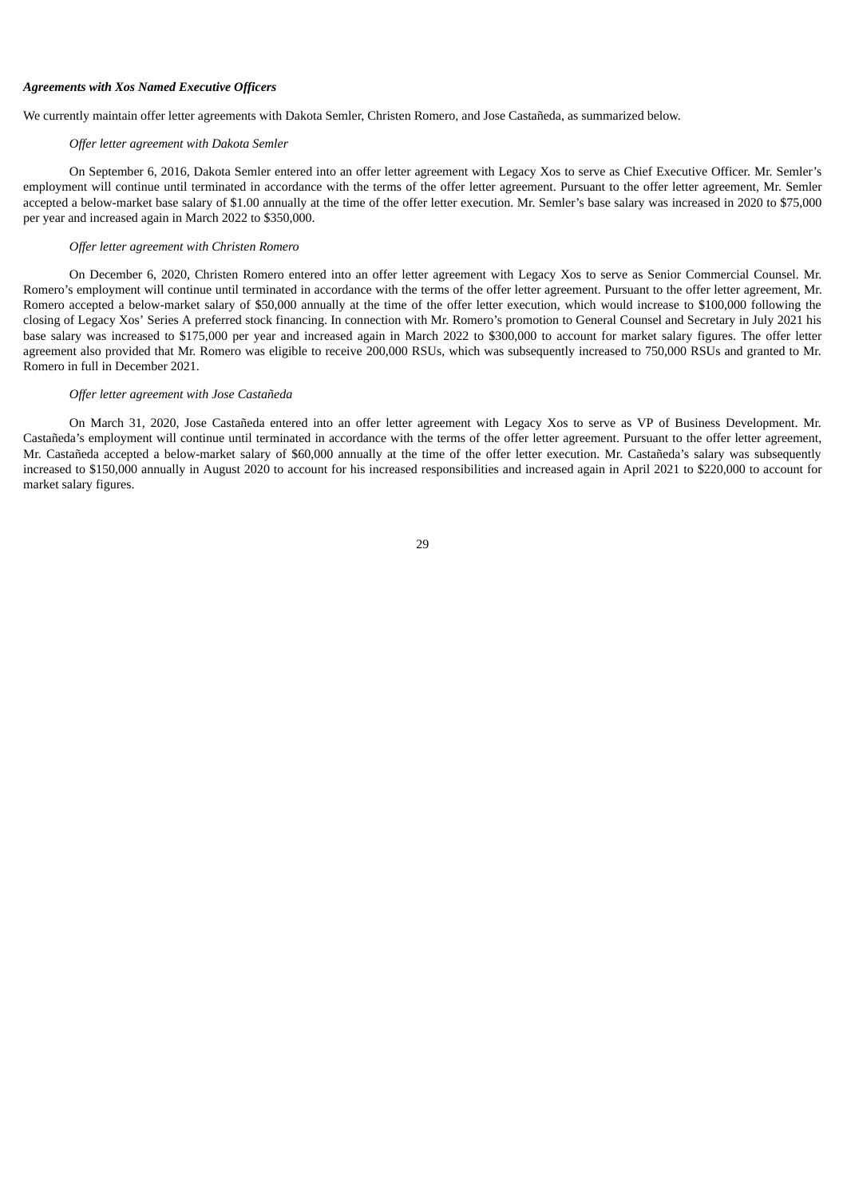#### *Agreements with Xos Named Executive Officers*

We currently maintain offer letter agreements with Dakota Semler, Christen Romero, and Jose Castañeda, as summarized below.

#### *Offer letter agreement with Dakota Semler*

On September 6, 2016, Dakota Semler entered into an offer letter agreement with Legacy Xos to serve as Chief Executive Officer. Mr. Semler's employment will continue until terminated in accordance with the terms of the offer letter agreement. Pursuant to the offer letter agreement, Mr. Semler accepted a below-market base salary of \$1.00 annually at the time of the offer letter execution. Mr. Semler's base salary was increased in 2020 to \$75,000 per year and increased again in March 2022 to \$350,000.

#### *Offer letter agreement with Christen Romero*

On December 6, 2020, Christen Romero entered into an offer letter agreement with Legacy Xos to serve as Senior Commercial Counsel. Mr. Romero's employment will continue until terminated in accordance with the terms of the offer letter agreement. Pursuant to the offer letter agreement, Mr. Romero accepted a below-market salary of \$50,000 annually at the time of the offer letter execution, which would increase to \$100,000 following the closing of Legacy Xos' Series A preferred stock financing. In connection with Mr. Romero's promotion to General Counsel and Secretary in July 2021 his base salary was increased to \$175,000 per year and increased again in March 2022 to \$300,000 to account for market salary figures. The offer letter agreement also provided that Mr. Romero was eligible to receive 200,000 RSUs, which was subsequently increased to 750,000 RSUs and granted to Mr. Romero in full in December 2021.

#### *Offer letter agreement with Jose Castañeda*

<span id="page-33-0"></span>On March 31, 2020, Jose Castañeda entered into an offer letter agreement with Legacy Xos to serve as VP of Business Development. Mr. Castañeda's employment will continue until terminated in accordance with the terms of the offer letter agreement. Pursuant to the offer letter agreement, Mr. Castañeda accepted a below-market salary of \$60,000 annually at the time of the offer letter execution. Mr. Castañeda's salary was subsequently increased to \$150,000 annually in August 2020 to account for his increased responsibilities and increased again in April 2021 to \$220,000 to account for market salary figures.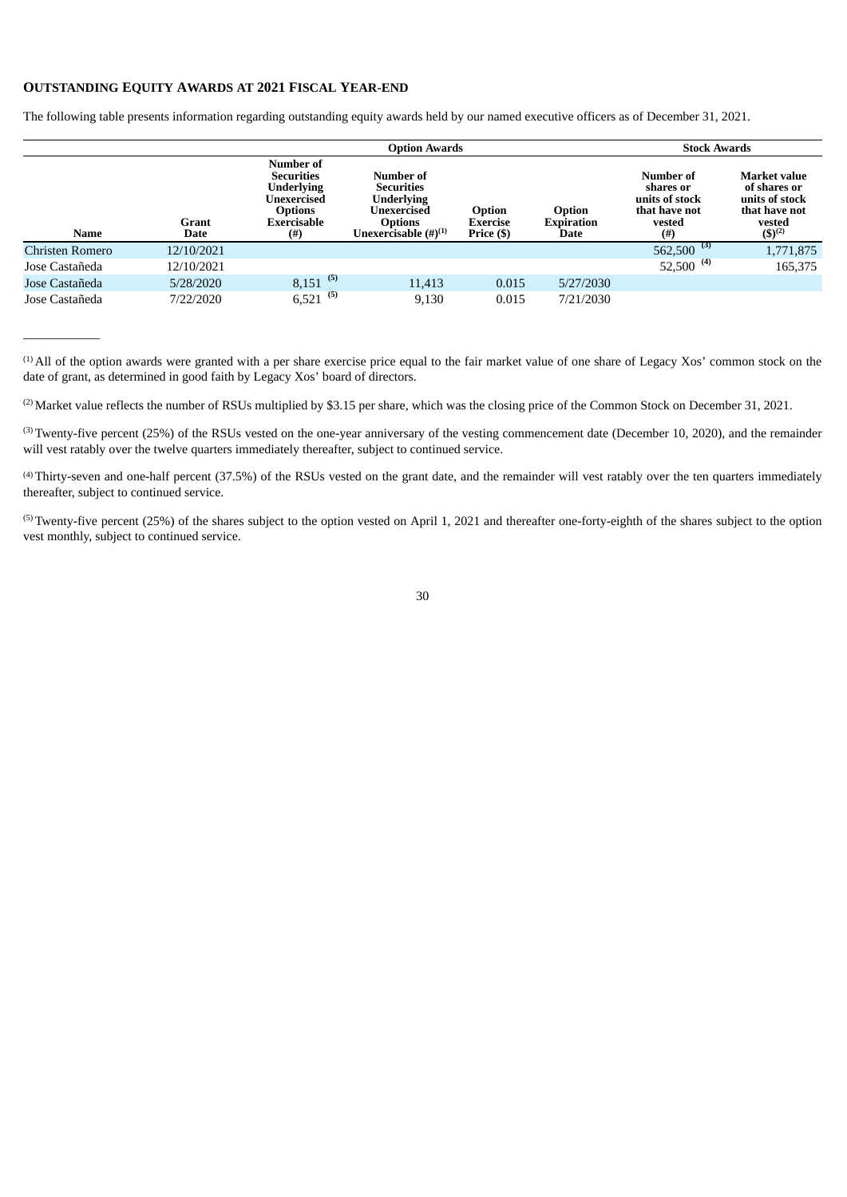## **OUTSTANDING EQUITY AWARDS AT 2021 FISCAL YEAR-END**

 $\overline{\phantom{a}}$  , where  $\overline{\phantom{a}}$ 

The following table presents information regarding outstanding equity awards held by our named executive officers as of December 31, 2021.

|                 |               |                                                                                                                 | <b>Stock Awards</b>                                                                                         |                                         |                              |                                                                             |                                                                                                 |
|-----------------|---------------|-----------------------------------------------------------------------------------------------------------------|-------------------------------------------------------------------------------------------------------------|-----------------------------------------|------------------------------|-----------------------------------------------------------------------------|-------------------------------------------------------------------------------------------------|
| Name            | Grant<br>Date | Number of<br><b>Securities</b><br><b>Underlying</b><br>Unexercised<br><b>Options</b><br>Exercisable<br>$^{(#)}$ | Number of<br><b>Securities</b><br>Underlying<br>Unexercised<br><b>Options</b><br>Unexercisable $(\#)^{(1)}$ | Option<br><b>Exercise</b><br>Price (\$) | Option<br>Expiration<br>Date | Number of<br>shares or<br>units of stock<br>that have not<br>vested<br>(# ) | <b>Market value</b><br>of shares or<br>units of stock<br>that have not<br>vested<br>$(5)^{(2)}$ |
| Christen Romero | 12/10/2021    |                                                                                                                 |                                                                                                             |                                         |                              | $562,500^{(3)}$                                                             | 1,771,875                                                                                       |
| Jose Castañeda  | 12/10/2021    |                                                                                                                 |                                                                                                             |                                         |                              | 52,500 $^{(4)}$                                                             | 165,375                                                                                         |
| Jose Castañeda  | 5/28/2020     | (5)<br>8,151                                                                                                    | 11,413                                                                                                      | 0.015                                   | 5/27/2030                    |                                                                             |                                                                                                 |
| Jose Castañeda  | 7/22/2020     | $6,521$ <sup>(5)</sup>                                                                                          | 9,130                                                                                                       | 0.015                                   | 7/21/2030                    |                                                                             |                                                                                                 |

 $(1)$  All of the option awards were granted with a per share exercise price equal to the fair market value of one share of Legacy Xos' common stock on the date of grant, as determined in good faith by Legacy Xos' board of directors.

(2) Market value reflects the number of RSUs multiplied by \$3.15 per share, which was the closing price of the Common Stock on December 31, 2021.

 $(3)$  Twenty-five percent (25%) of the RSUs vested on the one-year anniversary of the vesting commencement date (December 10, 2020), and the remainder will vest ratably over the twelve quarters immediately thereafter, subject to continued service.

Thirty-seven and one-half percent (37.5%) of the RSUs vested on the grant date, and the remainder will vest ratably over the ten quarters immediately (4) thereafter, subject to continued service.

 $^{(5)}$ Twenty-five percent (25%) of the shares subject to the option vested on April 1, 2021 and thereafter one-forty-eighth of the shares subject to the option vest monthly, subject to continued service.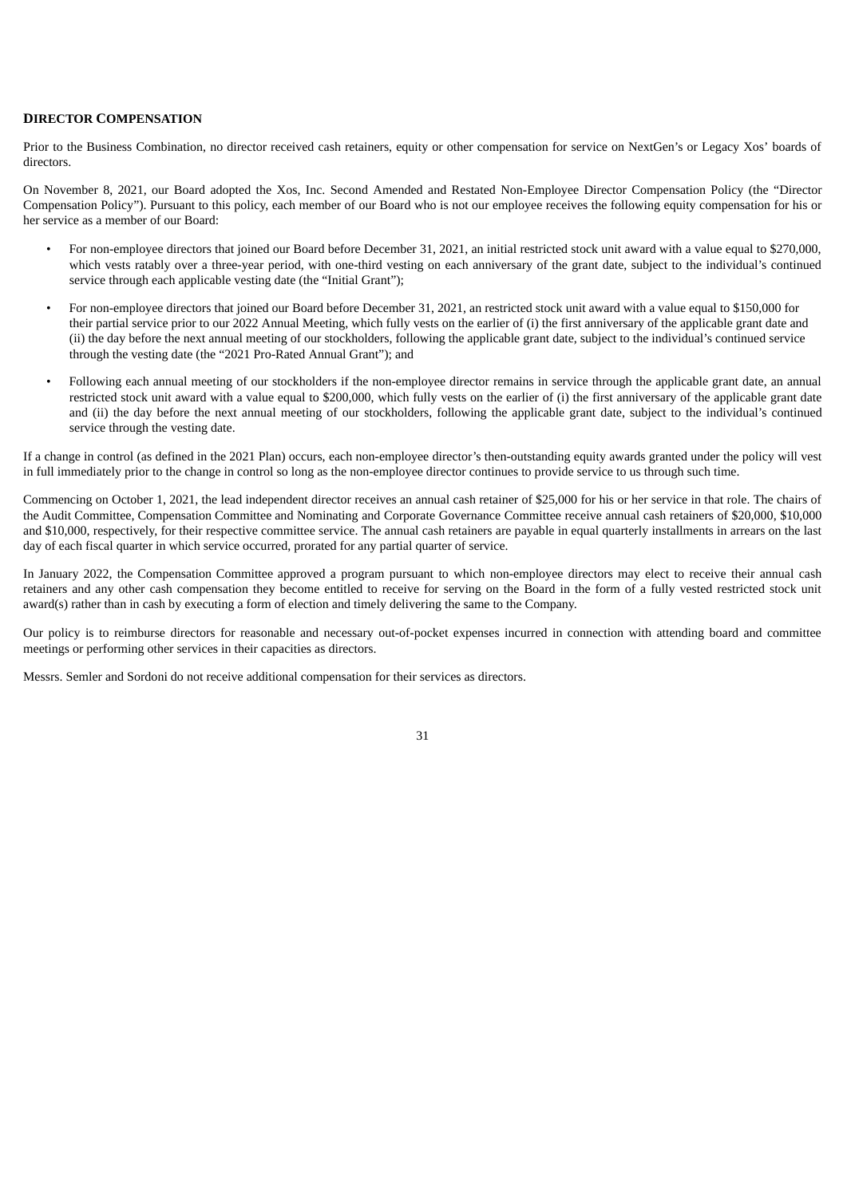#### <span id="page-35-0"></span>**DIRECTOR COMPENSATION**

Prior to the Business Combination, no director received cash retainers, equity or other compensation for service on NextGen's or Legacy Xos' boards of directors.

On November 8, 2021, our Board adopted the Xos, Inc. Second Amended and Restated Non-Employee Director Compensation Policy (the "Director Compensation Policy"). Pursuant to this policy, each member of our Board who is not our employee receives the following equity compensation for his or her service as a member of our Board:

- For non-employee directors that joined our Board before December 31, 2021, an initial restricted stock unit award with a value equal to \$270,000, which vests ratably over a three-year period, with one-third vesting on each anniversary of the grant date, subject to the individual's continued service through each applicable vesting date (the "Initial Grant");
- For non-employee directors that joined our Board before December 31, 2021, an restricted stock unit award with a value equal to \$150,000 for their partial service prior to our 2022 Annual Meeting, which fully vests on the earlier of (i) the first anniversary of the applicable grant date and (ii) the day before the next annual meeting of our stockholders, following the applicable grant date, subject to the individual's continued service through the vesting date (the "2021 Pro-Rated Annual Grant"); and
- Following each annual meeting of our stockholders if the non-employee director remains in service through the applicable grant date, an annual restricted stock unit award with a value equal to \$200,000, which fully vests on the earlier of (i) the first anniversary of the applicable grant date and (ii) the day before the next annual meeting of our stockholders, following the applicable grant date, subject to the individual's continued service through the vesting date.

If a change in control (as defined in the 2021 Plan) occurs, each non-employee director's then-outstanding equity awards granted under the policy will vest in full immediately prior to the change in control so long as the non-employee director continues to provide service to us through such time.

Commencing on October 1, 2021, the lead independent director receives an annual cash retainer of \$25,000 for his or her service in that role. The chairs of the Audit Committee, Compensation Committee and Nominating and Corporate Governance Committee receive annual cash retainers of \$20,000, \$10,000 and \$10,000, respectively, for their respective committee service. The annual cash retainers are payable in equal quarterly installments in arrears on the last day of each fiscal quarter in which service occurred, prorated for any partial quarter of service.

In January 2022, the Compensation Committee approved a program pursuant to which non-employee directors may elect to receive their annual cash retainers and any other cash compensation they become entitled to receive for serving on the Board in the form of a fully vested restricted stock unit award(s) rather than in cash by executing a form of election and timely delivering the same to the Company.

Our policy is to reimburse directors for reasonable and necessary out-of-pocket expenses incurred in connection with attending board and committee meetings or performing other services in their capacities as directors.

Messrs. Semler and Sordoni do not receive additional compensation for their services as directors.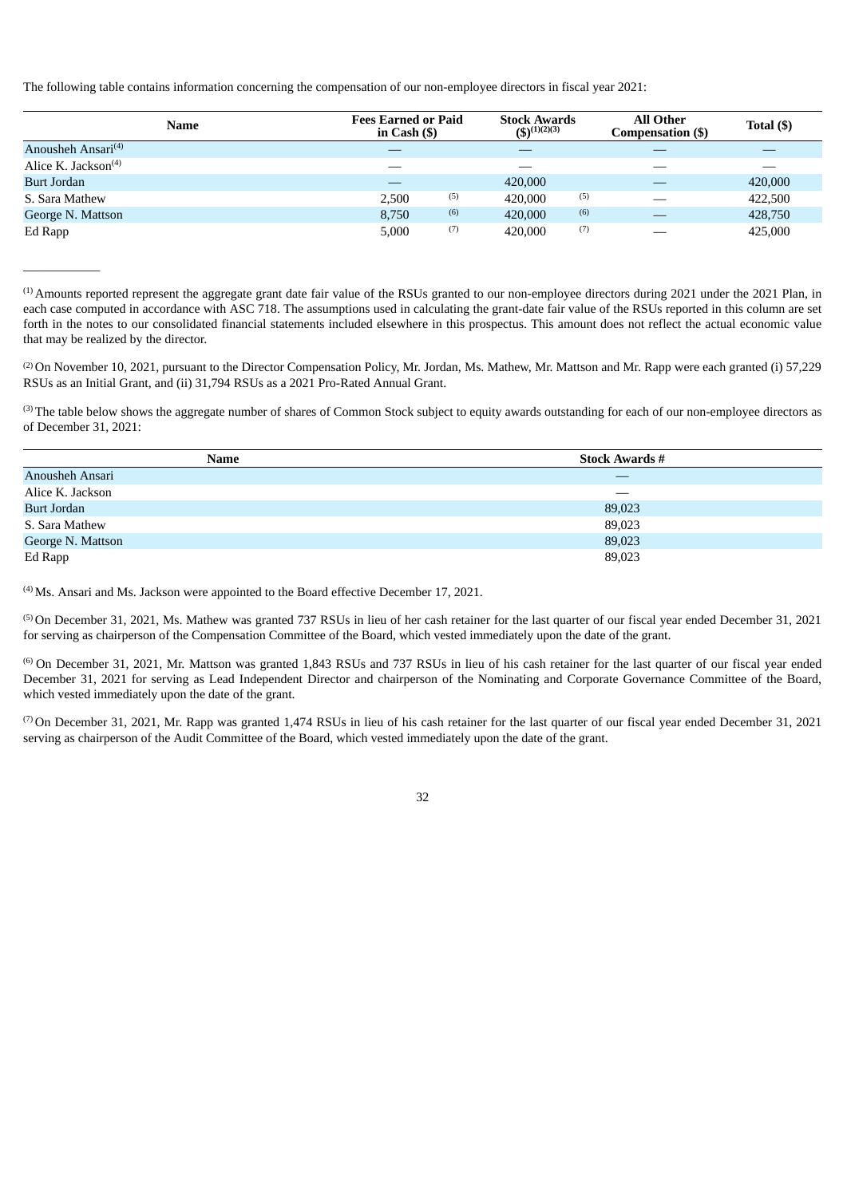The following table contains information concerning the compensation of our non-employee directors in fiscal year 2021:

| <b>Name</b>                    | <b>Fees Earned or Paid</b><br>in Cash $($ ) |     | <b>Stock Awards</b><br>$(5)^{(1)(2)(3)}$ |     | <b>All Other</b><br>Compensation (\$) | Total $($ ) |  |
|--------------------------------|---------------------------------------------|-----|------------------------------------------|-----|---------------------------------------|-------------|--|
| Anousheh Ansari <sup>(4)</sup> |                                             |     |                                          |     |                                       |             |  |
| Alice K. Jackson $(4)$         | __                                          |     |                                          |     |                                       |             |  |
| <b>Burt Jordan</b>             |                                             |     | 420,000                                  |     |                                       | 420,000     |  |
| S. Sara Mathew                 | 2,500                                       | (5) | 420,000                                  | (5) |                                       | 422,500     |  |
| George N. Mattson              | 8,750                                       | (6) | 420,000                                  | (6) |                                       | 428,750     |  |
| Ed Rapp                        | 5,000                                       | (7) | 420,000                                  | (7) | __                                    | 425,000     |  |

 $^{(1)}$  Amounts reported represent the aggregate grant date fair value of the RSUs granted to our non-employee directors during 2021 under the 2021 Plan, in each case computed in accordance with ASC 718. The assumptions used in calculating the grant-date fair value of the RSUs reported in this column are set forth in the notes to our consolidated financial statements included elsewhere in this prospectus. This amount does not reflect the actual economic value that may be realized by the director.

(2) On November 10, 2021, pursuant to the Director Compensation Policy, Mr. Jordan, Ms. Mathew, Mr. Mattson and Mr. Rapp were each granted (i) 57,229 RSUs as an Initial Grant, and (ii) 31,794 RSUs as a 2021 Pro-Rated Annual Grant.

(3) The table below shows the aggregate number of shares of Common Stock subject to equity awards outstanding for each of our non-employee directors as of December 31, 2021:

| Name               | <b>Stock Awards #</b>    |
|--------------------|--------------------------|
| Anousheh Ansari    | –                        |
| Alice K. Jackson   | $\overline{\phantom{a}}$ |
| <b>Burt Jordan</b> | 89,023                   |
| S. Sara Mathew     | 89,023                   |
| George N. Mattson  | 89,023                   |
| Ed Rapp            | 89,023                   |

 $<sup>(4)</sup>$  Ms. Ansari and Ms. Jackson were appointed to the Board effective December 17, 2021.</sup>

 $\overline{\phantom{a}}$  , where  $\overline{\phantom{a}}$ 

<sup>(5)</sup> On December 31, 2021, Ms. Mathew was granted 737 RSUs in lieu of her cash retainer for the last quarter of our fiscal year ended December 31, 2021 for serving as chairperson of the Compensation Committee of the Board, which vested immediately upon the date of the grant.

 $^{(6)}$  On December 31, 2021, Mr. Mattson was granted 1,843 RSUs and 737 RSUs in lieu of his cash retainer for the last quarter of our fiscal year ended December 31, 2021 for serving as Lead Independent Director and chairperson of the Nominating and Corporate Governance Committee of the Board, which vested immediately upon the date of the grant.

( $7$ ) On December 31, 2021, Mr. Rapp was granted 1,474 RSUs in lieu of his cash retainer for the last quarter of our fiscal year ended December 31, 2021 serving as chairperson of the Audit Committee of the Board, which vested immediately upon the date of the grant.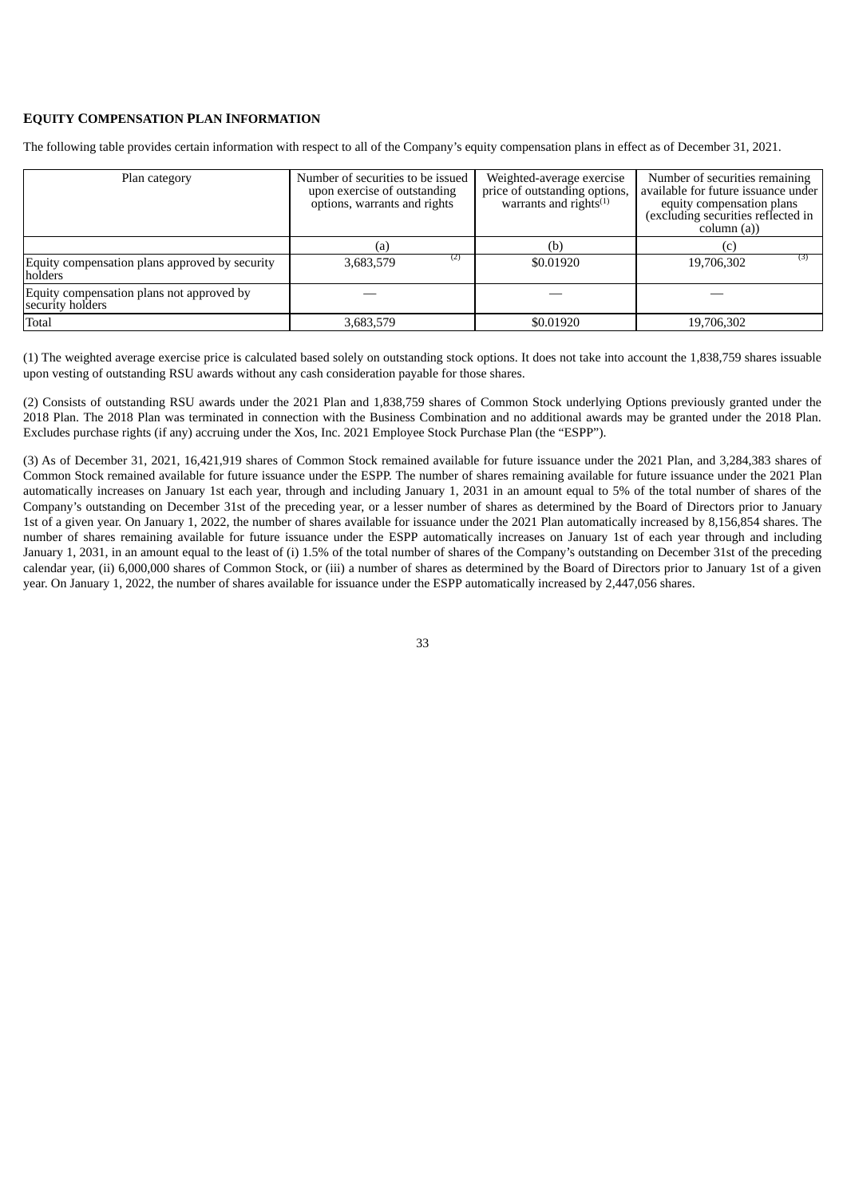## <span id="page-37-0"></span>**EQUITY COMPENSATION PLAN INFORMATION**

The following table provides certain information with respect to all of the Company's equity compensation plans in effect as of December 31, 2021.

| Plan category                                                 | Number of securities to be issued<br>upon exercise of outstanding<br>options, warrants and rights | Weighted-average exercise<br>price of outstanding options,<br>warrants and rights $(1)$ | Number of securities remaining<br>available for future issuance under<br>equity compensation plans<br>(excluding securities reflected in<br>column (a)) |  |  |
|---------------------------------------------------------------|---------------------------------------------------------------------------------------------------|-----------------------------------------------------------------------------------------|---------------------------------------------------------------------------------------------------------------------------------------------------------|--|--|
|                                                               | (a)                                                                                               | (b)                                                                                     | $\left( 0\right)$                                                                                                                                       |  |  |
| Equity compensation plans approved by security<br>holders     | (2)<br>3,683,579                                                                                  | \$0.01920                                                                               | (3)<br>19,706,302                                                                                                                                       |  |  |
| Equity compensation plans not approved by<br>security holders |                                                                                                   |                                                                                         |                                                                                                                                                         |  |  |
| Total                                                         | 3,683,579                                                                                         | \$0.01920                                                                               | 19,706,302                                                                                                                                              |  |  |

(1) The weighted average exercise price is calculated based solely on outstanding stock options. It does not take into account the 1,838,759 shares issuable upon vesting of outstanding RSU awards without any cash consideration payable for those shares.

(2) Consists of outstanding RSU awards under the 2021 Plan and 1,838,759 shares of Common Stock underlying Options previously granted under the 2018 Plan. The 2018 Plan was terminated in connection with the Business Combination and no additional awards may be granted under the 2018 Plan. Excludes purchase rights (if any) accruing under the Xos, Inc. 2021 Employee Stock Purchase Plan (the "ESPP").

<span id="page-37-1"></span>(3) As of December 31, 2021, 16,421,919 shares of Common Stock remained available for future issuance under the 2021 Plan, and 3,284,383 shares of Common Stock remained available for future issuance under the ESPP. The number of shares remaining available for future issuance under the 2021 Plan automatically increases on January 1st each year, through and including January 1, 2031 in an amount equal to 5% of the total number of shares of the Company's outstanding on December 31st of the preceding year, or a lesser number of shares as determined by the Board of Directors prior to January 1st of a given year. On January 1, 2022, the number of shares available for issuance under the 2021 Plan automatically increased by 8,156,854 shares. The number of shares remaining available for future issuance under the ESPP automatically increases on January 1st of each year through and including January 1, 2031, in an amount equal to the least of (i) 1.5% of the total number of shares of the Company's outstanding on December 31st of the preceding calendar year, (ii) 6,000,000 shares of Common Stock, or (iii) a number of shares as determined by the Board of Directors prior to January 1st of a given year. On January 1, 2022, the number of shares available for issuance under the ESPP automatically increased by 2,447,056 shares.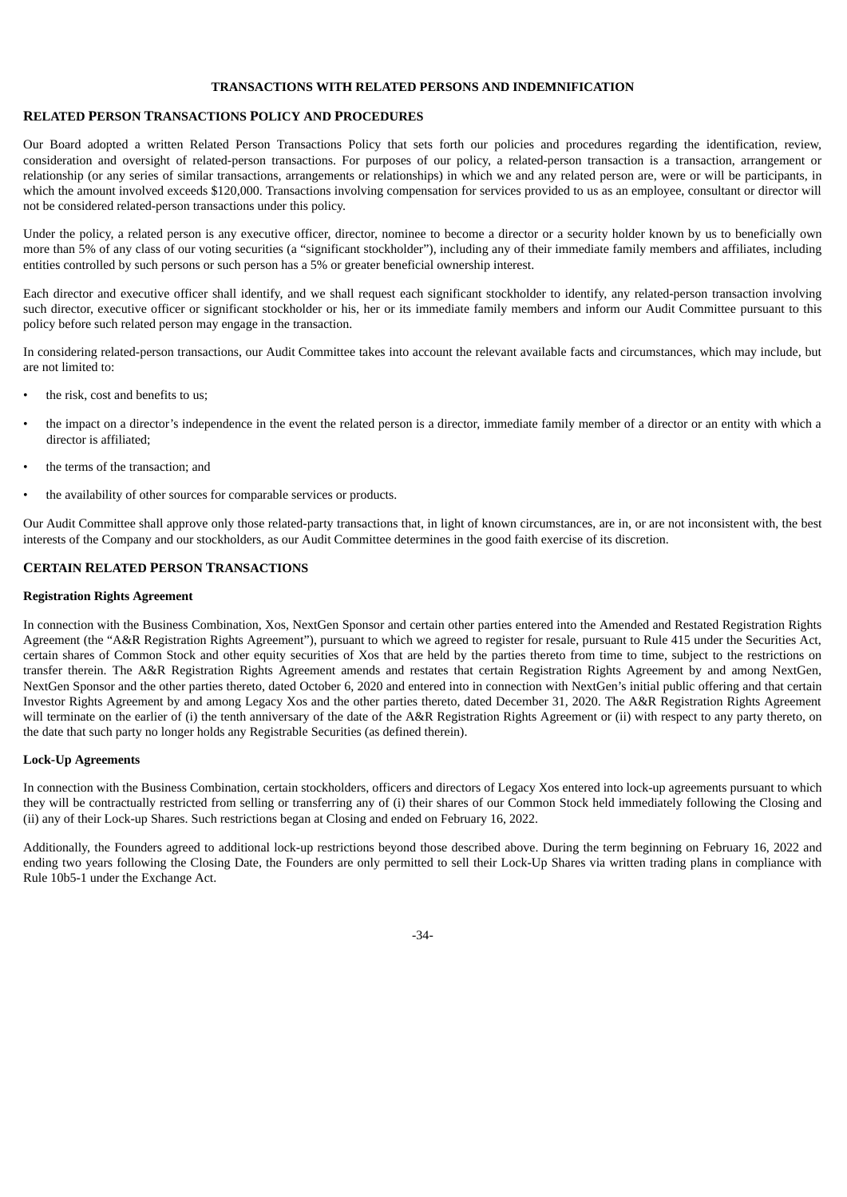#### **TRANSACTIONS WITH RELATED PERSONS AND INDEMNIFICATION**

## <span id="page-38-0"></span>**RELATED PERSON TRANSACTIONS POLICY AND PROCEDURES**

Our Board adopted a written Related Person Transactions Policy that sets forth our policies and procedures regarding the identification, review, consideration and oversight of related-person transactions. For purposes of our policy, a related-person transaction is a transaction, arrangement or relationship (or any series of similar transactions, arrangements or relationships) in which we and any related person are, were or will be participants, in which the amount involved exceeds \$120,000. Transactions involving compensation for services provided to us as an employee, consultant or director will not be considered related-person transactions under this policy.

Under the policy, a related person is any executive officer, director, nominee to become a director or a security holder known by us to beneficially own more than 5% of any class of our voting securities (a "significant stockholder"), including any of their immediate family members and affiliates, including entities controlled by such persons or such person has a 5% or greater beneficial ownership interest.

Each director and executive officer shall identify, and we shall request each significant stockholder to identify, any related-person transaction involving such director, executive officer or significant stockholder or his, her or its immediate family members and inform our Audit Committee pursuant to this policy before such related person may engage in the transaction.

In considering related-person transactions, our Audit Committee takes into account the relevant available facts and circumstances, which may include, but are not limited to:

- the risk, cost and benefits to us;
- the impact on a director's independence in the event the related person is a director, immediate family member of a director or an entity with which a director is affiliated;
- the terms of the transaction; and
- the availability of other sources for comparable services or products.

Our Audit Committee shall approve only those related-party transactions that, in light of known circumstances, are in, or are not inconsistent with, the best interests of the Company and our stockholders, as our Audit Committee determines in the good faith exercise of its discretion.

## <span id="page-38-1"></span>**CERTAIN RELATED PERSON TRANSACTIONS**

#### **Registration Rights Agreement**

In connection with the Business Combination, Xos, NextGen Sponsor and certain other parties entered into the Amended and Restated Registration Rights Agreement (the "A&R Registration Rights Agreement"), pursuant to which we agreed to register for resale, pursuant to Rule 415 under the Securities Act, certain shares of Common Stock and other equity securities of Xos that are held by the parties thereto from time to time, subject to the restrictions on transfer therein. The A&R Registration Rights Agreement amends and restates that certain Registration Rights Agreement by and among NextGen, NextGen Sponsor and the other parties thereto, dated October 6, 2020 and entered into in connection with NextGen's initial public offering and that certain Investor Rights Agreement by and among Legacy Xos and the other parties thereto, dated December 31, 2020. The A&R Registration Rights Agreement will terminate on the earlier of (i) the tenth anniversary of the date of the A&R Registration Rights Agreement or (ii) with respect to any party thereto, on the date that such party no longer holds any Registrable Securities (as defined therein).

#### **Lock-Up Agreements**

In connection with the Business Combination, certain stockholders, officers and directors of Legacy Xos entered into lock-up agreements pursuant to which they will be contractually restricted from selling or transferring any of (i) their shares of our Common Stock held immediately following the Closing and (ii) any of their Lock-up Shares. Such restrictions began at Closing and ended on February 16, 2022.

Additionally, the Founders agreed to additional lock-up restrictions beyond those described above. During the term beginning on February 16, 2022 and ending two years following the Closing Date, the Founders are only permitted to sell their Lock-Up Shares via written trading plans in compliance with Rule 10b5-1 under the Exchange Act.

-34-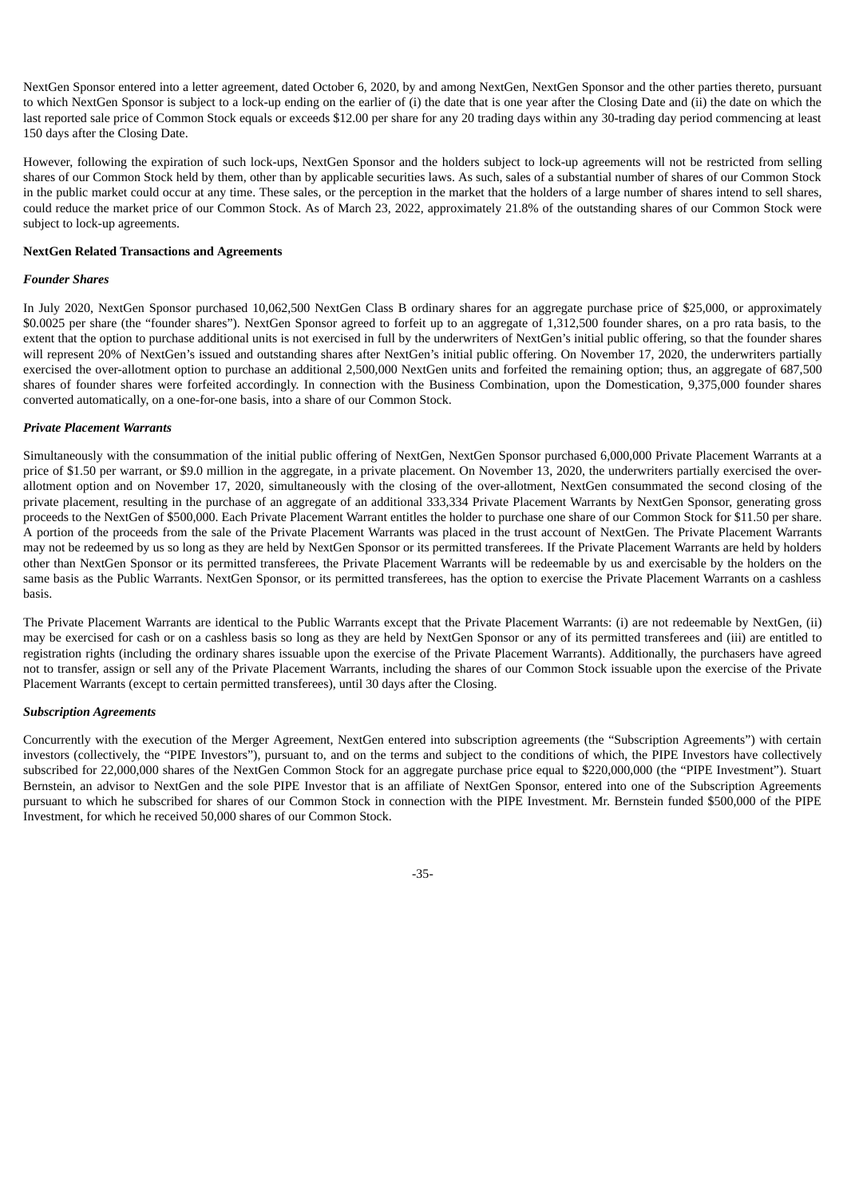NextGen Sponsor entered into a letter agreement, dated October 6, 2020, by and among NextGen, NextGen Sponsor and the other parties thereto, pursuant to which NextGen Sponsor is subject to a lock-up ending on the earlier of (i) the date that is one year after the Closing Date and (ii) the date on which the last reported sale price of Common Stock equals or exceeds \$12.00 per share for any 20 trading days within any 30-trading day period commencing at least 150 days after the Closing Date.

However, following the expiration of such lock-ups, NextGen Sponsor and the holders subject to lock-up agreements will not be restricted from selling shares of our Common Stock held by them, other than by applicable securities laws. As such, sales of a substantial number of shares of our Common Stock in the public market could occur at any time. These sales, or the perception in the market that the holders of a large number of shares intend to sell shares, could reduce the market price of our Common Stock. As of March 23, 2022, approximately 21.8% of the outstanding shares of our Common Stock were subject to lock-up agreements.

#### **NextGen Related Transactions and Agreements**

#### *Founder Shares*

In July 2020, NextGen Sponsor purchased 10,062,500 NextGen Class B ordinary shares for an aggregate purchase price of \$25,000, or approximately \$0.0025 per share (the "founder shares"). NextGen Sponsor agreed to forfeit up to an aggregate of 1,312,500 founder shares, on a pro rata basis, to the extent that the option to purchase additional units is not exercised in full by the underwriters of NextGen's initial public offering, so that the founder shares will represent 20% of NextGen's issued and outstanding shares after NextGen's initial public offering. On November 17, 2020, the underwriters partially exercised the over-allotment option to purchase an additional 2,500,000 NextGen units and forfeited the remaining option; thus, an aggregate of 687,500 shares of founder shares were forfeited accordingly. In connection with the Business Combination, upon the Domestication, 9,375,000 founder shares converted automatically, on a one-for-one basis, into a share of our Common Stock.

#### *Private Placement Warrants*

Simultaneously with the consummation of the initial public offering of NextGen, NextGen Sponsor purchased 6,000,000 Private Placement Warrants at a price of \$1.50 per warrant, or \$9.0 million in the aggregate, in a private placement. On November 13, 2020, the underwriters partially exercised the overallotment option and on November 17, 2020, simultaneously with the closing of the over-allotment, NextGen consummated the second closing of the private placement, resulting in the purchase of an aggregate of an additional 333,334 Private Placement Warrants by NextGen Sponsor, generating gross proceeds to the NextGen of \$500,000. Each Private Placement Warrant entitles the holder to purchase one share of our Common Stock for \$11.50 per share. A portion of the proceeds from the sale of the Private Placement Warrants was placed in the trust account of NextGen. The Private Placement Warrants may not be redeemed by us so long as they are held by NextGen Sponsor or its permitted transferees. If the Private Placement Warrants are held by holders other than NextGen Sponsor or its permitted transferees, the Private Placement Warrants will be redeemable by us and exercisable by the holders on the same basis as the Public Warrants. NextGen Sponsor, or its permitted transferees, has the option to exercise the Private Placement Warrants on a cashless basis.

The Private Placement Warrants are identical to the Public Warrants except that the Private Placement Warrants: (i) are not redeemable by NextGen, (ii) may be exercised for cash or on a cashless basis so long as they are held by NextGen Sponsor or any of its permitted transferees and (iii) are entitled to registration rights (including the ordinary shares issuable upon the exercise of the Private Placement Warrants). Additionally, the purchasers have agreed not to transfer, assign or sell any of the Private Placement Warrants, including the shares of our Common Stock issuable upon the exercise of the Private Placement Warrants (except to certain permitted transferees), until 30 days after the Closing.

## *Subscription Agreements*

Concurrently with the execution of the Merger Agreement, NextGen entered into subscription agreements (the "Subscription Agreements") with certain investors (collectively, the "PIPE Investors"), pursuant to, and on the terms and subject to the conditions of which, the PIPE Investors have collectively subscribed for 22,000,000 shares of the NextGen Common Stock for an aggregate purchase price equal to \$220,000,000 (the "PIPE Investment"). Stuart Bernstein, an advisor to NextGen and the sole PIPE Investor that is an affiliate of NextGen Sponsor, entered into one of the Subscription Agreements pursuant to which he subscribed for shares of our Common Stock in connection with the PIPE Investment. Mr. Bernstein funded \$500,000 of the PIPE Investment, for which he received 50,000 shares of our Common Stock.

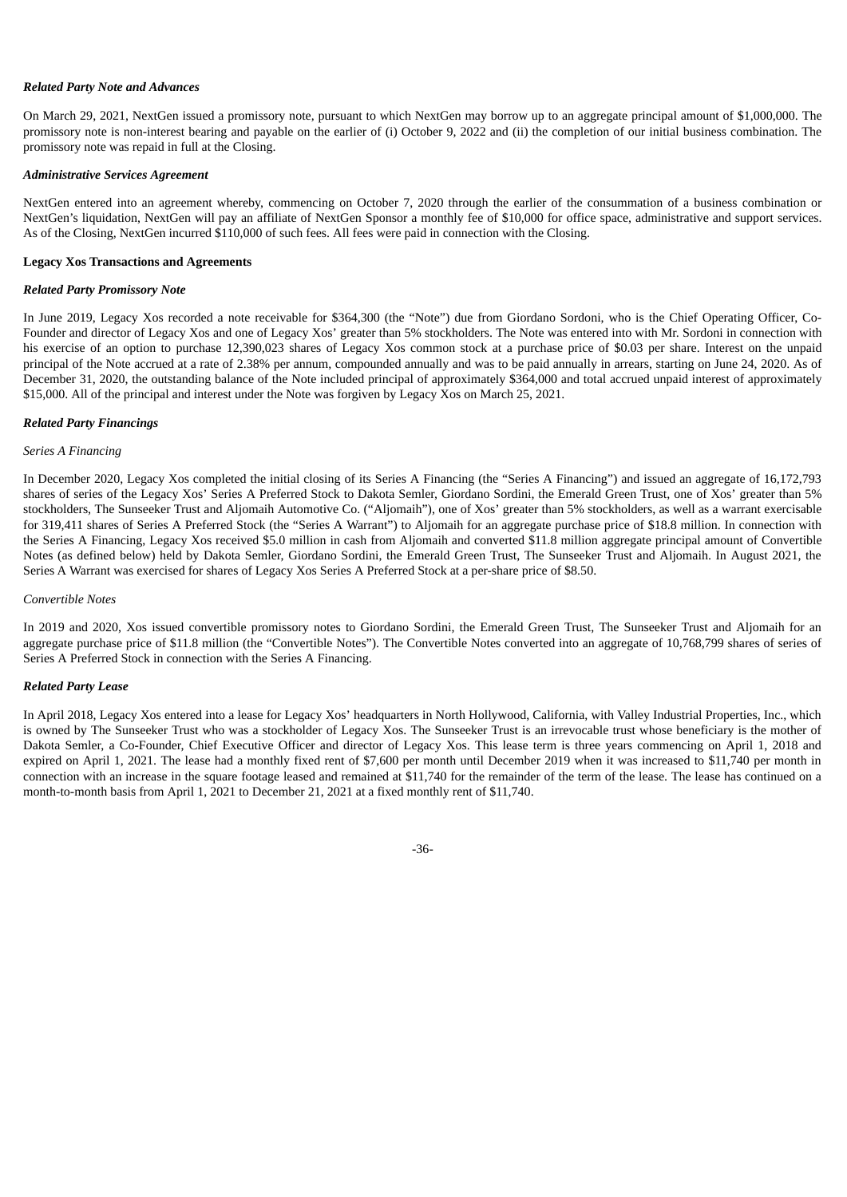#### *Related Party Note and Advances*

On March 29, 2021, NextGen issued a promissory note, pursuant to which NextGen may borrow up to an aggregate principal amount of \$1,000,000. The promissory note is non-interest bearing and payable on the earlier of (i) October 9, 2022 and (ii) the completion of our initial business combination. The promissory note was repaid in full at the Closing.

#### *Administrative Services Agreement*

NextGen entered into an agreement whereby, commencing on October 7, 2020 through the earlier of the consummation of a business combination or NextGen's liquidation, NextGen will pay an affiliate of NextGen Sponsor a monthly fee of \$10,000 for office space, administrative and support services. As of the Closing, NextGen incurred \$110,000 of such fees. All fees were paid in connection with the Closing.

#### **Legacy Xos Transactions and Agreements**

#### *Related Party Promissory Note*

In June 2019, Legacy Xos recorded a note receivable for \$364,300 (the "Note") due from Giordano Sordoni, who is the Chief Operating Officer, Co-Founder and director of Legacy Xos and one of Legacy Xos' greater than 5% stockholders. The Note was entered into with Mr. Sordoni in connection with his exercise of an option to purchase 12,390,023 shares of Legacy Xos common stock at a purchase price of \$0.03 per share. Interest on the unpaid principal of the Note accrued at a rate of 2.38% per annum, compounded annually and was to be paid annually in arrears, starting on June 24, 2020. As of December 31, 2020, the outstanding balance of the Note included principal of approximately \$364,000 and total accrued unpaid interest of approximately \$15,000. All of the principal and interest under the Note was forgiven by Legacy Xos on March 25, 2021.

#### *Related Party Financings*

#### *Series A Financing*

In December 2020, Legacy Xos completed the initial closing of its Series A Financing (the "Series A Financing") and issued an aggregate of 16,172,793 shares of series of the Legacy Xos' Series A Preferred Stock to Dakota Semler, Giordano Sordini, the Emerald Green Trust, one of Xos' greater than 5% stockholders, The Sunseeker Trust and Aljomaih Automotive Co. ("Aljomaih"), one of Xos' greater than 5% stockholders, as well as a warrant exercisable for 319,411 shares of Series A Preferred Stock (the "Series A Warrant") to Aljomaih for an aggregate purchase price of \$18.8 million. In connection with the Series A Financing, Legacy Xos received \$5.0 million in cash from Aljomaih and converted \$11.8 million aggregate principal amount of Convertible Notes (as defined below) held by Dakota Semler, Giordano Sordini, the Emerald Green Trust, The Sunseeker Trust and Aljomaih. In August 2021, the Series A Warrant was exercised for shares of Legacy Xos Series A Preferred Stock at a per-share price of \$8.50.

#### *Convertible Notes*

In 2019 and 2020, Xos issued convertible promissory notes to Giordano Sordini, the Emerald Green Trust, The Sunseeker Trust and Aljomaih for an aggregate purchase price of \$11.8 million (the "Convertible Notes"). The Convertible Notes converted into an aggregate of 10,768,799 shares of series of Series A Preferred Stock in connection with the Series A Financing.

#### *Related Party Lease*

<span id="page-40-0"></span>In April 2018, Legacy Xos entered into a lease for Legacy Xos' headquarters in North Hollywood, California, with Valley Industrial Properties, Inc., which is owned by The Sunseeker Trust who was a stockholder of Legacy Xos. The Sunseeker Trust is an irrevocable trust whose beneficiary is the mother of Dakota Semler, a Co-Founder, Chief Executive Officer and director of Legacy Xos. This lease term is three years commencing on April 1, 2018 and expired on April 1, 2021. The lease had a monthly fixed rent of \$7,600 per month until December 2019 when it was increased to \$11,740 per month in connection with an increase in the square footage leased and remained at \$11,740 for the remainder of the term of the lease. The lease has continued on a month-to-month basis from April 1, 2021 to December 21, 2021 at a fixed monthly rent of \$11,740.

-36-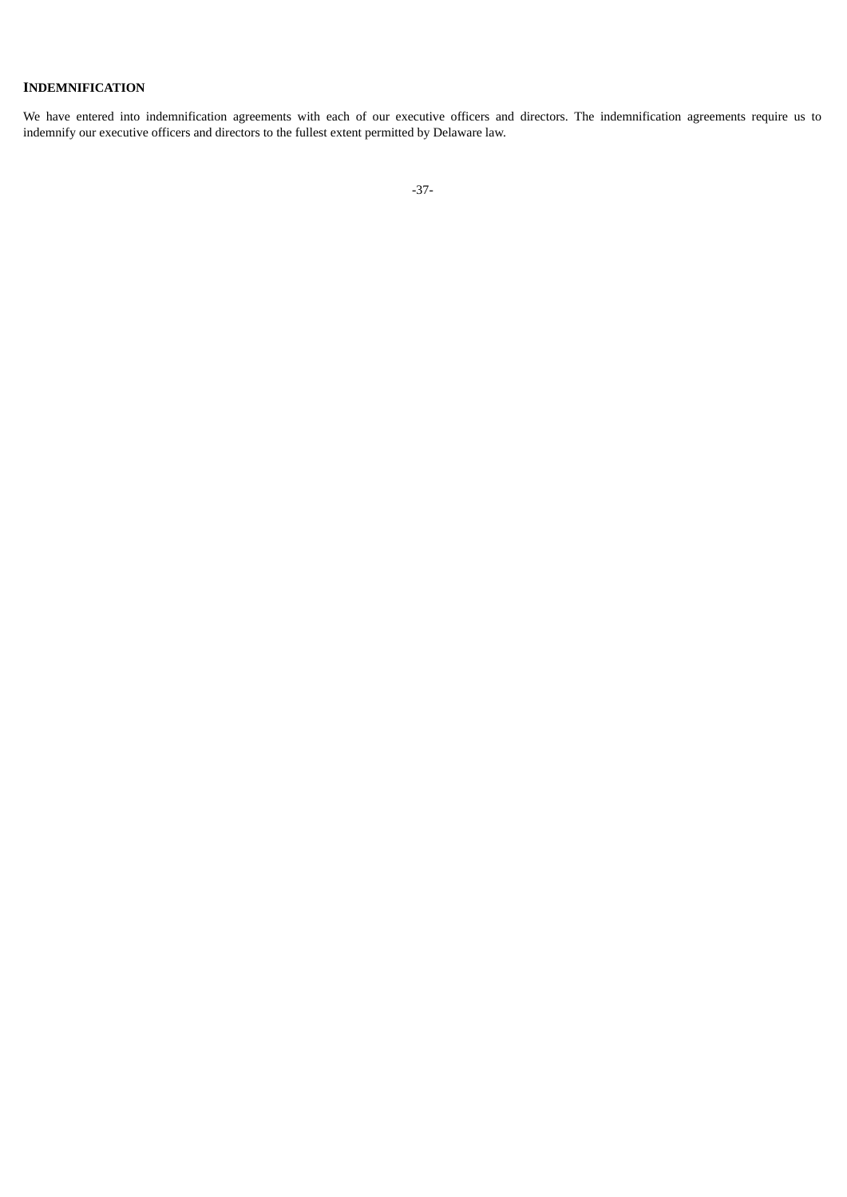## **INDEMNIFICATION**

<span id="page-41-0"></span>We have entered into indemnification agreements with each of our executive officers and directors. The indemnification agreements require us to indemnify our executive officers and directors to the fullest extent permitted by Delaware law.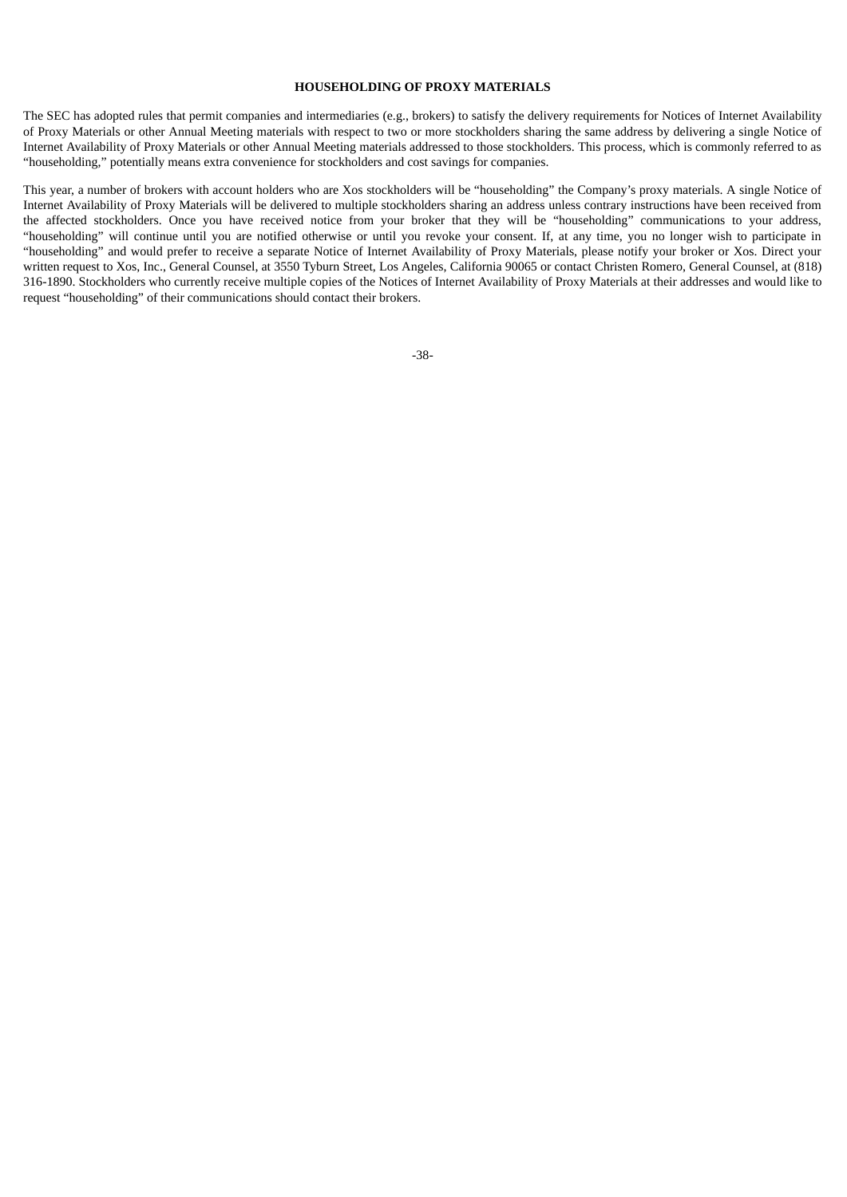#### **HOUSEHOLDING OF PROXY MATERIALS**

The SEC has adopted rules that permit companies and intermediaries (e.g., brokers) to satisfy the delivery requirements for Notices of Internet Availability of Proxy Materials or other Annual Meeting materials with respect to two or more stockholders sharing the same address by delivering a single Notice of Internet Availability of Proxy Materials or other Annual Meeting materials addressed to those stockholders. This process, which is commonly referred to as "householding," potentially means extra convenience for stockholders and cost savings for companies.

<span id="page-42-0"></span>This year, a number of brokers with account holders who are Xos stockholders will be "householding" the Company's proxy materials. A single Notice of Internet Availability of Proxy Materials will be delivered to multiple stockholders sharing an address unless contrary instructions have been received from the affected stockholders. Once you have received notice from your broker that they will be "householding" communications to your address, "householding" will continue until you are notified otherwise or until you revoke your consent. If, at any time, you no longer wish to participate in "householding" and would prefer to receive a separate Notice of Internet Availability of Proxy Materials, please notify your broker or Xos. Direct your written request to Xos, Inc., General Counsel, at 3550 Tyburn Street, Los Angeles, California 90065 or contact Christen Romero, General Counsel, at (818) 316-1890. Stockholders who currently receive multiple copies of the Notices of Internet Availability of Proxy Materials at their addresses and would like to request "householding" of their communications should contact their brokers.

$$
-38-
$$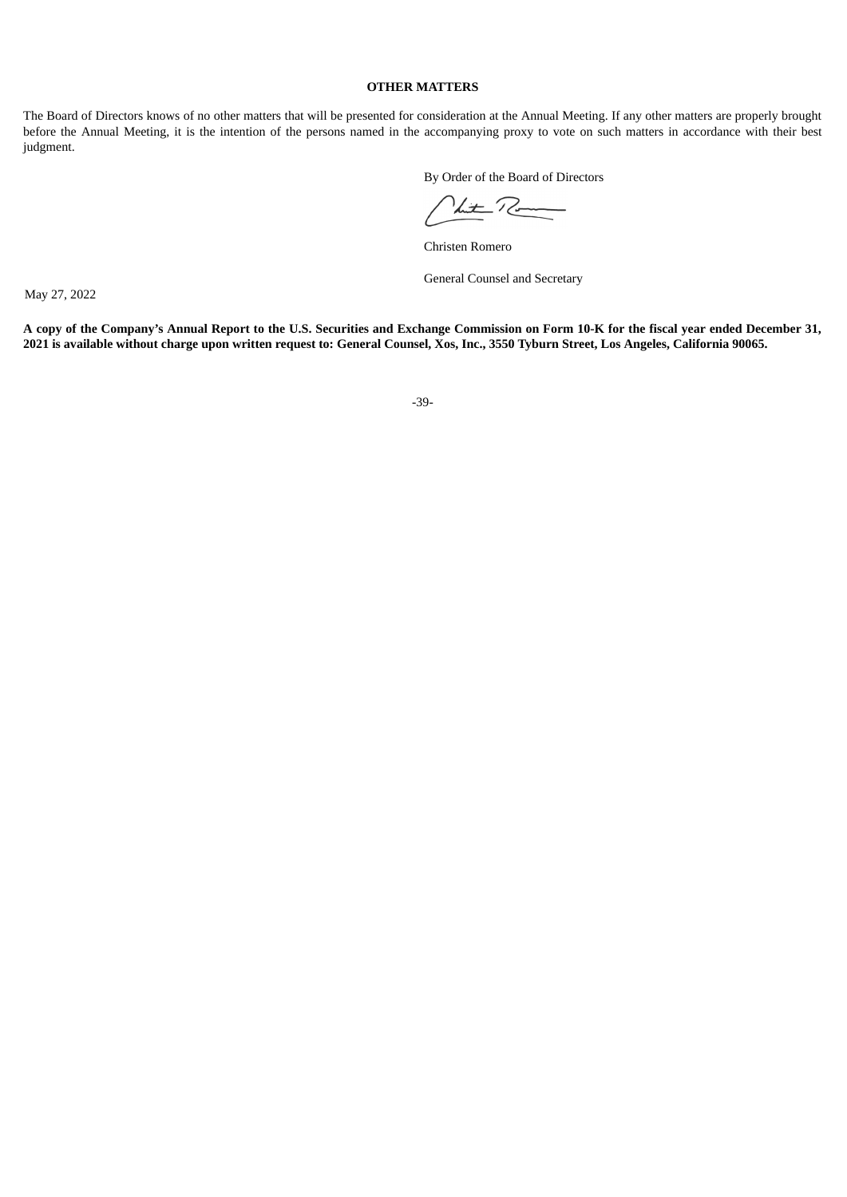## **OTHER MATTERS**

The Board of Directors knows of no other matters that will be presented for consideration at the Annual Meeting. If any other matters are properly brought before the Annual Meeting, it is the intention of the persons named in the accompanying proxy to vote on such matters in accordance with their best judgment.

By Order of the Board of Directors

Nut Ro

Christen Romero

General Counsel and Secretary

May 27, 2022

A copy of the Company's Annual Report to the U.S. Securities and Exchange Commission on Form 10-K for the fiscal year ended December 31, 2021 is available without charge upon written request to: General Counsel, Xos, Inc., 3550 Tyburn Street, Los Angeles, California 90065.

-39-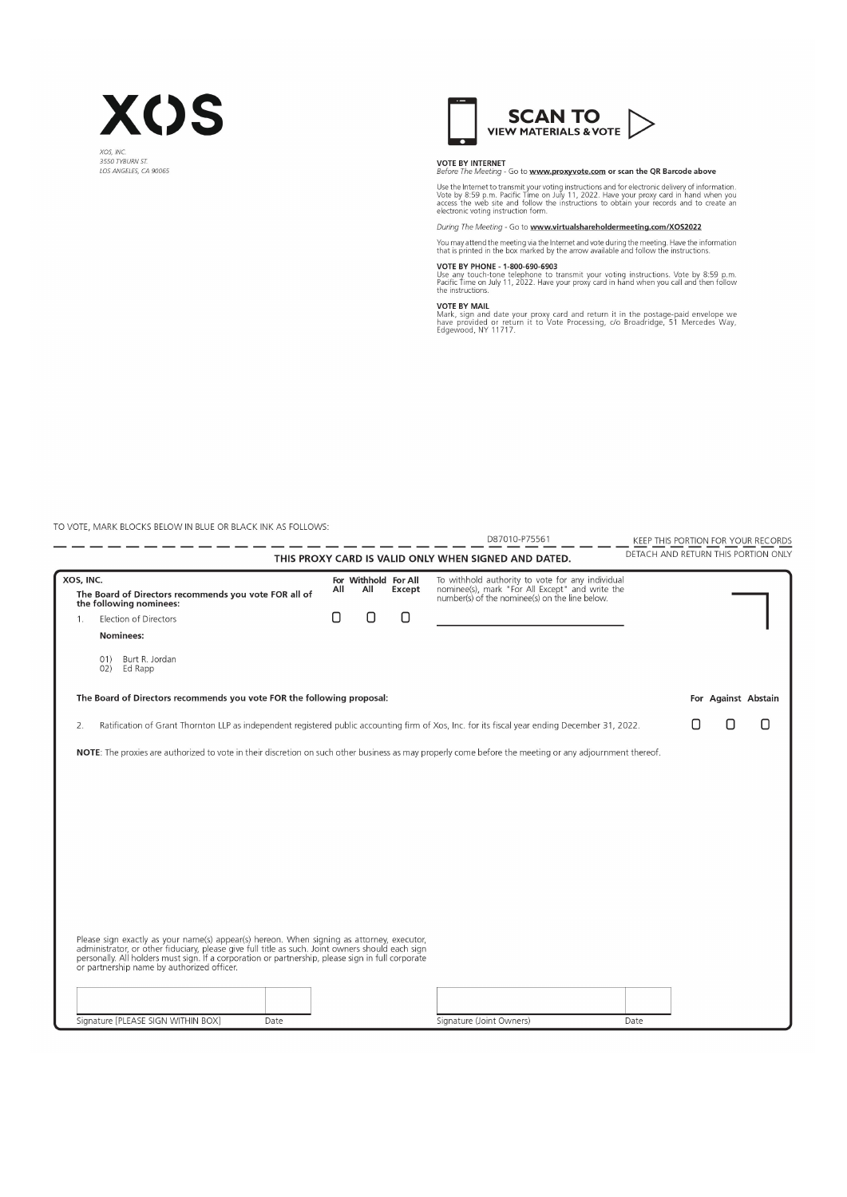



**VOTE BY INTERNET**<br>Before The Meeting - Go to www.proxyvote.com or scan the QR Barcode above

Use the Internet to transmit your voting instructions and for electronic delivery of information. Vote by 8:59 p.m. Pacific Time on July 11, 2022. Have your proxy card in hand when you access the web site and follow the in

During The Meeting - Go to www.virtualshareholdermeeting.com/XOS2022

You may attend the meeting via the Internet and vote during the meeting. Have the information<br>that is printed in the box marked by the arrow available and follow the instructions.

VOTE BY PHONE - 1-800-690-6903<br>Use any touch-tone telephone to transmit your voting instructions. Vote by 8:59 p.m.<br>Pacific Time on July 11, 2022. Have your proxy card in hand when you call and then follow<br>the instructions

VOTE BY MAIL<br>Mark, sign and date your proxy card and return it in the postage-paid envelope we<br>have provided or return it to Vote Processing, c/o Broadridge, 51 Mercedes Way,<br>Edgewood, NY 11717.

TO VOTE, MARK BLOCKS BELOW IN BLUE OR BLACK INK AS FOLLOWS:

|                |                                                                                                                                                                                                                                                                                                                                                  |     |                             |        | D87010-P75561                                                                                                                                         | KEEP THIS PORTION FOR YOUR RECORDS |  |                                     |
|----------------|--------------------------------------------------------------------------------------------------------------------------------------------------------------------------------------------------------------------------------------------------------------------------------------------------------------------------------------------------|-----|-----------------------------|--------|-------------------------------------------------------------------------------------------------------------------------------------------------------|------------------------------------|--|-------------------------------------|
|                | THIS PROXY CARD IS VALID ONLY WHEN SIGNED AND DATED.                                                                                                                                                                                                                                                                                             |     |                             |        |                                                                                                                                                       |                                    |  | DETACH AND RETURN THIS PORTION ONLY |
| XOS, INC.      | The Board of Directors recommends you vote FOR all of<br>the following nominees:                                                                                                                                                                                                                                                                 | All | For Withhold For All<br>All | Except | To withhold authority to vote for any individual<br>nominee(s), mark "For All Except" and write the<br>number(s) of the nominee(s) on the line below. |                                    |  |                                     |
| 1 <sub>z</sub> | Election of Directors                                                                                                                                                                                                                                                                                                                            | Ο   | O                           | 0      |                                                                                                                                                       |                                    |  |                                     |
|                | Nominees:                                                                                                                                                                                                                                                                                                                                        |     |                             |        |                                                                                                                                                       |                                    |  |                                     |
|                | Burt R. Jordan<br>01)<br>Ed Rapp<br>02)                                                                                                                                                                                                                                                                                                          |     |                             |        |                                                                                                                                                       |                                    |  |                                     |
|                | The Board of Directors recommends you vote FOR the following proposal:                                                                                                                                                                                                                                                                           |     |                             |        |                                                                                                                                                       |                                    |  | For Against Abstain                 |
| 2.             | Ratification of Grant Thornton LLP as independent registered public accounting firm of Xos, Inc. for its fiscal year ending December 31, 2022.                                                                                                                                                                                                   |     |                             |        |                                                                                                                                                       |                                    |  | П                                   |
|                | NOTE: The proxies are authorized to vote in their discretion on such other business as may properly come before the meeting or any adjournment thereof.                                                                                                                                                                                          |     |                             |        |                                                                                                                                                       |                                    |  |                                     |
|                |                                                                                                                                                                                                                                                                                                                                                  |     |                             |        |                                                                                                                                                       |                                    |  |                                     |
|                |                                                                                                                                                                                                                                                                                                                                                  |     |                             |        |                                                                                                                                                       |                                    |  |                                     |
|                |                                                                                                                                                                                                                                                                                                                                                  |     |                             |        |                                                                                                                                                       |                                    |  |                                     |
|                |                                                                                                                                                                                                                                                                                                                                                  |     |                             |        |                                                                                                                                                       |                                    |  |                                     |
|                |                                                                                                                                                                                                                                                                                                                                                  |     |                             |        |                                                                                                                                                       |                                    |  |                                     |
|                |                                                                                                                                                                                                                                                                                                                                                  |     |                             |        |                                                                                                                                                       |                                    |  |                                     |
|                |                                                                                                                                                                                                                                                                                                                                                  |     |                             |        |                                                                                                                                                       |                                    |  |                                     |
|                |                                                                                                                                                                                                                                                                                                                                                  |     |                             |        |                                                                                                                                                       |                                    |  |                                     |
|                | Please sign exactly as your name(s) appear(s) hereon. When signing as attorney, executor,<br>administrator, or other fiduciary, please give full title as such. Joint owners should each sign<br>personally. All holders must sign. If a corporation or partnership, please sign in full corporate<br>or partnership name by authorized officer. |     |                             |        |                                                                                                                                                       |                                    |  |                                     |
|                |                                                                                                                                                                                                                                                                                                                                                  |     |                             |        |                                                                                                                                                       |                                    |  |                                     |
|                | Signature [PLEASE SIGN WITHIN BOX]<br>Date                                                                                                                                                                                                                                                                                                       |     |                             |        | Signature (Joint Owners)                                                                                                                              | Date                               |  |                                     |
|                |                                                                                                                                                                                                                                                                                                                                                  |     |                             |        |                                                                                                                                                       |                                    |  |                                     |